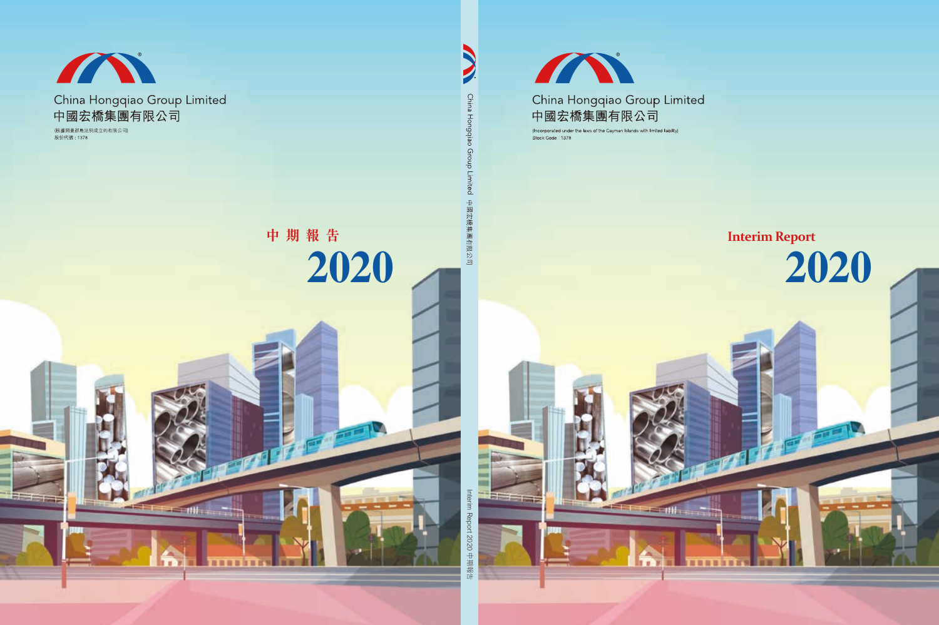

# China Hongqiao Group Limited 中國宏橋集團有限公司

珊

×

(Incorporated under the laws of the Cayman Islands with limited liability) Stock Code: 1378

# **Interim Report**

**2020**

**CONTROL**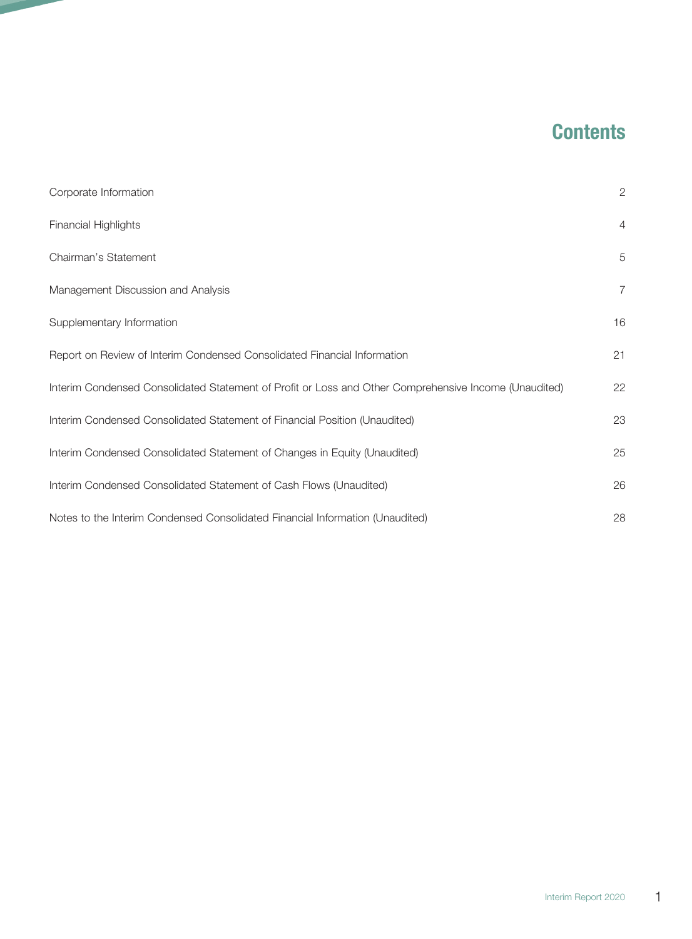# **Contents**

| Corporate Information                                                                                 | $\overline{2}$ |
|-------------------------------------------------------------------------------------------------------|----------------|
| <b>Financial Highlights</b>                                                                           | $\overline{4}$ |
| Chairman's Statement                                                                                  | 5              |
| Management Discussion and Analysis                                                                    | 7              |
| Supplementary Information                                                                             | 16             |
| Report on Review of Interim Condensed Consolidated Financial Information                              | 21             |
| Interim Condensed Consolidated Statement of Profit or Loss and Other Comprehensive Income (Unaudited) | 22             |
| Interim Condensed Consolidated Statement of Financial Position (Unaudited)                            | 23             |
| Interim Condensed Consolidated Statement of Changes in Equity (Unaudited)                             | 25             |
| Interim Condensed Consolidated Statement of Cash Flows (Unaudited)                                    | 26             |
| Notes to the Interim Condensed Consolidated Financial Information (Unaudited)                         | 28             |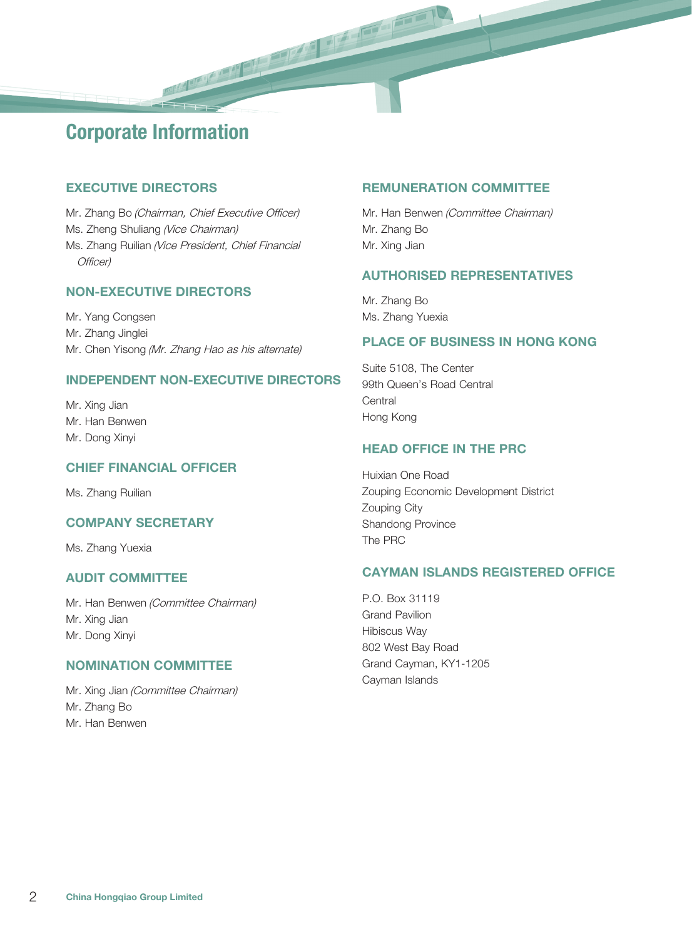# Corporate Information

## EXECUTIVE DIRECTORS

Mr. Zhang Bo (Chairman, Chief Executive Officer) Ms. Zheng Shuliang (Vice Chairman) Ms. Zhang Ruilian (Vice President, Chief Financial Officer)

## NON-EXECUTIVE DIRECTORS

Mr. Yang Congsen Mr. Zhang Jinglei Mr. Chen Yisong (Mr. Zhang Hao as his alternate)

#### INDEPENDENT NON-EXECUTIVE DIRECTORS

Mr. Xing Jian Mr. Han Benwen Mr. Dong Xinyi

#### CHIEF FINANCIAL OFFICER

Ms. Zhang Ruilian

#### COMPANY SECRETARY

Ms. Zhang Yuexia

#### AUDIT COMMITTEE

Mr. Han Benwen (Committee Chairman) Mr. Xing Jian Mr. Dong Xinyi

#### NOMINATION COMMITTEE

Mr. Xing Jian (Committee Chairman) Mr. Zhang Bo Mr. Han Benwen

#### REMUNERATION COMMITTEE

Mr. Han Benwen (Committee Chairman) Mr. Zhang Bo Mr. Xing Jian

#### AUTHORISED REPRESENTATIVES

Mr. Zhang Bo Ms. Zhang Yuexia

#### PLACE OF BUSINESS IN HONG KONG

Suite 5108, The Center 99th Queen's Road Central **Central** Hong Kong

#### HEAD OFFICE IN THE PRC

Huixian One Road Zouping Economic Development District Zouping City Shandong Province The PRC

#### CAYMAN ISLANDS REGISTERED OFFICE

P.O. Box 31119 Grand Pavilion Hibiscus Way 802 West Bay Road Grand Cayman, KY1-1205 Cayman Islands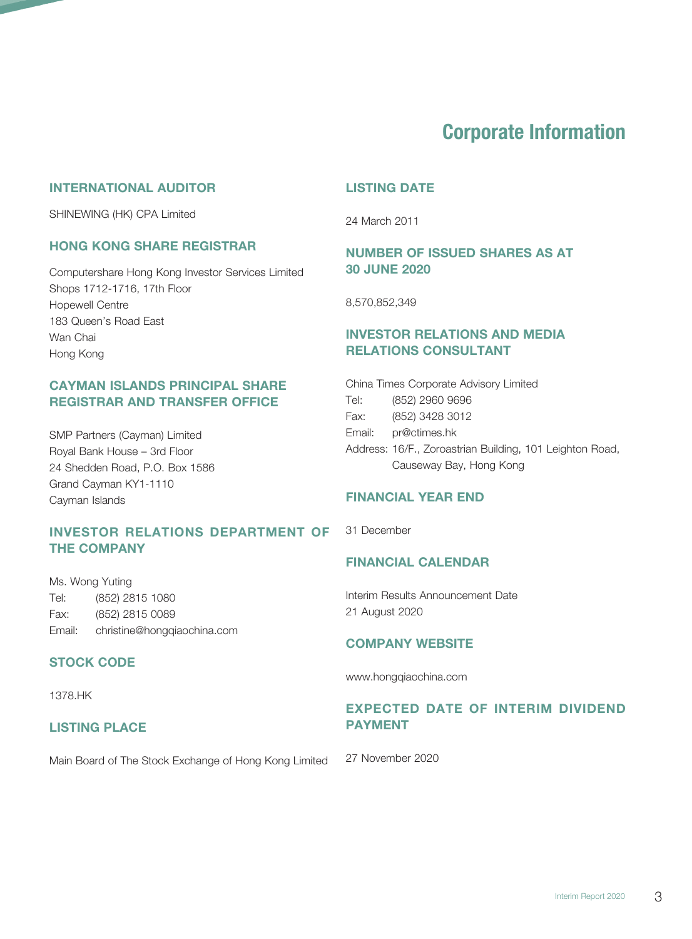# Corporate Information

#### INTERNATIONAL AUDITOR

SHINEWING (HK) CPA Limited

#### HONG KONG SHARE REGISTRAR

Computershare Hong Kong Investor Services Limited Shops 1712-1716, 17th Floor Hopewell Centre 183 Queen's Road East Wan Chai Hong Kong

## CAYMAN ISLANDS PRINCIPAL SHARE REGISTRAR AND TRANSFER OFFICE

SMP Partners (Cayman) Limited Royal Bank House – 3rd Floor 24 Shedden Road, P.O. Box 1586 Grand Cayman KY1-1110 Cayman Islands

## INVESTOR RELATIONS DEPARTMENT OF 31 December THE COMPANY

Ms. Wong Yuting Tel: (852) 2815 1080 Fax: (852) 2815 0089 Email: christine@hongqiaochina.com

#### STOCK CODE

1378.HK

#### LISTING PLACE

Main Board of The Stock Exchange of Hong Kong Limited

#### LISTING DATE

24 March 2011

## NUMBER OF ISSUED SHARES AS AT 30 JUNE 2020

8,570,852,349

# INVESTOR RELATIONS AND MEDIA RELATIONS CONSULTANT

|        | China Times Corporate Advisory Limited                   |
|--------|----------------------------------------------------------|
| Tel:   | (852) 2960 9696                                          |
| Fax:   | (852) 3428 3012                                          |
| Email: | pr@ctimes.hk                                             |
|        | Address: 16/F., Zoroastrian Building, 101 Leighton Road, |
|        | Causeway Bay, Hong Kong                                  |

#### FINANCIAL YEAR END

## FINANCIAL CALENDAR

Interim Results Announcement Date 21 August 2020

#### COMPANY WEBSITE

www.hongqiaochina.com

## EXPECTED DATE OF INTERIM DIVIDEND PAYMENT

27 November 2020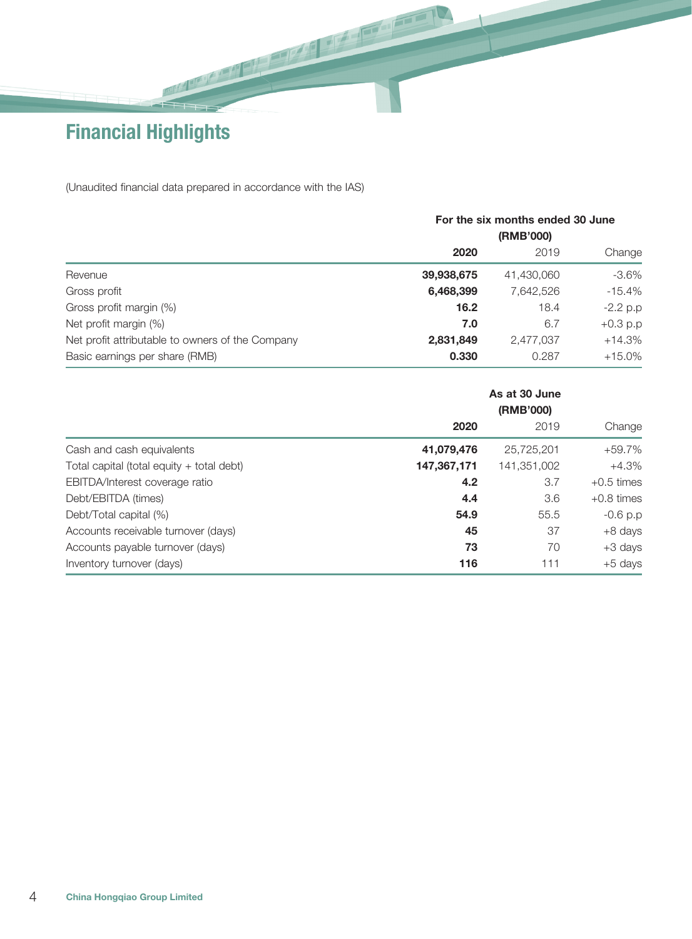Financial Highlights

(Unaudited financial data prepared in accordance with the IAS)

|                                                  | For the six months ended 30 June |            |            |  |  |  |
|--------------------------------------------------|----------------------------------|------------|------------|--|--|--|
|                                                  | (RMB'000)                        |            |            |  |  |  |
|                                                  | 2020                             | 2019       | Change     |  |  |  |
| Revenue                                          | 39,938,675                       | 41,430,060 | $-3.6\%$   |  |  |  |
| Gross profit                                     | 6,468,399                        | 7.642.526  | $-15.4\%$  |  |  |  |
| Gross profit margin (%)                          | 16.2                             | 18.4       | $-2.2$ p.p |  |  |  |
| Net profit margin (%)                            | 7.0                              | 6.7        | $+0.3 p.p$ |  |  |  |
| Net profit attributable to owners of the Company | 2,831,849                        | 2,477,037  | $+14.3%$   |  |  |  |
| Basic earnings per share (RMB)                   | 0.330                            | 0.287      | $+15.0\%$  |  |  |  |

|                                           |             | As at 30 June<br>(RMB'000) |              |  |  |
|-------------------------------------------|-------------|----------------------------|--------------|--|--|
|                                           | 2020        | 2019                       | Change       |  |  |
| Cash and cash equivalents                 | 41,079,476  | 25,725,201                 | +59.7%       |  |  |
| Total capital (total equity + total debt) | 147,367,171 | 141,351,002                | $+4.3%$      |  |  |
| EBITDA/Interest coverage ratio            | 4.2         | 3.7                        | $+0.5$ times |  |  |
| Debt/EBITDA (times)                       | 4.4         | 3.6                        | $+0.8$ times |  |  |
| Debt/Total capital (%)                    | 54.9        | 55.5                       | $-0.6 p.p$   |  |  |
| Accounts receivable turnover (days)       | 45          | 37                         | +8 days      |  |  |
| Accounts payable turnover (days)          | 73          | 70                         | +3 days      |  |  |
| Inventory turnover (days)                 | 116         | 111                        | +5 days      |  |  |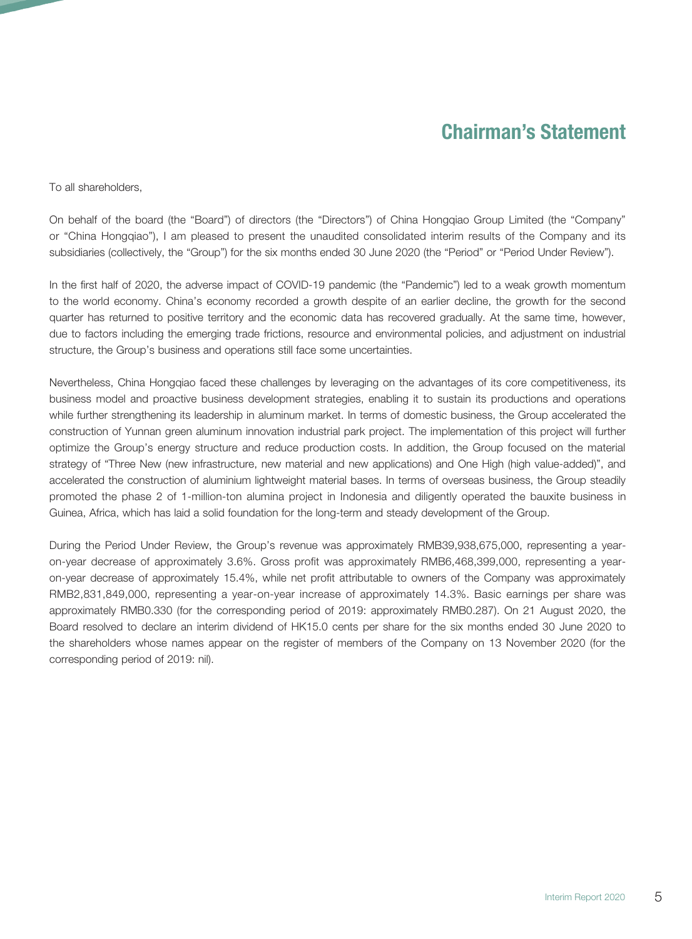# Chairman's Statement

To all shareholders,

On behalf of the board (the "Board") of directors (the "Directors") of China Hongqiao Group Limited (the "Company" or "China Hongqiao"), I am pleased to present the unaudited consolidated interim results of the Company and its subsidiaries (collectively, the "Group") for the six months ended 30 June 2020 (the "Period" or "Period Under Review").

In the first half of 2020, the adverse impact of COVID-19 pandemic (the "Pandemic") led to a weak growth momentum to the world economy. China's economy recorded a growth despite of an earlier decline, the growth for the second quarter has returned to positive territory and the economic data has recovered gradually. At the same time, however, due to factors including the emerging trade frictions, resource and environmental policies, and adjustment on industrial structure, the Group's business and operations still face some uncertainties.

Nevertheless, China Hongqiao faced these challenges by leveraging on the advantages of its core competitiveness, its business model and proactive business development strategies, enabling it to sustain its productions and operations while further strengthening its leadership in aluminum market. In terms of domestic business, the Group accelerated the construction of Yunnan green aluminum innovation industrial park project. The implementation of this project will further optimize the Group's energy structure and reduce production costs. In addition, the Group focused on the material strategy of "Three New (new infrastructure, new material and new applications) and One High (high value-added)", and accelerated the construction of aluminium lightweight material bases. In terms of overseas business, the Group steadily promoted the phase 2 of 1-million-ton alumina project in Indonesia and diligently operated the bauxite business in Guinea, Africa, which has laid a solid foundation for the long-term and steady development of the Group.

During the Period Under Review, the Group's revenue was approximately RMB39,938,675,000, representing a yearon-year decrease of approximately 3.6%. Gross profit was approximately RMB6,468,399,000, representing a yearon-year decrease of approximately 15.4%, while net profit attributable to owners of the Company was approximately RMB2,831,849,000, representing a year-on-year increase of approximately 14.3%. Basic earnings per share was approximately RMB0.330 (for the corresponding period of 2019: approximately RMB0.287). On 21 August 2020, the Board resolved to declare an interim dividend of HK15.0 cents per share for the six months ended 30 June 2020 to the shareholders whose names appear on the register of members of the Company on 13 November 2020 (for the corresponding period of 2019: nil).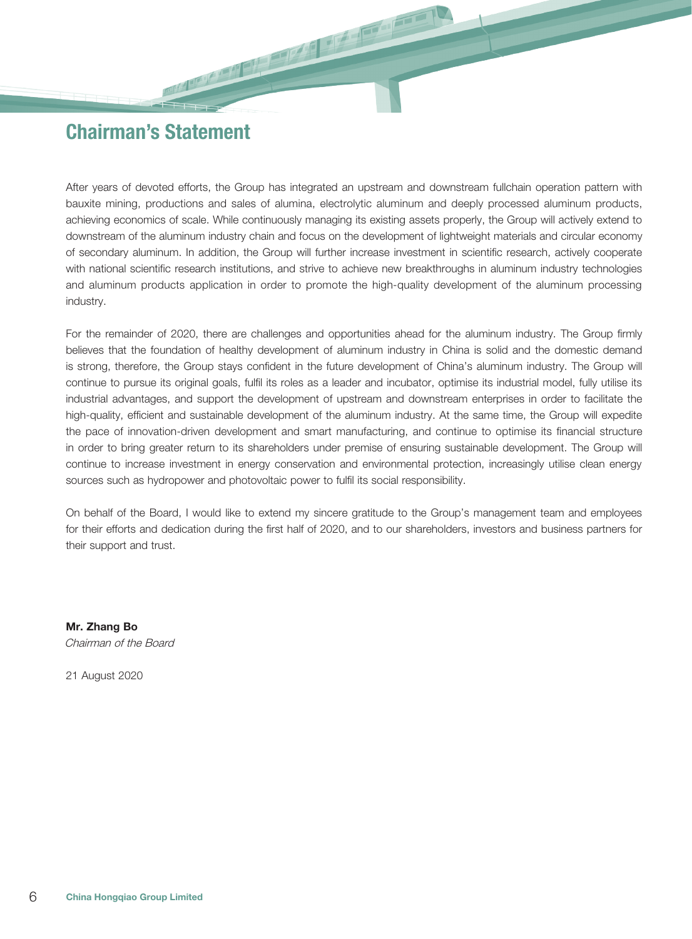# Chairman's Statement

After years of devoted efforts, the Group has integrated an upstream and downstream fullchain operation pattern with bauxite mining, productions and sales of alumina, electrolytic aluminum and deeply processed aluminum products, achieving economics of scale. While continuously managing its existing assets properly, the Group will actively extend to downstream of the aluminum industry chain and focus on the development of lightweight materials and circular economy of secondary aluminum. In addition, the Group will further increase investment in scientific research, actively cooperate with national scientific research institutions, and strive to achieve new breakthroughs in aluminum industry technologies and aluminum products application in order to promote the high-quality development of the aluminum processing industry.

For the remainder of 2020, there are challenges and opportunities ahead for the aluminum industry. The Group firmly believes that the foundation of healthy development of aluminum industry in China is solid and the domestic demand is strong, therefore, the Group stays confident in the future development of China's aluminum industry. The Group will continue to pursue its original goals, fulfil its roles as a leader and incubator, optimise its industrial model, fully utilise its industrial advantages, and support the development of upstream and downstream enterprises in order to facilitate the high-quality, efficient and sustainable development of the aluminum industry. At the same time, the Group will expedite the pace of innovation-driven development and smart manufacturing, and continue to optimise its financial structure in order to bring greater return to its shareholders under premise of ensuring sustainable development. The Group will continue to increase investment in energy conservation and environmental protection, increasingly utilise clean energy sources such as hydropower and photovoltaic power to fulfil its social responsibility.

On behalf of the Board, I would like to extend my sincere gratitude to the Group's management team and employees for their efforts and dedication during the first half of 2020, and to our shareholders, investors and business partners for their support and trust.

Mr. Zhang Bo Chairman of the Board

21 August 2020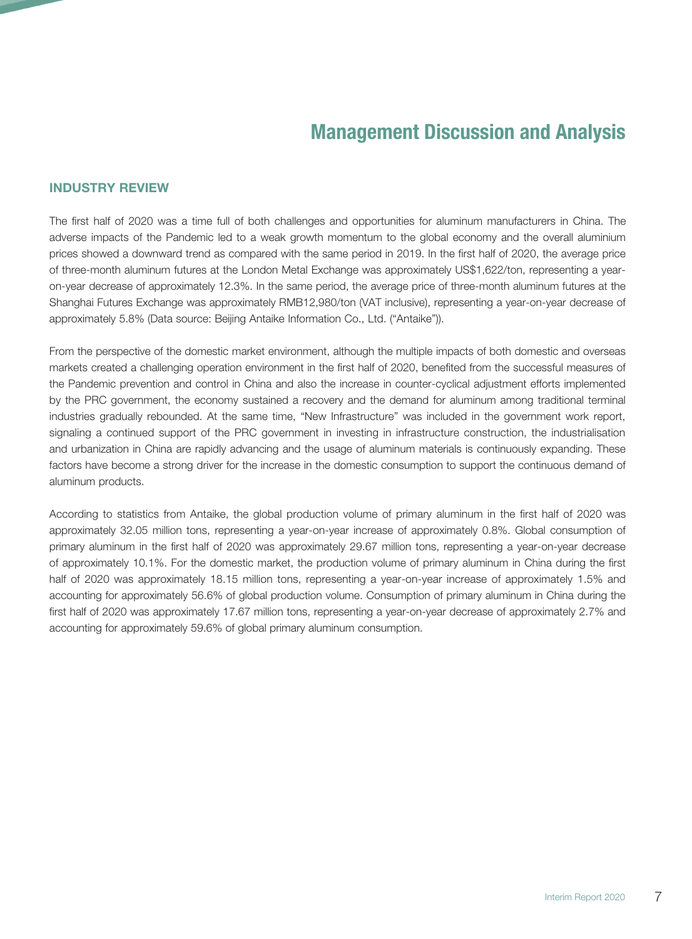#### INDUSTRY REVIEW

The first half of 2020 was a time full of both challenges and opportunities for aluminum manufacturers in China. The adverse impacts of the Pandemic led to a weak growth momentum to the global economy and the overall aluminium prices showed a downward trend as compared with the same period in 2019. In the first half of 2020, the average price of three-month aluminum futures at the London Metal Exchange was approximately US\$1,622/ton, representing a yearon-year decrease of approximately 12.3%. In the same period, the average price of three-month aluminum futures at the Shanghai Futures Exchange was approximately RMB12,980/ton (VAT inclusive), representing a year-on-year decrease of approximately 5.8% (Data source: Beijing Antaike Information Co., Ltd. ("Antaike")).

From the perspective of the domestic market environment, although the multiple impacts of both domestic and overseas markets created a challenging operation environment in the first half of 2020, benefited from the successful measures of the Pandemic prevention and control in China and also the increase in counter-cyclical adjustment efforts implemented by the PRC government, the economy sustained a recovery and the demand for aluminum among traditional terminal industries gradually rebounded. At the same time, "New Infrastructure" was included in the government work report, signaling a continued support of the PRC government in investing in infrastructure construction, the industrialisation and urbanization in China are rapidly advancing and the usage of aluminum materials is continuously expanding. These factors have become a strong driver for the increase in the domestic consumption to support the continuous demand of aluminum products.

According to statistics from Antaike, the global production volume of primary aluminum in the first half of 2020 was approximately 32.05 million tons, representing a year-on-year increase of approximately 0.8%. Global consumption of primary aluminum in the first half of 2020 was approximately 29.67 million tons, representing a year-on-year decrease of approximately 10.1%. For the domestic market, the production volume of primary aluminum in China during the first half of 2020 was approximately 18.15 million tons, representing a year-on-year increase of approximately 1.5% and accounting for approximately 56.6% of global production volume. Consumption of primary aluminum in China during the first half of 2020 was approximately 17.67 million tons, representing a year-on-year decrease of approximately 2.7% and accounting for approximately 59.6% of global primary aluminum consumption.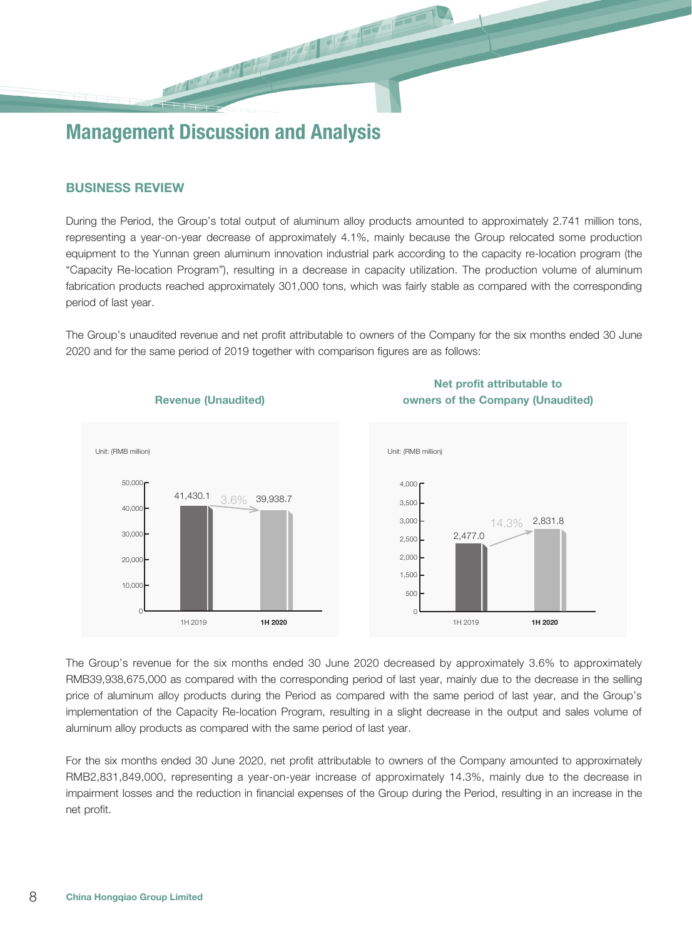#### BUSINESS REVIEW

During the Period, the Group's total output of aluminum alloy products amounted to approximately 2.741 million tons, representing a year-on-year decrease of approximately 4.1%, mainly because the Group relocated some production equipment to the Yunnan green aluminum innovation industrial park according to the capacity re-location program (the "Capacity Re-location Program"), resulting in a decrease in capacity utilization. The production volume of aluminum fabrication products reached approximately 301,000 tons, which was fairly stable as compared with the corresponding period of last year.

The Group's unaudited revenue and net profit attributable to owners of the Company for the six months ended 30 June 2020 and for the same period of 2019 together with comparison figures are as follows:



The Group's revenue for the six months ended 30 June 2020 decreased by approximately 3.6% to approximately RMB39,938,675,000 as compared with the corresponding period of last year, mainly due to the decrease in the selling price of aluminum alloy products during the Period as compared with the same period of last year, and the Group's implementation of the Capacity Re-location Program, resulting in a slight decrease in the output and sales volume of aluminum alloy products as compared with the same period of last year.

For the six months ended 30 June 2020, net profit attributable to owners of the Company amounted to approximately RMB2,831,849,000, representing a year-on-year increase of approximately 14.3%, mainly due to the decrease in impairment losses and the reduction in financial expenses of the Group during the Period, resulting in an increase in the net profit.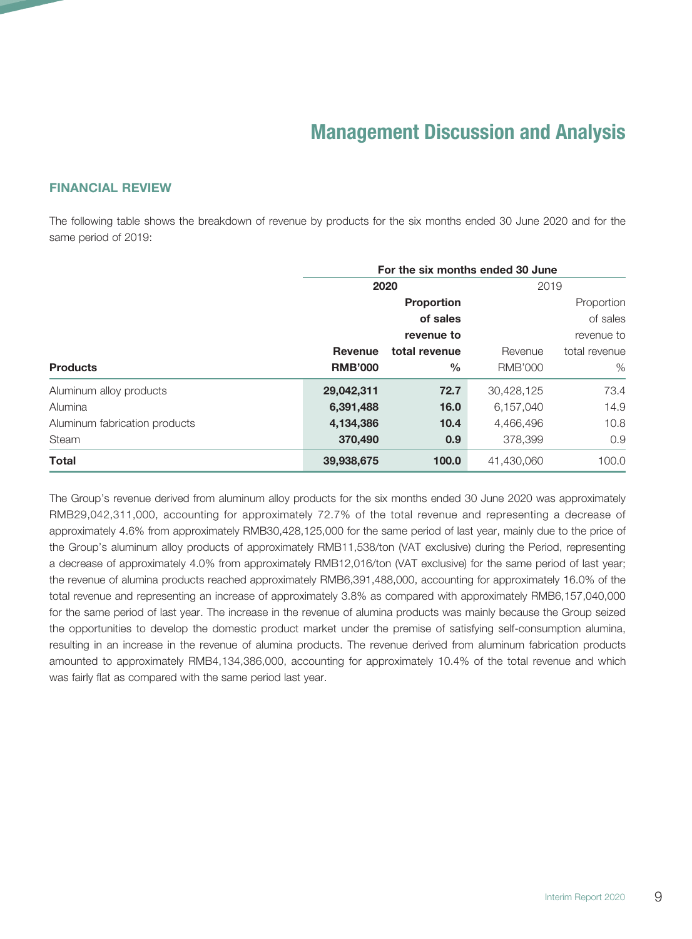#### FINANCIAL REVIEW

The following table shows the breakdown of revenue by products for the six months ended 30 June 2020 and for the same period of 2019:

|                               | For the six months ended 30 June |                   |                |               |  |  |  |
|-------------------------------|----------------------------------|-------------------|----------------|---------------|--|--|--|
|                               |                                  | 2020              | 2019           |               |  |  |  |
|                               |                                  | <b>Proportion</b> |                | Proportion    |  |  |  |
|                               |                                  | of sales          |                | of sales      |  |  |  |
|                               |                                  | revenue to        | revenue to     |               |  |  |  |
|                               | <b>Revenue</b>                   | total revenue     | Revenue        | total revenue |  |  |  |
| <b>Products</b>               | <b>RMB'000</b>                   | $\frac{0}{0}$     | <b>RMB'000</b> | $\%$          |  |  |  |
| Aluminum alloy products       | 29,042,311                       | 72.7              | 30,428,125     | 73.4          |  |  |  |
| Alumina                       | 6,391,488                        | 16.0              | 6,157,040      | 14.9          |  |  |  |
| Aluminum fabrication products | 4,134,386                        | 10.4              | 4,466,496      | 10.8          |  |  |  |
| <b>Steam</b>                  | 370,490                          | 0.9               | 378,399        | 0.9           |  |  |  |
| <b>Total</b>                  | 39,938,675                       | 100.0             | 41,430,060     | 100.0         |  |  |  |

The Group's revenue derived from aluminum alloy products for the six months ended 30 June 2020 was approximately RMB29,042,311,000, accounting for approximately 72.7% of the total revenue and representing a decrease of approximately 4.6% from approximately RMB30,428,125,000 for the same period of last year, mainly due to the price of the Group's aluminum alloy products of approximately RMB11,538/ton (VAT exclusive) during the Period, representing a decrease of approximately 4.0% from approximately RMB12,016/ton (VAT exclusive) for the same period of last year; the revenue of alumina products reached approximately RMB6,391,488,000, accounting for approximately 16.0% of the total revenue and representing an increase of approximately 3.8% as compared with approximately RMB6,157,040,000 for the same period of last year. The increase in the revenue of alumina products was mainly because the Group seized the opportunities to develop the domestic product market under the premise of satisfying self-consumption alumina, resulting in an increase in the revenue of alumina products. The revenue derived from aluminum fabrication products amounted to approximately RMB4,134,386,000, accounting for approximately 10.4% of the total revenue and which was fairly flat as compared with the same period last year.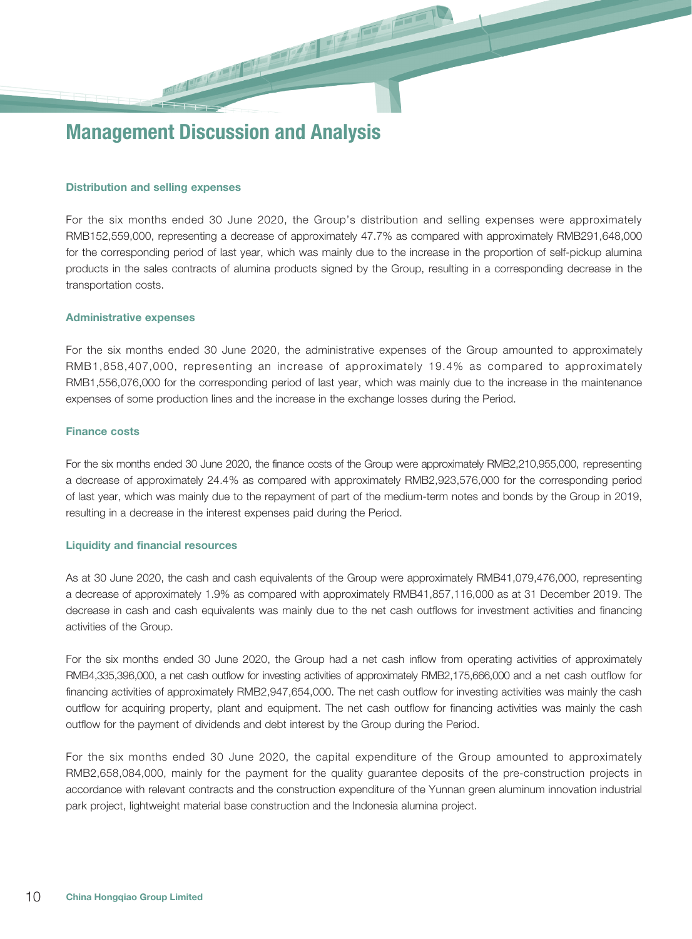#### Distribution and selling expenses

For the six months ended 30 June 2020, the Group's distribution and selling expenses were approximately RMB152,559,000, representing a decrease of approximately 47.7% as compared with approximately RMB291,648,000 for the corresponding period of last year, which was mainly due to the increase in the proportion of self-pickup alumina products in the sales contracts of alumina products signed by the Group, resulting in a corresponding decrease in the transportation costs.

#### Administrative expenses

For the six months ended 30 June 2020, the administrative expenses of the Group amounted to approximately RMB1,858,407,000, representing an increase of approximately 19.4% as compared to approximately RMB1,556,076,000 for the corresponding period of last year, which was mainly due to the increase in the maintenance expenses of some production lines and the increase in the exchange losses during the Period.

#### Finance costs

For the six months ended 30 June 2020, the finance costs of the Group were approximately RMB2,210,955,000, representing a decrease of approximately 24.4% as compared with approximately RMB2,923,576,000 for the corresponding period of last year, which was mainly due to the repayment of part of the medium-term notes and bonds by the Group in 2019, resulting in a decrease in the interest expenses paid during the Period.

#### Liquidity and financial resources

As at 30 June 2020, the cash and cash equivalents of the Group were approximately RMB41,079,476,000, representing a decrease of approximately 1.9% as compared with approximately RMB41,857,116,000 as at 31 December 2019. The decrease in cash and cash equivalents was mainly due to the net cash outflows for investment activities and financing activities of the Group.

For the six months ended 30 June 2020, the Group had a net cash inflow from operating activities of approximately RMB4,335,396,000, a net cash outflow for investing activities of approximately RMB2,175,666,000 and a net cash outflow for financing activities of approximately RMB2,947,654,000. The net cash outflow for investing activities was mainly the cash outflow for acquiring property, plant and equipment. The net cash outflow for financing activities was mainly the cash outflow for the payment of dividends and debt interest by the Group during the Period.

For the six months ended 30 June 2020, the capital expenditure of the Group amounted to approximately RMB2,658,084,000, mainly for the payment for the quality guarantee deposits of the pre-construction projects in accordance with relevant contracts and the construction expenditure of the Yunnan green aluminum innovation industrial park project, lightweight material base construction and the Indonesia alumina project.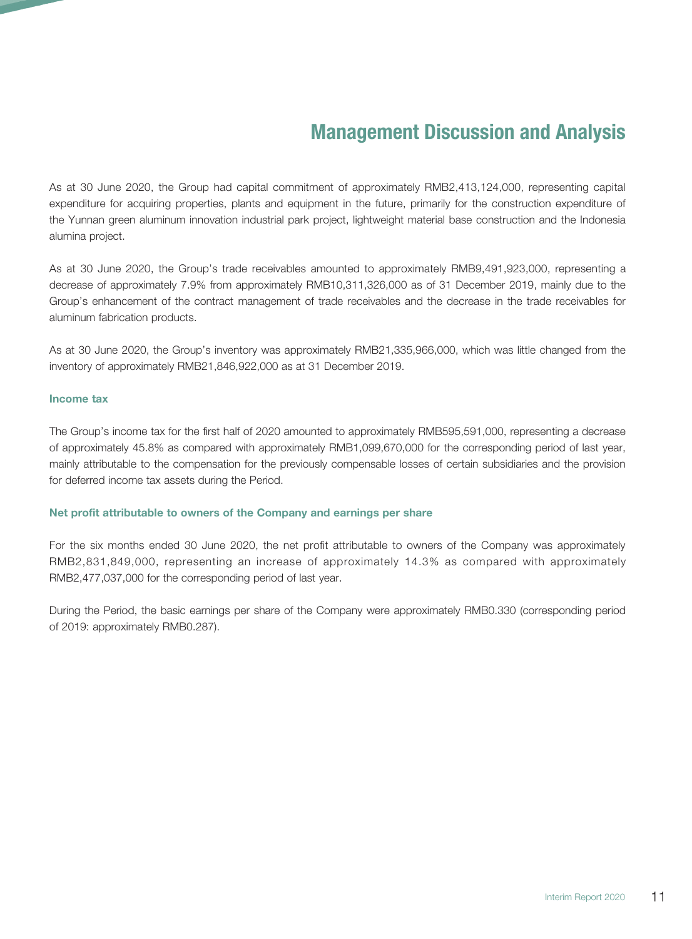As at 30 June 2020, the Group had capital commitment of approximately RMB2,413,124,000, representing capital expenditure for acquiring properties, plants and equipment in the future, primarily for the construction expenditure of the Yunnan green aluminum innovation industrial park project, lightweight material base construction and the Indonesia alumina project.

As at 30 June 2020, the Group's trade receivables amounted to approximately RMB9,491,923,000, representing a decrease of approximately 7.9% from approximately RMB10,311,326,000 as of 31 December 2019, mainly due to the Group's enhancement of the contract management of trade receivables and the decrease in the trade receivables for aluminum fabrication products.

As at 30 June 2020, the Group's inventory was approximately RMB21,335,966,000, which was little changed from the inventory of approximately RMB21,846,922,000 as at 31 December 2019.

#### Income tax

The Group's income tax for the first half of 2020 amounted to approximately RMB595,591,000, representing a decrease of approximately 45.8% as compared with approximately RMB1,099,670,000 for the corresponding period of last year, mainly attributable to the compensation for the previously compensable losses of certain subsidiaries and the provision for deferred income tax assets during the Period.

#### Net profit attributable to owners of the Company and earnings per share

For the six months ended 30 June 2020, the net profit attributable to owners of the Company was approximately RMB2,831,849,000, representing an increase of approximately 14.3% as compared with approximately RMB2,477,037,000 for the corresponding period of last year.

During the Period, the basic earnings per share of the Company were approximately RMB0.330 (corresponding period of 2019: approximately RMB0.287).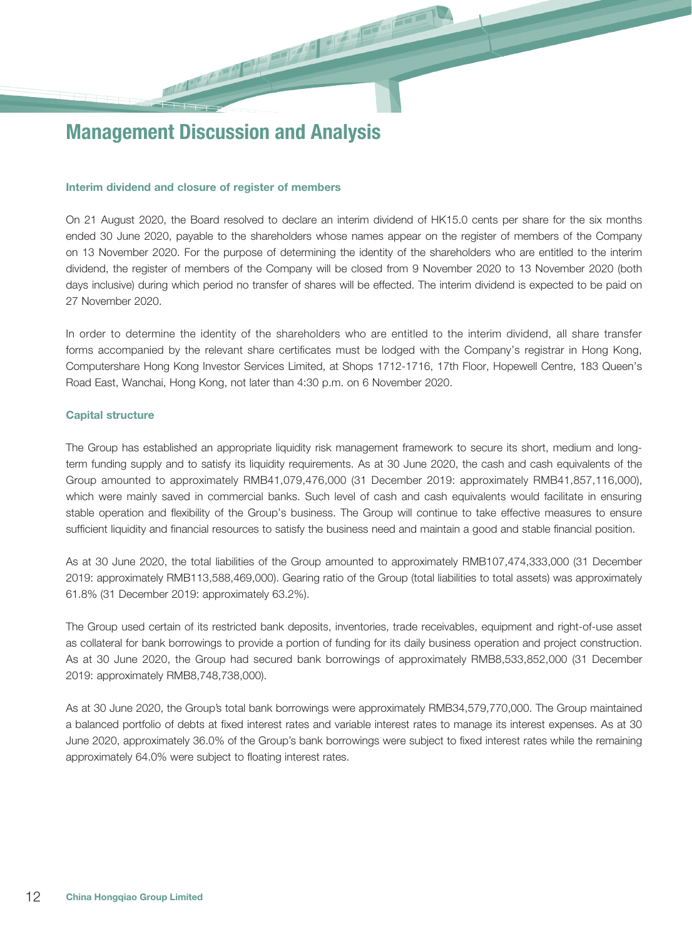#### Interim dividend and closure of register of members

On 21 August 2020, the Board resolved to declare an interim dividend of HK15.0 cents per share for the six months ended 30 June 2020, payable to the shareholders whose names appear on the register of members of the Company on 13 November 2020. For the purpose of determining the identity of the shareholders who are entitled to the interim dividend, the register of members of the Company will be closed from 9 November 2020 to 13 November 2020 (both days inclusive) during which period no transfer of shares will be effected. The interim dividend is expected to be paid on 27 November 2020.

In order to determine the identity of the shareholders who are entitled to the interim dividend, all share transfer forms accompanied by the relevant share certificates must be lodged with the Company's registrar in Hong Kong, Computershare Hong Kong Investor Services Limited, at Shops 1712-1716, 17th Floor, Hopewell Centre, 183 Queen's Road East, Wanchai, Hong Kong, not later than 4:30 p.m. on 6 November 2020.

#### Capital structure

The Group has established an appropriate liquidity risk management framework to secure its short, medium and longterm funding supply and to satisfy its liquidity requirements. As at 30 June 2020, the cash and cash equivalents of the Group amounted to approximately RMB41,079,476,000 (31 December 2019: approximately RMB41,857,116,000), which were mainly saved in commercial banks. Such level of cash and cash equivalents would facilitate in ensuring stable operation and flexibility of the Group's business. The Group will continue to take effective measures to ensure sufficient liquidity and financial resources to satisfy the business need and maintain a good and stable financial position.

As at 30 June 2020, the total liabilities of the Group amounted to approximately RMB107,474,333,000 (31 December 2019: approximately RMB113,588,469,000). Gearing ratio of the Group (total liabilities to total assets) was approximately 61.8% (31 December 2019: approximately 63.2%).

The Group used certain of its restricted bank deposits, inventories, trade receivables, equipment and right-of-use asset as collateral for bank borrowings to provide a portion of funding for its daily business operation and project construction. As at 30 June 2020, the Group had secured bank borrowings of approximately RMB8,533,852,000 (31 December 2019: approximately RMB8,748,738,000).

As at 30 June 2020, the Group's total bank borrowings were approximately RMB34,579,770,000. The Group maintained a balanced portfolio of debts at fixed interest rates and variable interest rates to manage its interest expenses. As at 30 June 2020, approximately 36.0% of the Group's bank borrowings were subject to fixed interest rates while the remaining approximately 64.0% were subject to floating interest rates.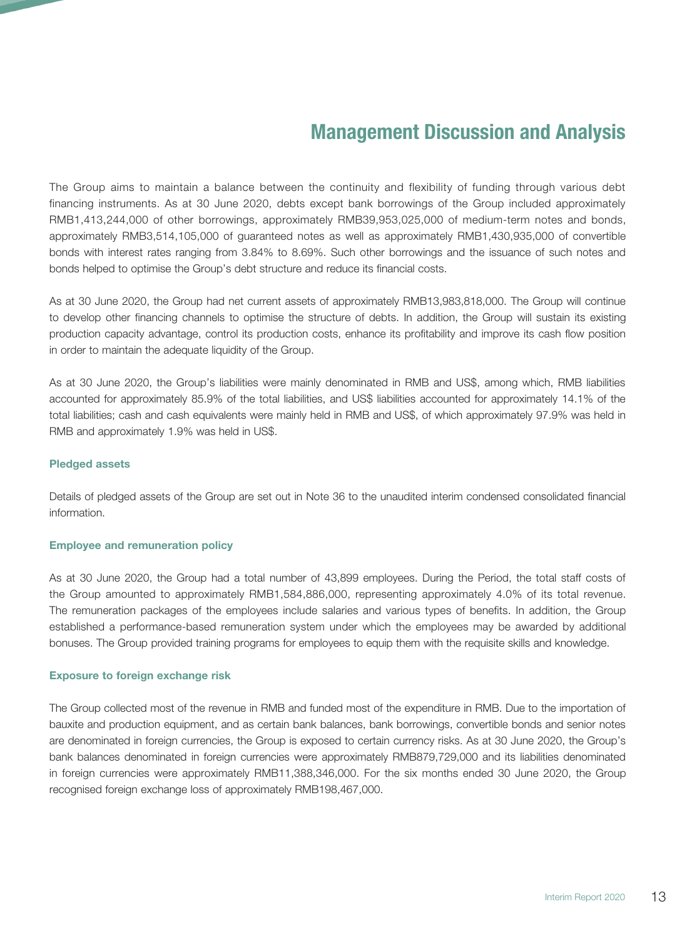The Group aims to maintain a balance between the continuity and flexibility of funding through various debt financing instruments. As at 30 June 2020, debts except bank borrowings of the Group included approximately RMB1,413,244,000 of other borrowings, approximately RMB39,953,025,000 of medium-term notes and bonds, approximately RMB3,514,105,000 of guaranteed notes as well as approximately RMB1,430,935,000 of convertible bonds with interest rates ranging from 3.84% to 8.69%. Such other borrowings and the issuance of such notes and bonds helped to optimise the Group's debt structure and reduce its financial costs.

As at 30 June 2020, the Group had net current assets of approximately RMB13,983,818,000. The Group will continue to develop other financing channels to optimise the structure of debts. In addition, the Group will sustain its existing production capacity advantage, control its production costs, enhance its profitability and improve its cash flow position in order to maintain the adequate liquidity of the Group.

As at 30 June 2020, the Group's liabilities were mainly denominated in RMB and US\$, among which, RMB liabilities accounted for approximately 85.9% of the total liabilities, and US\$ liabilities accounted for approximately 14.1% of the total liabilities; cash and cash equivalents were mainly held in RMB and US\$, of which approximately 97.9% was held in RMB and approximately 1.9% was held in US\$.

#### Pledged assets

Details of pledged assets of the Group are set out in Note 36 to the unaudited interim condensed consolidated financial information.

#### Employee and remuneration policy

As at 30 June 2020, the Group had a total number of 43,899 employees. During the Period, the total staff costs of the Group amounted to approximately RMB1,584,886,000, representing approximately 4.0% of its total revenue. The remuneration packages of the employees include salaries and various types of benefits. In addition, the Group established a performance-based remuneration system under which the employees may be awarded by additional bonuses. The Group provided training programs for employees to equip them with the requisite skills and knowledge.

#### Exposure to foreign exchange risk

The Group collected most of the revenue in RMB and funded most of the expenditure in RMB. Due to the importation of bauxite and production equipment, and as certain bank balances, bank borrowings, convertible bonds and senior notes are denominated in foreign currencies, the Group is exposed to certain currency risks. As at 30 June 2020, the Group's bank balances denominated in foreign currencies were approximately RMB879,729,000 and its liabilities denominated in foreign currencies were approximately RMB11,388,346,000. For the six months ended 30 June 2020, the Group recognised foreign exchange loss of approximately RMB198,467,000.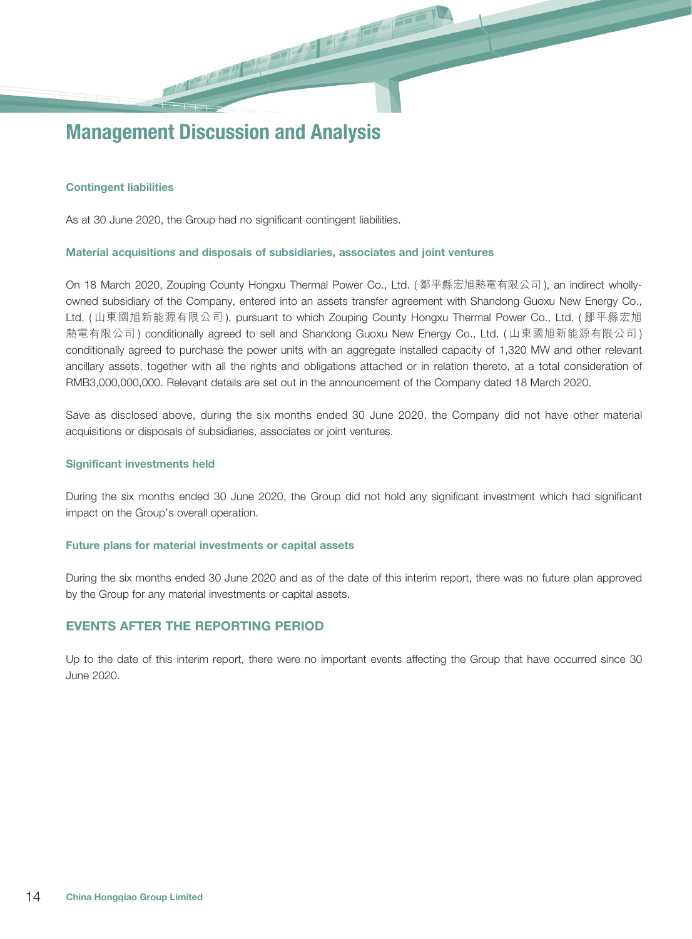#### Contingent liabilities

As at 30 June 2020, the Group had no significant contingent liabilities.

#### Material acquisitions and disposals of subsidiaries, associates and joint ventures

On 18 March 2020, Zouping County Hongxu Thermal Power Co., Ltd. ( 鄒平縣宏旭熱電有限公司 ), an indirect whollyowned subsidiary of the Company, entered into an assets transfer agreement with Shandong Guoxu New Energy Co., Ltd. ( 山東國旭新能源有限公司 ), pursuant to which Zouping County Hongxu Thermal Power Co., Ltd. ( 鄒平縣宏旭 熱電有限公司 ) conditionally agreed to sell and Shandong Guoxu New Energy Co., Ltd. ( 山東國旭新能源有限公司 ) conditionally agreed to purchase the power units with an aggregate installed capacity of 1,320 MW and other relevant ancillary assets, together with all the rights and obligations attached or in relation thereto, at a total consideration of RMB3,000,000,000. Relevant details are set out in the announcement of the Company dated 18 March 2020.

Save as disclosed above, during the six months ended 30 June 2020, the Company did not have other material acquisitions or disposals of subsidiaries, associates or joint ventures.

#### Significant investments held

During the six months ended 30 June 2020, the Group did not hold any significant investment which had significant impact on the Group's overall operation.

#### Future plans for material investments or capital assets

During the six months ended 30 June 2020 and as of the date of this interim report, there was no future plan approved by the Group for any material investments or capital assets.

#### EVENTS AFTER THE REPORTING PERIOD

Up to the date of this interim report, there were no important events affecting the Group that have occurred since 30 June 2020.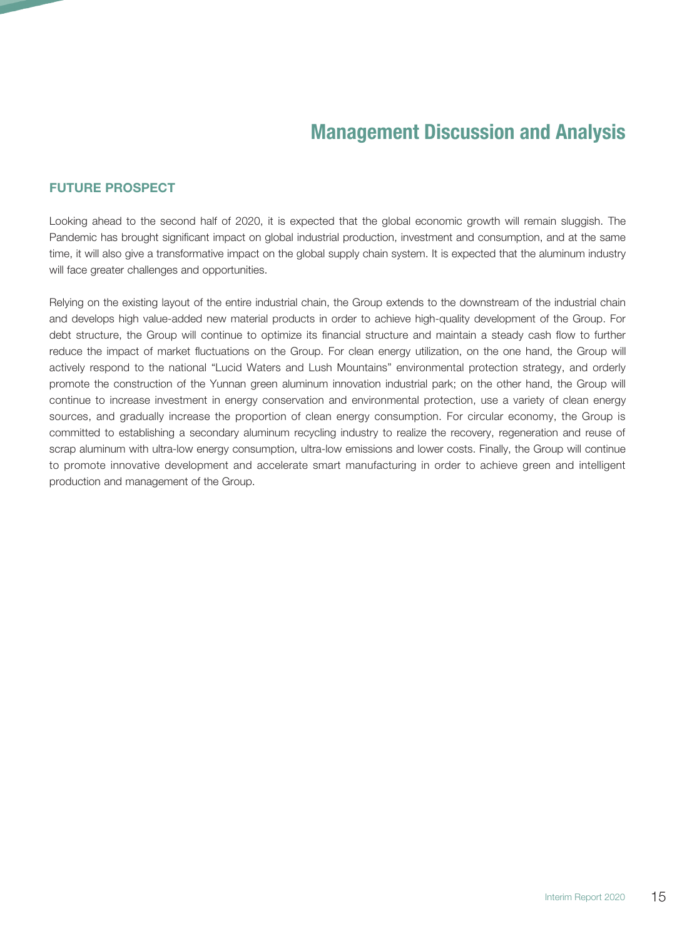## FUTURE PROSPECT

Looking ahead to the second half of 2020, it is expected that the global economic growth will remain sluggish. The Pandemic has brought significant impact on global industrial production, investment and consumption, and at the same time, it will also give a transformative impact on the global supply chain system. It is expected that the aluminum industry will face greater challenges and opportunities.

Relying on the existing layout of the entire industrial chain, the Group extends to the downstream of the industrial chain and develops high value-added new material products in order to achieve high-quality development of the Group. For debt structure, the Group will continue to optimize its financial structure and maintain a steady cash flow to further reduce the impact of market fluctuations on the Group. For clean energy utilization, on the one hand, the Group will actively respond to the national "Lucid Waters and Lush Mountains" environmental protection strategy, and orderly promote the construction of the Yunnan green aluminum innovation industrial park; on the other hand, the Group will continue to increase investment in energy conservation and environmental protection, use a variety of clean energy sources, and gradually increase the proportion of clean energy consumption. For circular economy, the Group is committed to establishing a secondary aluminum recycling industry to realize the recovery, regeneration and reuse of scrap aluminum with ultra-low energy consumption, ultra-low emissions and lower costs. Finally, the Group will continue to promote innovative development and accelerate smart manufacturing in order to achieve green and intelligent production and management of the Group.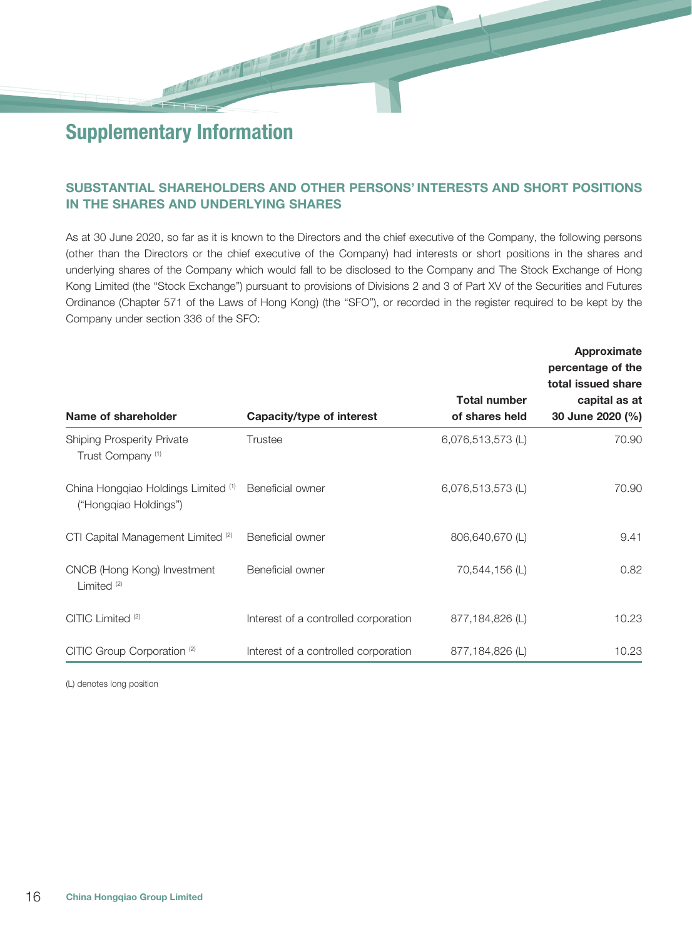## SUBSTANTIAL SHAREHOLDERS AND OTHER PERSONS' INTERESTS AND SHORT POSITIONS IN THE SHARES AND UNDERLYING SHARES

 $\frac{1}{\sqrt{2}}$  ,  $\frac{1}{\sqrt{2}}$  ,  $\frac{1}{\sqrt{2}}$  ,  $\frac{1}{\sqrt{2}}$  ,  $\frac{1}{\sqrt{2}}$  ,  $\frac{1}{\sqrt{2}}$ 

As at 30 June 2020, so far as it is known to the Directors and the chief executive of the Company, the following persons (other than the Directors or the chief executive of the Company) had interests or short positions in the shares and underlying shares of the Company which would fall to be disclosed to the Company and The Stock Exchange of Hong Kong Limited (the "Stock Exchange") pursuant to provisions of Divisions 2 and 3 of Part XV of the Securities and Futures Ordinance (Chapter 571 of the Laws of Hong Kong) (the "SFO"), or recorded in the register required to be kept by the Company under section 336 of the SFO:

|                                                                   |                                      |                     | Approximate<br>percentage of the<br>total issued share |
|-------------------------------------------------------------------|--------------------------------------|---------------------|--------------------------------------------------------|
|                                                                   |                                      | <b>Total number</b> | capital as at                                          |
| Name of shareholder                                               | Capacity/type of interest            | of shares held      | 30 June 2020 (%)                                       |
| <b>Shiping Prosperity Private</b><br>Trust Company <sup>(1)</sup> | Trustee                              | 6,076,513,573 (L)   | 70.90                                                  |
| China Hongqiao Holdings Limited (1)<br>("Hongqiao Holdings")      | Beneficial owner                     | 6,076,513,573 (L)   | 70.90                                                  |
| CTI Capital Management Limited <sup>(2)</sup>                     | Beneficial owner                     | 806,640,670 (L)     | 9.41                                                   |
| CNCB (Hong Kong) Investment<br>Limited <sup>(2)</sup>             | Beneficial owner                     | 70,544,156 (L)      | 0.82                                                   |
| CITIC Limited <sup>(2)</sup>                                      | Interest of a controlled corporation | 877,184,826 (L)     | 10.23                                                  |
| CITIC Group Corporation <sup>(2)</sup>                            | Interest of a controlled corporation | 877,184,826 (L)     | 10.23                                                  |

(L) denotes long position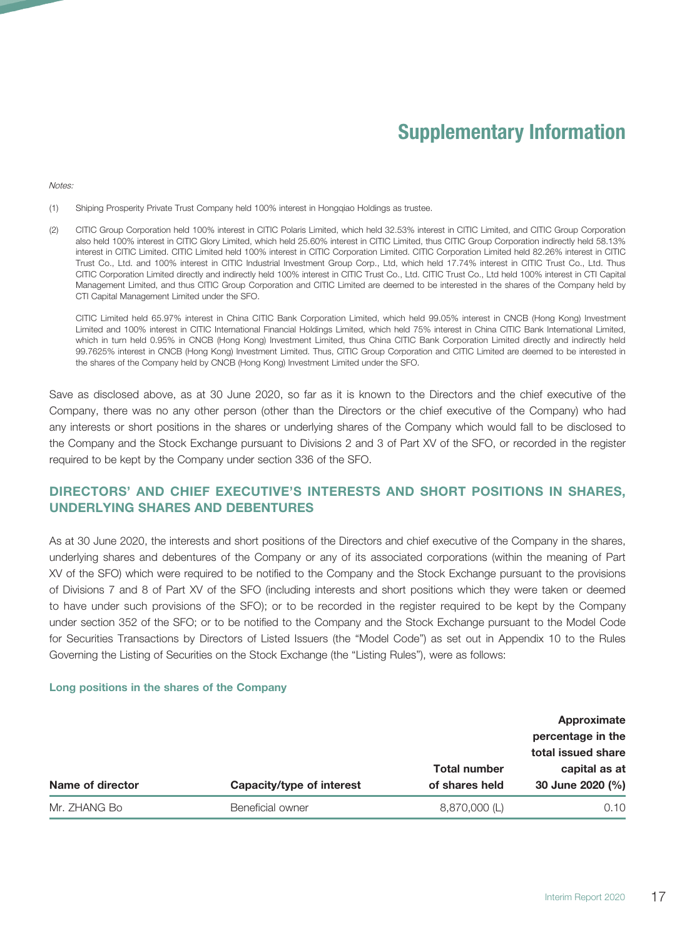**Notes:** 

- (1) Shiping Prosperity Private Trust Company held 100% interest in Hongqiao Holdings as trustee.
- (2) CITIC Group Corporation held 100% interest in CITIC Polaris Limited, which held 32.53% interest in CITIC Limited, and CITIC Group Corporation also held 100% interest in CITIC Glory Limited, which held 25.60% interest in CITIC Limited, thus CITIC Group Corporation indirectly held 58.13% interest in CITIC Limited. CITIC Limited held 100% interest in CITIC Corporation Limited. CITIC Corporation Limited held 82.26% interest in CITIC Trust Co., Ltd. and 100% interest in CITIC Industrial Investment Group Corp., Ltd, which held 17.74% interest in CITIC Trust Co., Ltd. Thus CITIC Corporation Limited directly and indirectly held 100% interest in CITIC Trust Co., Ltd. CITIC Trust Co., Ltd held 100% interest in CTI Capital Management Limited, and thus CITIC Group Corporation and CITIC Limited are deemed to be interested in the shares of the Company held by CTI Capital Management Limited under the SFO.

CITIC Limited held 65.97% interest in China CITIC Bank Corporation Limited, which held 99.05% interest in CNCB (Hong Kong) Investment Limited and 100% interest in CITIC International Financial Holdings Limited, which held 75% interest in China CITIC Bank International Limited, which in turn held 0.95% in CNCB (Hong Kong) Investment Limited, thus China CITIC Bank Corporation Limited directly and indirectly held 99.7625% interest in CNCB (Hong Kong) Investment Limited. Thus, CITIC Group Corporation and CITIC Limited are deemed to be interested in the shares of the Company held by CNCB (Hong Kong) Investment Limited under the SFO.

Save as disclosed above, as at 30 June 2020, so far as it is known to the Directors and the chief executive of the Company, there was no any other person (other than the Directors or the chief executive of the Company) who had any interests or short positions in the shares or underlying shares of the Company which would fall to be disclosed to the Company and the Stock Exchange pursuant to Divisions 2 and 3 of Part XV of the SFO, or recorded in the register required to be kept by the Company under section 336 of the SFO.

## DIRECTORS' AND CHIEF EXECUTIVE'S INTERESTS AND SHORT POSITIONS IN SHARES, UNDERLYING SHARES AND DEBENTURES

As at 30 June 2020, the interests and short positions of the Directors and chief executive of the Company in the shares, underlying shares and debentures of the Company or any of its associated corporations (within the meaning of Part XV of the SFO) which were required to be notified to the Company and the Stock Exchange pursuant to the provisions of Divisions 7 and 8 of Part XV of the SFO (including interests and short positions which they were taken or deemed to have under such provisions of the SFO); or to be recorded in the register required to be kept by the Company under section 352 of the SFO; or to be notified to the Company and the Stock Exchange pursuant to the Model Code for Securities Transactions by Directors of Listed Issuers (the "Model Code") as set out in Appendix 10 to the Rules Governing the Listing of Securities on the Stock Exchange (the "Listing Rules"), were as follows:

#### Long positions in the shares of the Company

|                  |                           |                                       | Approximate<br>percentage in the<br>total issued share |
|------------------|---------------------------|---------------------------------------|--------------------------------------------------------|
| Name of director | Capacity/type of interest | <b>Total number</b><br>of shares held | capital as at<br>30 June 2020 (%)                      |
| Mr. ZHANG Bo     | Beneficial owner          | 8,870,000 (L)                         | 0.10                                                   |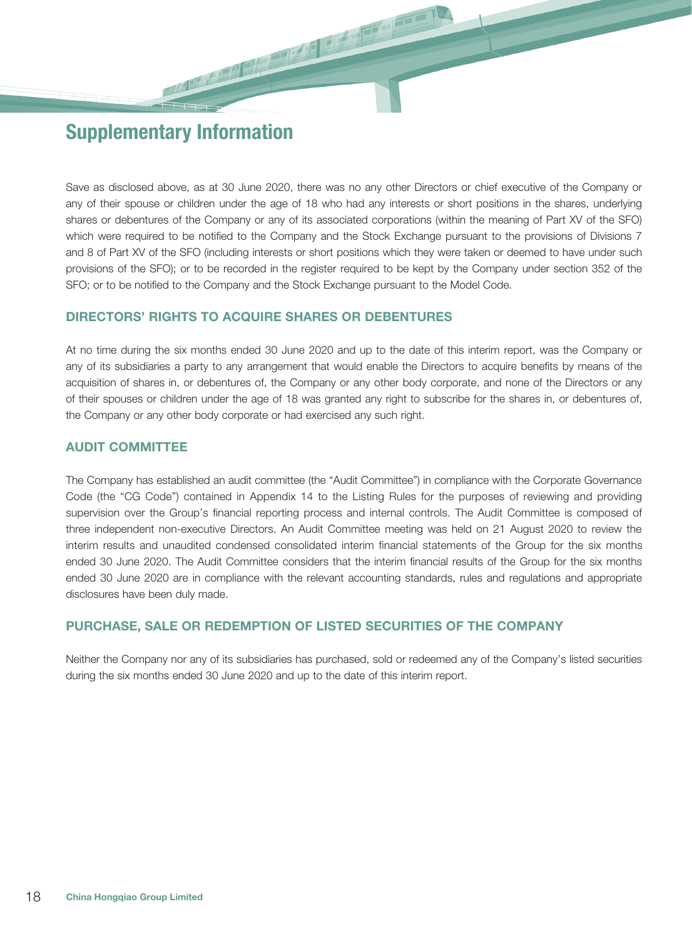Save as disclosed above, as at 30 June 2020, there was no any other Directors or chief executive of the Company or any of their spouse or children under the age of 18 who had any interests or short positions in the shares, underlying shares or debentures of the Company or any of its associated corporations (within the meaning of Part XV of the SFO) which were required to be notified to the Company and the Stock Exchange pursuant to the provisions of Divisions 7 and 8 of Part XV of the SFO (including interests or short positions which they were taken or deemed to have under such provisions of the SFO); or to be recorded in the register required to be kept by the Company under section 352 of the SFO; or to be notified to the Company and the Stock Exchange pursuant to the Model Code.

## DIRECTORS' RIGHTS TO ACQUIRE SHARES OR DEBENTURES

At no time during the six months ended 30 June 2020 and up to the date of this interim report, was the Company or any of its subsidiaries a party to any arrangement that would enable the Directors to acquire benefits by means of the acquisition of shares in, or debentures of, the Company or any other body corporate, and none of the Directors or any of their spouses or children under the age of 18 was granted any right to subscribe for the shares in, or debentures of, the Company or any other body corporate or had exercised any such right.

#### AUDIT COMMITTEE

The Company has established an audit committee (the "Audit Committee") in compliance with the Corporate Governance Code (the "CG Code") contained in Appendix 14 to the Listing Rules for the purposes of reviewing and providing supervision over the Group's financial reporting process and internal controls. The Audit Committee is composed of three independent non-executive Directors. An Audit Committee meeting was held on 21 August 2020 to review the interim results and unaudited condensed consolidated interim financial statements of the Group for the six months ended 30 June 2020. The Audit Committee considers that the interim financial results of the Group for the six months ended 30 June 2020 are in compliance with the relevant accounting standards, rules and regulations and appropriate disclosures have been duly made.

#### PURCHASE, SALE OR REDEMPTION OF LISTED SECURITIES OF THE COMPANY

Neither the Company nor any of its subsidiaries has purchased, sold or redeemed any of the Company's listed securities during the six months ended 30 June 2020 and up to the date of this interim report.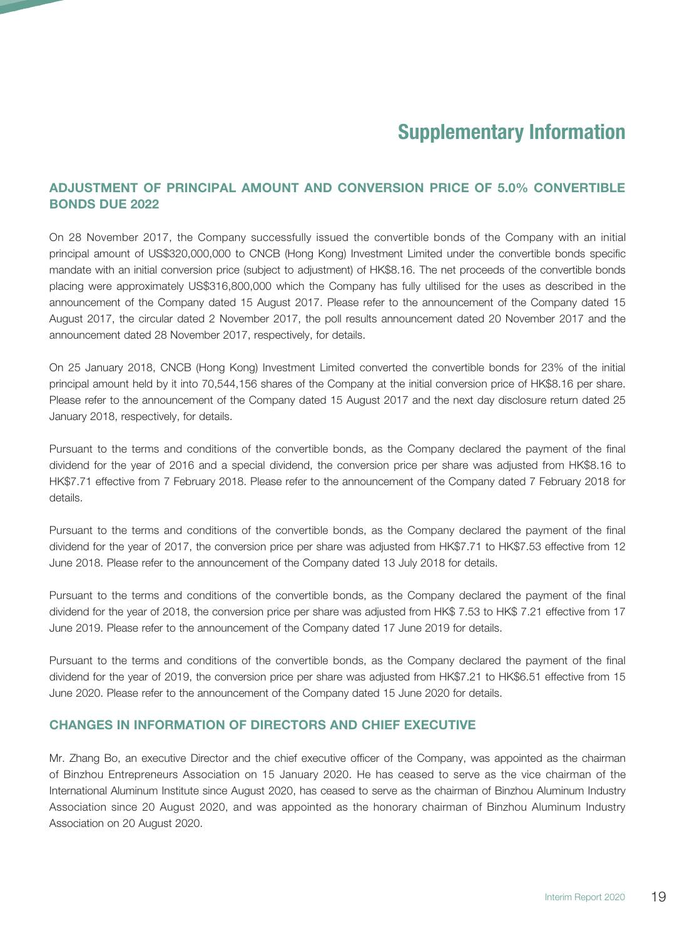## ADJUSTMENT OF PRINCIPAL AMOUNT AND CONVERSION PRICE OF 5.0% CONVERTIBLE BONDS DUE 2022

On 28 November 2017, the Company successfully issued the convertible bonds of the Company with an initial principal amount of US\$320,000,000 to CNCB (Hong Kong) Investment Limited under the convertible bonds specific mandate with an initial conversion price (subject to adjustment) of HK\$8.16. The net proceeds of the convertible bonds placing were approximately US\$316,800,000 which the Company has fully ultilised for the uses as described in the announcement of the Company dated 15 August 2017. Please refer to the announcement of the Company dated 15 August 2017, the circular dated 2 November 2017, the poll results announcement dated 20 November 2017 and the announcement dated 28 November 2017, respectively, for details.

On 25 January 2018, CNCB (Hong Kong) Investment Limited converted the convertible bonds for 23% of the initial principal amount held by it into 70,544,156 shares of the Company at the initial conversion price of HK\$8.16 per share. Please refer to the announcement of the Company dated 15 August 2017 and the next day disclosure return dated 25 January 2018, respectively, for details.

Pursuant to the terms and conditions of the convertible bonds, as the Company declared the payment of the final dividend for the year of 2016 and a special dividend, the conversion price per share was adjusted from HK\$8.16 to HK\$7.71 effective from 7 February 2018. Please refer to the announcement of the Company dated 7 February 2018 for details.

Pursuant to the terms and conditions of the convertible bonds, as the Company declared the payment of the final dividend for the year of 2017, the conversion price per share was adjusted from HK\$7.71 to HK\$7.53 effective from 12 June 2018. Please refer to the announcement of the Company dated 13 July 2018 for details.

Pursuant to the terms and conditions of the convertible bonds, as the Company declared the payment of the final dividend for the year of 2018, the conversion price per share was adjusted from HK\$ 7.53 to HK\$ 7.21 effective from 17 June 2019. Please refer to the announcement of the Company dated 17 June 2019 for details.

Pursuant to the terms and conditions of the convertible bonds, as the Company declared the payment of the final dividend for the year of 2019, the conversion price per share was adjusted from HK\$7.21 to HK\$6.51 effective from 15 June 2020. Please refer to the announcement of the Company dated 15 June 2020 for details.

#### CHANGES IN INFORMATION OF DIRECTORS AND CHIEF EXECUTIVE

Mr. Zhang Bo, an executive Director and the chief executive officer of the Company, was appointed as the chairman of Binzhou Entrepreneurs Association on 15 January 2020. He has ceased to serve as the vice chairman of the International Aluminum Institute since August 2020, has ceased to serve as the chairman of Binzhou Aluminum Industry Association since 20 August 2020, and was appointed as the honorary chairman of Binzhou Aluminum Industry Association on 20 August 2020.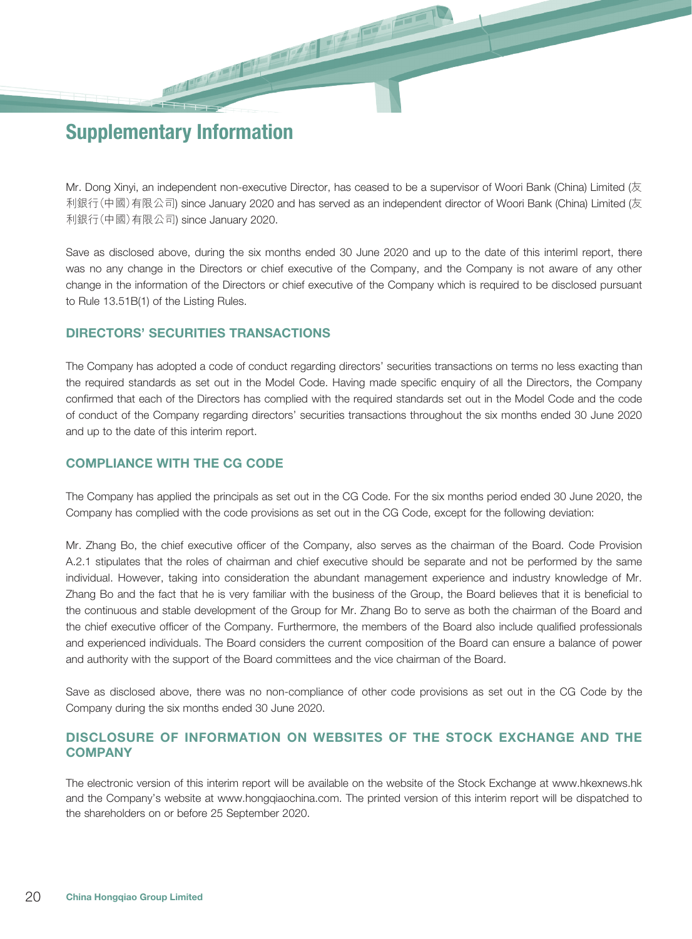Mr. Dong Xinyi, an independent non-executive Director, has ceased to be a supervisor of Woori Bank (China) Limited (友 利銀行(中國)有限公司) since January 2020 and has served as an independent director of Woori Bank (China) Limited (友 利銀行(中國)有限公司) since January 2020.

Save as disclosed above, during the six months ended 30 June 2020 and up to the date of this interiml report, there was no any change in the Directors or chief executive of the Company, and the Company is not aware of any other change in the information of the Directors or chief executive of the Company which is required to be disclosed pursuant to Rule 13.51B(1) of the Listing Rules.

#### DIRECTORS' SECURITIES TRANSACTIONS

The Company has adopted a code of conduct regarding directors' securities transactions on terms no less exacting than the required standards as set out in the Model Code. Having made specific enquiry of all the Directors, the Company confirmed that each of the Directors has complied with the required standards set out in the Model Code and the code of conduct of the Company regarding directors' securities transactions throughout the six months ended 30 June 2020 and up to the date of this interim report.

#### COMPLIANCE WITH THE CG CODE

The Company has applied the principals as set out in the CG Code. For the six months period ended 30 June 2020, the Company has complied with the code provisions as set out in the CG Code, except for the following deviation:

Mr. Zhang Bo, the chief executive officer of the Company, also serves as the chairman of the Board. Code Provision A.2.1 stipulates that the roles of chairman and chief executive should be separate and not be performed by the same individual. However, taking into consideration the abundant management experience and industry knowledge of Mr. Zhang Bo and the fact that he is very familiar with the business of the Group, the Board believes that it is beneficial to the continuous and stable development of the Group for Mr. Zhang Bo to serve as both the chairman of the Board and the chief executive officer of the Company. Furthermore, the members of the Board also include qualified professionals and experienced individuals. The Board considers the current composition of the Board can ensure a balance of power and authority with the support of the Board committees and the vice chairman of the Board.

Save as disclosed above, there was no non-compliance of other code provisions as set out in the CG Code by the Company during the six months ended 30 June 2020.

## DISCLOSURE OF INFORMATION ON WEBSITES OF THE STOCK EXCHANGE AND THE **COMPANY**

The electronic version of this interim report will be available on the website of the Stock Exchange at www.hkexnews.hk and the Company's website at www.hongqiaochina.com. The printed version of this interim report will be dispatched to the shareholders on or before 25 September 2020.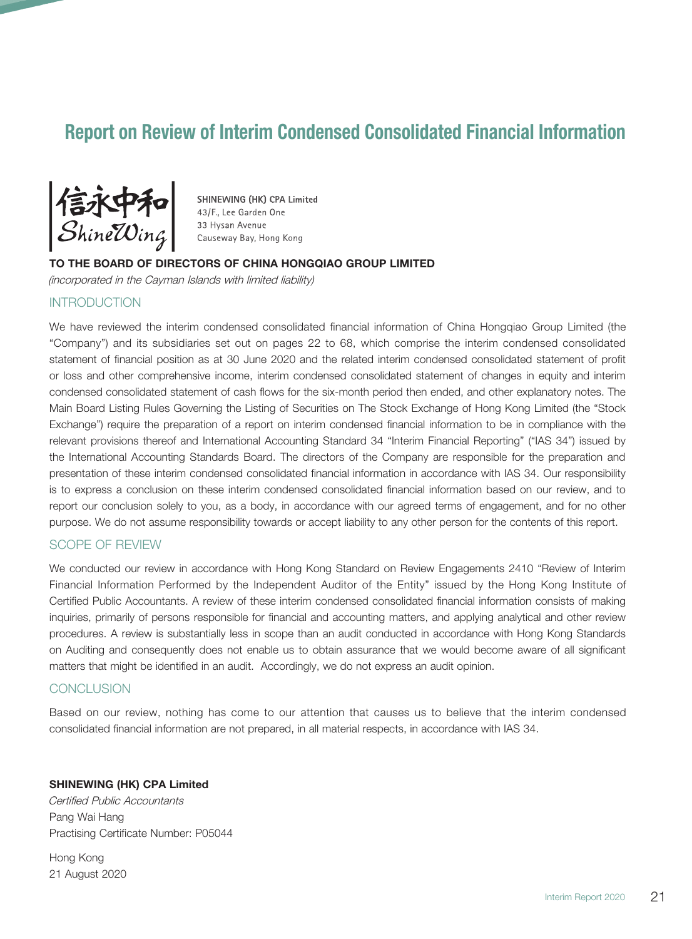# Report on Review of Interim Condensed Consolidated Financial Information



SHINEWING (HK) CPA Limited 43/F., Lee Garden One 33 Hysan Avenue Causeway Bay, Hong Kong

#### TO THE BOARD OF DIRECTORS OF CHINA HONGQIAO GROUP LIMITED

(incorporated in the Cayman Islands with limited liability)

#### **INTRODUCTION**

We have reviewed the interim condensed consolidated financial information of China Hongqiao Group Limited (the "Company") and its subsidiaries set out on pages 22 to 68, which comprise the interim condensed consolidated statement of financial position as at 30 June 2020 and the related interim condensed consolidated statement of profit or loss and other comprehensive income, interim condensed consolidated statement of changes in equity and interim condensed consolidated statement of cash flows for the six-month period then ended, and other explanatory notes. The Main Board Listing Rules Governing the Listing of Securities on The Stock Exchange of Hong Kong Limited (the "Stock Exchange") require the preparation of a report on interim condensed financial information to be in compliance with the relevant provisions thereof and International Accounting Standard 34 "Interim Financial Reporting" ("IAS 34") issued by the International Accounting Standards Board. The directors of the Company are responsible for the preparation and presentation of these interim condensed consolidated financial information in accordance with IAS 34. Our responsibility is to express a conclusion on these interim condensed consolidated financial information based on our review, and to report our conclusion solely to you, as a body, in accordance with our agreed terms of engagement, and for no other purpose. We do not assume responsibility towards or accept liability to any other person for the contents of this report.

#### SCOPE OF REVIEW

We conducted our review in accordance with Hong Kong Standard on Review Engagements 2410 "Review of Interim Financial Information Performed by the Independent Auditor of the Entity" issued by the Hong Kong Institute of Certified Public Accountants. A review of these interim condensed consolidated financial information consists of making inquiries, primarily of persons responsible for financial and accounting matters, and applying analytical and other review procedures. A review is substantially less in scope than an audit conducted in accordance with Hong Kong Standards on Auditing and consequently does not enable us to obtain assurance that we would become aware of all significant matters that might be identified in an audit. Accordingly, we do not express an audit opinion.

#### CONCLUSION

Based on our review, nothing has come to our attention that causes us to believe that the interim condensed consolidated financial information are not prepared, in all material respects, in accordance with IAS 34.

#### SHINEWING (HK) CPA Limited

Certified Public Accountants Pang Wai Hang Practising Certificate Number: P05044

Hong Kong 21 August 2020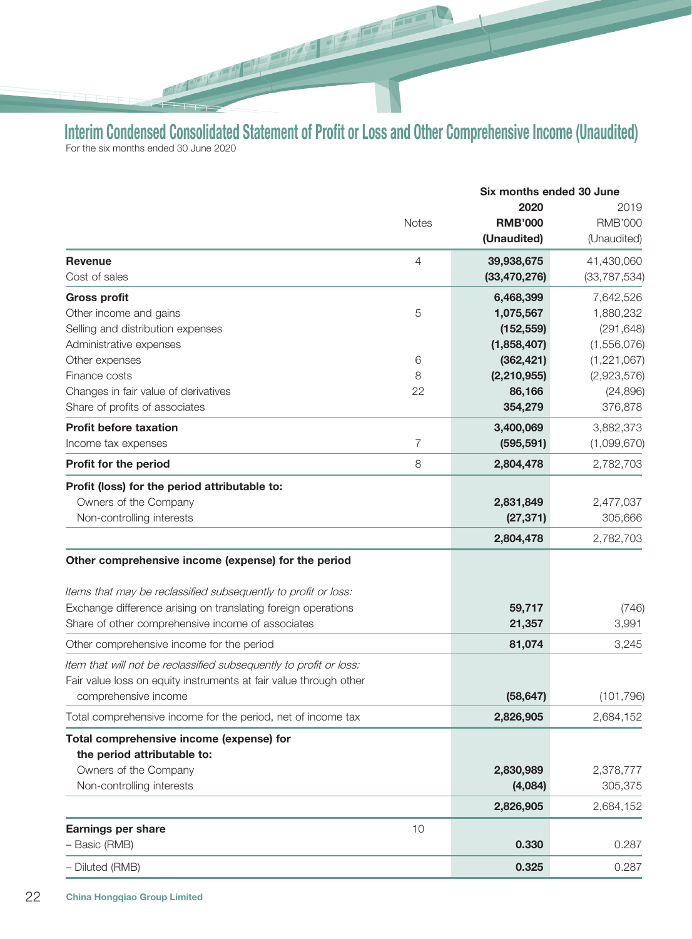Interim Condensed Consolidated Statement of Profit or Loss and Other Comprehensive Income (Unaudited) For the six months ended 30 June 2020

**PARTIES** 

在 四

|                                                                    |              | Six months ended 30 June |                        |
|--------------------------------------------------------------------|--------------|--------------------------|------------------------|
|                                                                    | <b>Notes</b> | 2020<br><b>RMB'000</b>   | 2019<br><b>RMB'000</b> |
|                                                                    |              | (Unaudited)              | (Unaudited)            |
| <b>Revenue</b>                                                     | 4            | 39,938,675               | 41,430,060             |
| Cost of sales                                                      |              | (33, 470, 276)           | (33, 787, 534)         |
| <b>Gross profit</b>                                                |              | 6,468,399                | 7,642,526              |
| Other income and gains                                             | 5            | 1,075,567                | 1,880,232              |
| Selling and distribution expenses                                  |              | (152, 559)               | (291, 648)             |
| Administrative expenses                                            |              | (1,858,407)              | (1,556,076)            |
| Other expenses                                                     | 6            | (362, 421)               | (1, 221, 067)          |
| Finance costs                                                      | 8            | (2, 210, 955)            | (2,923,576)            |
| Changes in fair value of derivatives                               | 22           | 86,166                   | (24, 896)              |
| Share of profits of associates                                     |              | 354,279                  | 376,878                |
| <b>Profit before taxation</b>                                      |              | 3,400,069                | 3,882,373              |
| Income tax expenses                                                | 7            | (595, 591)               | (1,099,670)            |
| Profit for the period                                              | 8            | 2,804,478                | 2,782,703              |
| Profit (loss) for the period attributable to:                      |              |                          |                        |
| Owners of the Company                                              |              | 2,831,849                | 2,477,037              |
| Non-controlling interests                                          |              | (27, 371)                | 305,666                |
|                                                                    |              | 2,804,478                | 2,782,703              |
| Other comprehensive income (expense) for the period                |              |                          |                        |
| Items that may be reclassified subsequently to profit or loss:     |              |                          |                        |
| Exchange difference arising on translating foreign operations      |              | 59,717                   | (746)                  |
| Share of other comprehensive income of associates                  |              | 21,357                   | 3,991                  |
| Other comprehensive income for the period                          |              | 81,074                   | 3,245                  |
| Item that will not be reclassified subsequently to profit or loss: |              |                          |                        |
| Fair value loss on equity instruments at fair value through other  |              |                          |                        |
| comprehensive income                                               |              | (58, 647)                | (101, 796)             |
| Total comprehensive income for the period, net of income tax       |              | 2,826,905                | 2,684,152              |
| Total comprehensive income (expense) for                           |              |                          |                        |
| the period attributable to:                                        |              |                          |                        |
| Owners of the Company                                              |              | 2,830,989                | 2,378,777              |
| Non-controlling interests                                          |              | (4,084)                  | 305,375                |
|                                                                    |              | 2,826,905                | 2,684,152              |
|                                                                    |              |                          |                        |
| <b>Earnings per share</b>                                          | 10           |                          |                        |
| - Basic (RMB)                                                      |              | 0.330                    | 0.287                  |
| - Diluted (RMB)                                                    |              | 0.325                    | 0.287                  |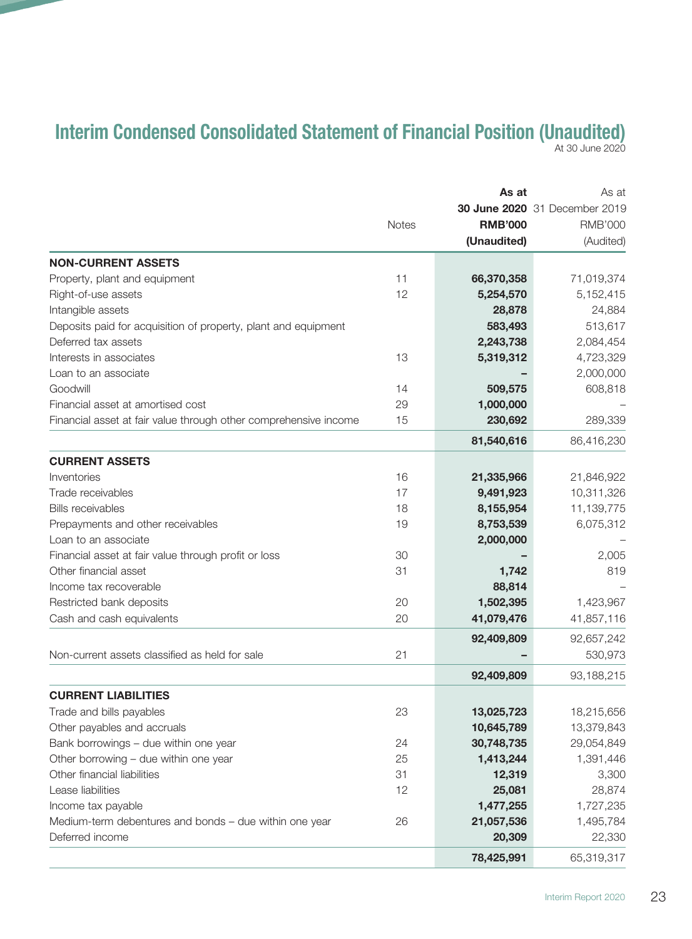# Interim Condensed Consolidated Statement of Financial Position (Unaudited) At 30 June 2020

|                                                                  |              | As at          | As at                         |
|------------------------------------------------------------------|--------------|----------------|-------------------------------|
|                                                                  | <b>Notes</b> |                | 30 June 2020 31 December 2019 |
|                                                                  |              | <b>RMB'000</b> | <b>RMB'000</b>                |
|                                                                  |              | (Unaudited)    | (Audited)                     |
| <b>NON-CURRENT ASSETS</b>                                        |              |                |                               |
| Property, plant and equipment                                    | 11           | 66,370,358     | 71,019,374                    |
| Right-of-use assets                                              | 12           | 5,254,570      | 5,152,415                     |
| Intangible assets                                                |              | 28,878         | 24,884                        |
| Deposits paid for acquisition of property, plant and equipment   |              | 583,493        | 513,617                       |
| Deferred tax assets                                              |              | 2,243,738      | 2,084,454                     |
| Interests in associates                                          | 13           | 5,319,312      | 4,723,329                     |
| Loan to an associate                                             |              |                | 2,000,000                     |
| Goodwill                                                         | 14           | 509,575        | 608,818                       |
| Financial asset at amortised cost                                | 29           | 1,000,000      |                               |
| Financial asset at fair value through other comprehensive income | 15           | 230,692        | 289,339                       |
|                                                                  |              | 81,540,616     | 86,416,230                    |
| <b>CURRENT ASSETS</b>                                            |              |                |                               |
| Inventories                                                      | 16           | 21,335,966     | 21,846,922                    |
| Trade receivables                                                | 17           | 9,491,923      | 10,311,326                    |
| <b>Bills receivables</b>                                         | 18           | 8,155,954      | 11,139,775                    |
| Prepayments and other receivables                                | 19           | 8,753,539      | 6,075,312                     |
| Loan to an associate                                             |              | 2,000,000      |                               |
| Financial asset at fair value through profit or loss             | 30           |                | 2,005                         |
| Other financial asset                                            | 31           | 1,742          | 819                           |
| Income tax recoverable                                           |              | 88,814         |                               |
| Restricted bank deposits                                         | 20           | 1,502,395      | 1,423,967                     |
| Cash and cash equivalents                                        | 20           | 41,079,476     | 41,857,116                    |
|                                                                  |              | 92,409,809     | 92,657,242                    |
| Non-current assets classified as held for sale                   | 21           |                | 530,973                       |
|                                                                  |              | 92,409,809     | 93,188,215                    |
| <b>CURRENT LIABILITIES</b>                                       |              |                |                               |
| Trade and bills payables                                         | 23           | 13,025,723     | 18,215,656                    |
| Other payables and accruals                                      |              | 10,645,789     | 13,379,843                    |
| Bank borrowings - due within one year                            | 24           | 30,748,735     | 29,054,849                    |
| Other borrowing - due within one year                            | 25           | 1,413,244      | 1,391,446                     |
| Other financial liabilities                                      | 31           | 12,319         | 3,300                         |
| Lease liabilities                                                | 12           | 25,081         | 28,874                        |
| Income tax payable                                               |              | 1,477,255      | 1,727,235                     |
| Medium-term debentures and bonds - due within one year           | 26           | 21,057,536     | 1,495,784                     |
| Deferred income                                                  |              | 20,309         | 22,330                        |
|                                                                  |              | 78,425,991     | 65,319,317                    |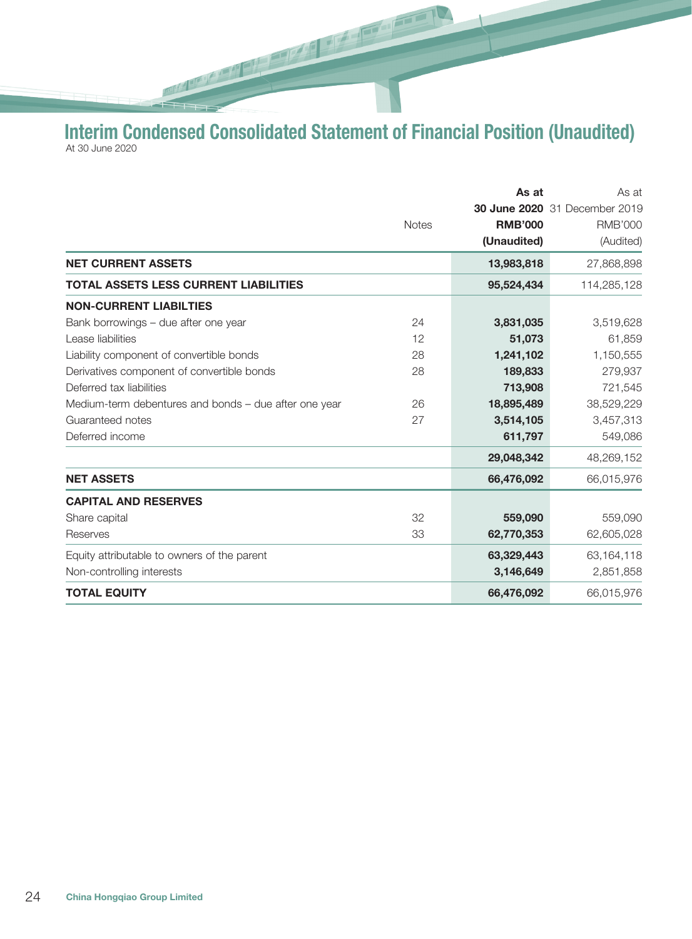Interim Condensed Consolidated Statement of Financial Position (Unaudited) At 30 June 2020

**Report Follow** 

 $\sqrt{2\pi}$ 

|                                                       |              | As at          | As at                                |
|-------------------------------------------------------|--------------|----------------|--------------------------------------|
|                                                       |              |                | <b>30 June 2020</b> 31 December 2019 |
|                                                       | <b>Notes</b> | <b>RMB'000</b> | <b>RMB'000</b>                       |
|                                                       |              | (Unaudited)    | (Audited)                            |
| <b>NET CURRENT ASSETS</b>                             |              | 13,983,818     | 27,868,898                           |
| TOTAL ASSETS LESS CURRENT LIABILITIES                 |              | 95,524,434     | 114,285,128                          |
| <b>NON-CURRENT LIABILTIES</b>                         |              |                |                                      |
| Bank borrowings - due after one year                  | 24           | 3,831,035      | 3,519,628                            |
| Lease liabilities                                     | 12           | 51,073         | 61,859                               |
| Liability component of convertible bonds              | 28           | 1,241,102      | 1,150,555                            |
| Derivatives component of convertible bonds            | 28           | 189,833        | 279,937                              |
| Deferred tax liabilities                              |              | 713,908        | 721,545                              |
| Medium-term debentures and bonds – due after one year | 26           | 18,895,489     | 38,529,229                           |
| Guaranteed notes                                      | 27           | 3,514,105      | 3,457,313                            |
| Deferred income                                       |              | 611,797        | 549,086                              |
|                                                       |              | 29,048,342     | 48,269,152                           |
| <b>NET ASSETS</b>                                     |              | 66,476,092     | 66,015,976                           |
| <b>CAPITAL AND RESERVES</b>                           |              |                |                                      |
| Share capital                                         | 32           | 559,090        | 559,090                              |
| Reserves                                              | 33           | 62,770,353     | 62,605,028                           |
| Equity attributable to owners of the parent           |              | 63,329,443     | 63,164,118                           |
| Non-controlling interests                             |              | 3,146,649      | 2,851,858                            |
| <b>TOTAL EQUITY</b>                                   |              | 66,476,092     | 66,015,976                           |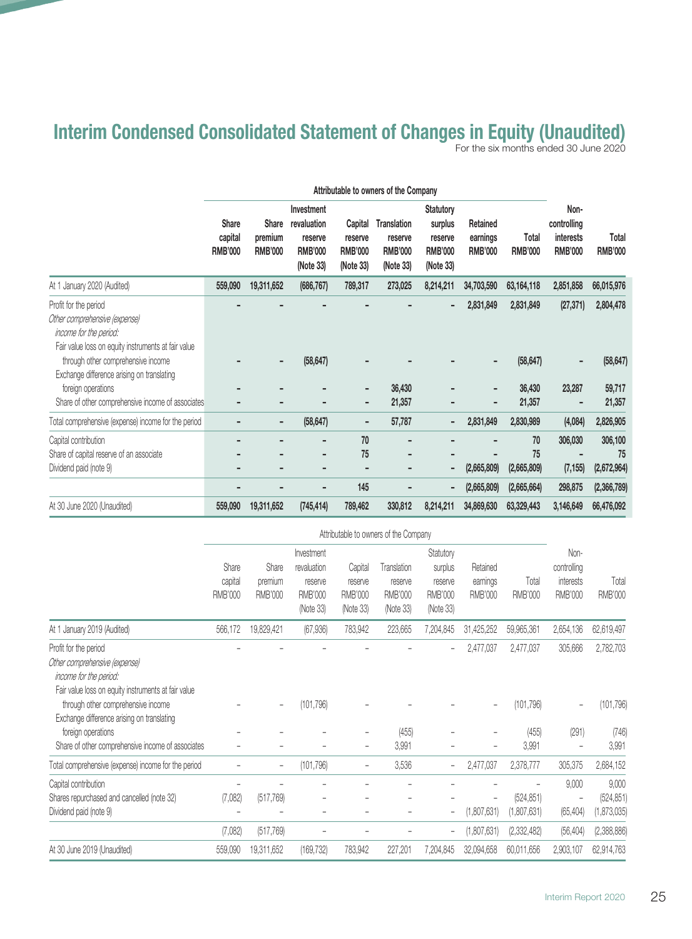# Interim Condensed Consolidated Statement of Changes in Equity (Unaudited)

For the six months ended 30 June 2020

|                                                                                                                                         |                                           |                                           |                                                                     |                                                   | Attributable to owners of the Company                        |                                                                       |                                        |                         |                                                           |                         |
|-----------------------------------------------------------------------------------------------------------------------------------------|-------------------------------------------|-------------------------------------------|---------------------------------------------------------------------|---------------------------------------------------|--------------------------------------------------------------|-----------------------------------------------------------------------|----------------------------------------|-------------------------|-----------------------------------------------------------|-------------------------|
|                                                                                                                                         | <b>Share</b><br>capital<br><b>RMB'000</b> | <b>Share</b><br>premium<br><b>RMB'000</b> | Investment<br>revaluation<br>reserve<br><b>RMB'000</b><br>(Note 33) | Capital<br>reserve<br><b>RMB'000</b><br>(Note 33) | <b>Translation</b><br>reserve<br><b>RMB'000</b><br>(Note 33) | <b>Statutory</b><br>surplus<br>reserve<br><b>RMB'000</b><br>(Note 33) | Retained<br>earnings<br><b>RMB'000</b> | Total<br><b>RMB'000</b> | Non-<br>controlling<br><b>interests</b><br><b>RMB'000</b> | Total<br><b>RMB'000</b> |
| At 1 January 2020 (Audited)                                                                                                             | 559,090                                   | 19,311,652                                | (686, 767)                                                          | 789,317                                           | 273,025                                                      | 8,214,211                                                             | 34,703,590                             | 63,164,118              | 2,851,858                                                 | 66,015,976              |
| Profit for the period<br>Other comprehensive (expense)<br>income for the period:<br>Fair value loss on equity instruments at fair value |                                           |                                           |                                                                     |                                                   |                                                              |                                                                       | 2,831,849                              | 2,831,849               | (27, 371)                                                 | 2,804,478               |
| through other comprehensive income<br>Exchange difference arising on translating                                                        |                                           |                                           | (58, 647)                                                           |                                                   |                                                              |                                                                       |                                        | (58, 647)               |                                                           | (58, 647)               |
| foreign operations                                                                                                                      |                                           |                                           |                                                                     |                                                   | 36,430                                                       |                                                                       |                                        | 36,430                  | 23,287                                                    | 59,717                  |
| Share of other comprehensive income of associates                                                                                       |                                           |                                           |                                                                     |                                                   | 21,357                                                       |                                                                       |                                        | 21,357                  | ٠                                                         | 21,357                  |
| Total comprehensive (expense) income for the period                                                                                     |                                           |                                           | (58, 647)                                                           | ۰                                                 | 57,787                                                       |                                                                       | 2,831,849                              | 2,830,989               | (4,084)                                                   | 2,826,905               |
| Capital contribution                                                                                                                    |                                           |                                           |                                                                     | 70                                                |                                                              |                                                                       |                                        | 70                      | 306,030                                                   | 306,100                 |
| Share of capital reserve of an associate                                                                                                |                                           |                                           | ۰                                                                   | 75                                                |                                                              |                                                                       |                                        | 75                      |                                                           | 75                      |
| Dividend paid (note 9)                                                                                                                  | -                                         |                                           |                                                                     |                                                   |                                                              |                                                                       | (2,665,809)                            | (2,665,809)             | (7, 155)                                                  | (2,672,964)             |
|                                                                                                                                         |                                           |                                           |                                                                     | 145                                               |                                                              |                                                                       | (2,665,809)                            | (2,665,664)             | 298,875                                                   | (2,366,789)             |
| At 30 June 2020 (Unaudited)                                                                                                             | 559,090                                   | 19,311,652                                | (745, 414)                                                          | 789,462                                           | 330,812                                                      | 8,214,211                                                             | 34,869,630                             | 63,329,443              | 3,146,649                                                 | 66,476,092              |

|                                                                                                                                         |                                    |                                    |                                                                     |                                                   | Attributable to owners of the Company                 |                                                                |                                        |                           |                                                    |                                    |
|-----------------------------------------------------------------------------------------------------------------------------------------|------------------------------------|------------------------------------|---------------------------------------------------------------------|---------------------------------------------------|-------------------------------------------------------|----------------------------------------------------------------|----------------------------------------|---------------------------|----------------------------------------------------|------------------------------------|
|                                                                                                                                         | Share<br>capital<br><b>RMB'000</b> | Share<br>premium<br><b>RMB'000</b> | Investment<br>revaluation<br>reserve<br><b>RMB'000</b><br>(Note 33) | Capital<br>reserve<br><b>RMB'000</b><br>(Note 33) | Translation<br>reserve<br><b>RMB'000</b><br>(Note 33) | Statutory<br>surplus<br>reserve<br><b>RMB'000</b><br>(Note 33) | Retained<br>earnings<br><b>RMB'000</b> | Total<br><b>RMB'000</b>   | Non-<br>controlling<br>interests<br><b>RMB'000</b> | Total<br><b>RMB'000</b>            |
| At 1 January 2019 (Audited)                                                                                                             | 566,172                            | 19,829,421                         | (67, 936)                                                           | 783,942                                           | 223,665                                               | 7,204,845                                                      | 31,425,252                             | 59,965,361                | 2,654,136                                          | 62,619,497                         |
| Profit for the period<br>Other comprehensive (expense)<br>income for the period:<br>Fair value loss on equity instruments at fair value |                                    |                                    |                                                                     |                                                   |                                                       |                                                                | 2,477,037                              | 2,477,037                 | 305,666                                            | 2,782,703                          |
| through other comprehensive income<br>Exchange difference arising on translating                                                        |                                    |                                    | (101, 796)                                                          |                                                   |                                                       |                                                                |                                        | (101, 796)                |                                                    | (101, 796)                         |
| foreign operations<br>Share of other comprehensive income of associates                                                                 |                                    |                                    |                                                                     | -                                                 | (455)<br>3,991                                        |                                                                |                                        | (455)<br>3,991            | (291)                                              | (746)<br>3,991                     |
| Total comprehensive (expense) income for the period                                                                                     |                                    | $\qquad \qquad -$                  | (101, 796)                                                          | -                                                 | 3,536                                                 | $\overline{\phantom{0}}$                                       | 2,477,037                              | 2,378,777                 | 305,375                                            | 2,684,152                          |
| Capital contribution<br>Shares repurchased and cancelled (note 32)<br>Dividend paid (note 9)                                            | (7,082)                            | (517, 769)                         |                                                                     |                                                   |                                                       |                                                                | (1,807,631)                            | (524, 851)<br>(1,807,631) | 9,000<br>$\qquad \qquad -$<br>(65, 404)            | 9,000<br>(524, 851)<br>(1,873,035) |
| At 30 June 2019 (Unaudited)                                                                                                             | (7,082)<br>559,090                 | (517, 769)<br>19,311,652           | (169, 732)                                                          | 783,942                                           | 227,201                                               | 7,204,845                                                      | (1,807,631)<br>32,094,658              | (2,332,482)<br>60,011,656 | (56, 404)<br>2,903,107                             | (2,388,886)<br>62,914,763          |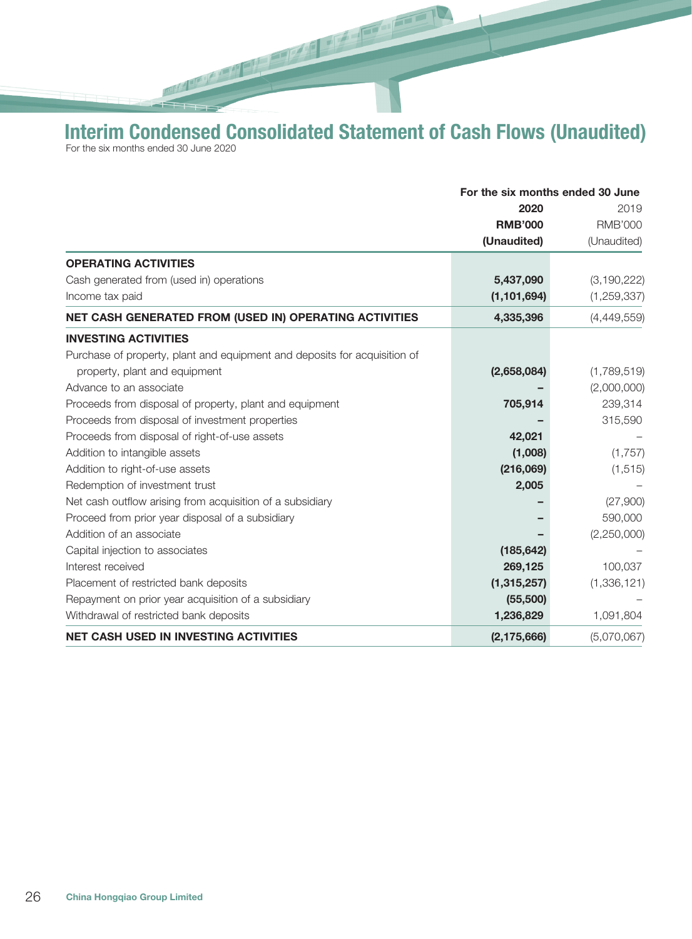Interim Condensed Consolidated Statement of Cash Flows (Unaudited) For the six months ended 30 June 2020

**RANGE AND ADDRESS** 

 $\frac{1}{\sqrt{2}}\int_{0}^{2\pi} \frac{1}{\sqrt{2}}\left( \frac{1}{\sqrt{2}}\right) \frac{d\sqrt{2}}{d\sqrt{2}}\left( \frac{1}{\sqrt{2}}\right)$ 

|                                                                           | For the six months ended 30 June |                |
|---------------------------------------------------------------------------|----------------------------------|----------------|
|                                                                           | 2020<br><b>RMB'000</b>           | 2019           |
|                                                                           |                                  | <b>RMB'000</b> |
|                                                                           | (Unaudited)                      | (Unaudited)    |
| <b>OPERATING ACTIVITIES</b>                                               |                                  |                |
| Cash generated from (used in) operations                                  | 5,437,090                        | (3, 190, 222)  |
| Income tax paid                                                           | (1, 101, 694)                    | (1, 259, 337)  |
| NET CASH GENERATED FROM (USED IN) OPERATING ACTIVITIES                    | 4,335,396                        | (4,449,559)    |
| <b>INVESTING ACTIVITIES</b>                                               |                                  |                |
| Purchase of property, plant and equipment and deposits for acquisition of |                                  |                |
| property, plant and equipment                                             | (2,658,084)                      | (1,789,519)    |
| Advance to an associate                                                   |                                  | (2,000,000)    |
| Proceeds from disposal of property, plant and equipment                   | 705,914                          | 239,314        |
| Proceeds from disposal of investment properties                           |                                  | 315,590        |
| Proceeds from disposal of right-of-use assets                             | 42,021                           |                |
| Addition to intangible assets                                             | (1,008)                          | (1,757)        |
| Addition to right-of-use assets                                           | (216,069)                        | (1, 515)       |
| Redemption of investment trust                                            | 2,005                            |                |
| Net cash outflow arising from acquisition of a subsidiary                 |                                  | (27,900)       |
| Proceed from prior year disposal of a subsidiary                          |                                  | 590,000        |
| Addition of an associate                                                  |                                  | (2,250,000)    |
| Capital injection to associates                                           | (185, 642)                       |                |
| Interest received                                                         | 269,125                          | 100,037        |
| Placement of restricted bank deposits                                     | (1, 315, 257)                    | (1,336,121)    |
| Repayment on prior year acquisition of a subsidiary                       | (55,500)                         |                |
| Withdrawal of restricted bank deposits                                    | 1,236,829                        | 1,091,804      |
| <b>NET CASH USED IN INVESTING ACTIVITIES</b>                              | (2, 175, 666)                    | (5,070,067)    |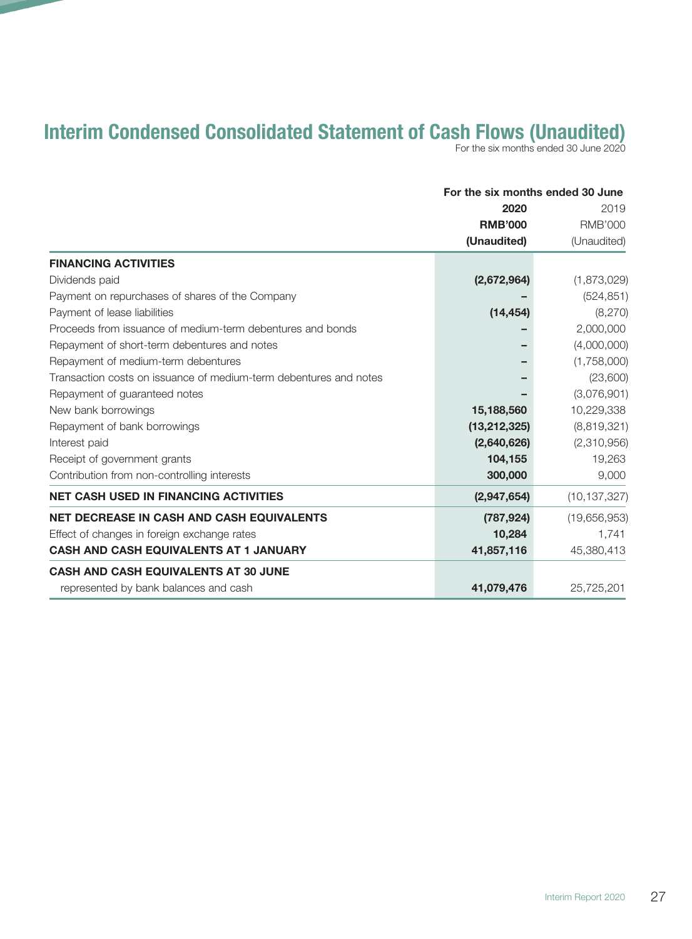# Interim Condensed Consolidated Statement of Cash Flows (Unaudited)

For the six months ended 30 June 2020

|                                                                   | For the six months ended 30 June |                                       |
|-------------------------------------------------------------------|----------------------------------|---------------------------------------|
|                                                                   | 2020<br><b>RMB'000</b>           | 2019<br><b>RMB'000</b><br>(Unaudited) |
|                                                                   |                                  |                                       |
|                                                                   | (Unaudited)                      |                                       |
| <b>FINANCING ACTIVITIES</b>                                       |                                  |                                       |
| Dividends paid                                                    | (2,672,964)                      | (1,873,029)                           |
| Payment on repurchases of shares of the Company                   |                                  | (524, 851)                            |
| Payment of lease liabilities                                      | (14, 454)                        | (8,270)                               |
| Proceeds from issuance of medium-term debentures and bonds        |                                  | 2,000,000                             |
| Repayment of short-term debentures and notes                      |                                  | (4,000,000)                           |
| Repayment of medium-term debentures                               |                                  | (1,758,000)                           |
| Transaction costs on issuance of medium-term debentures and notes |                                  | (23,600)                              |
| Repayment of guaranteed notes                                     |                                  | (3,076,901)                           |
| New bank borrowings                                               | 15,188,560                       | 10,229,338                            |
| Repayment of bank borrowings                                      | (13, 212, 325)                   | (8,819,321)                           |
| Interest paid                                                     | (2,640,626)                      | (2,310,956)                           |
| Receipt of government grants                                      | 104,155                          | 19,263                                |
| Contribution from non-controlling interests                       | 300,000                          | 9,000                                 |
| <b>NET CASH USED IN FINANCING ACTIVITIES</b>                      | (2,947,654)                      | (10, 137, 327)                        |
| <b>NET DECREASE IN CASH AND CASH EQUIVALENTS</b>                  | (787, 924)                       | (19,656,953)                          |
| Effect of changes in foreign exchange rates                       | 10,284                           | 1,741                                 |
| <b>CASH AND CASH EQUIVALENTS AT 1 JANUARY</b>                     | 41,857,116                       | 45,380,413                            |
| <b>CASH AND CASH EQUIVALENTS AT 30 JUNE</b>                       |                                  |                                       |
| represented by bank balances and cash                             | 41,079,476                       | 25,725,201                            |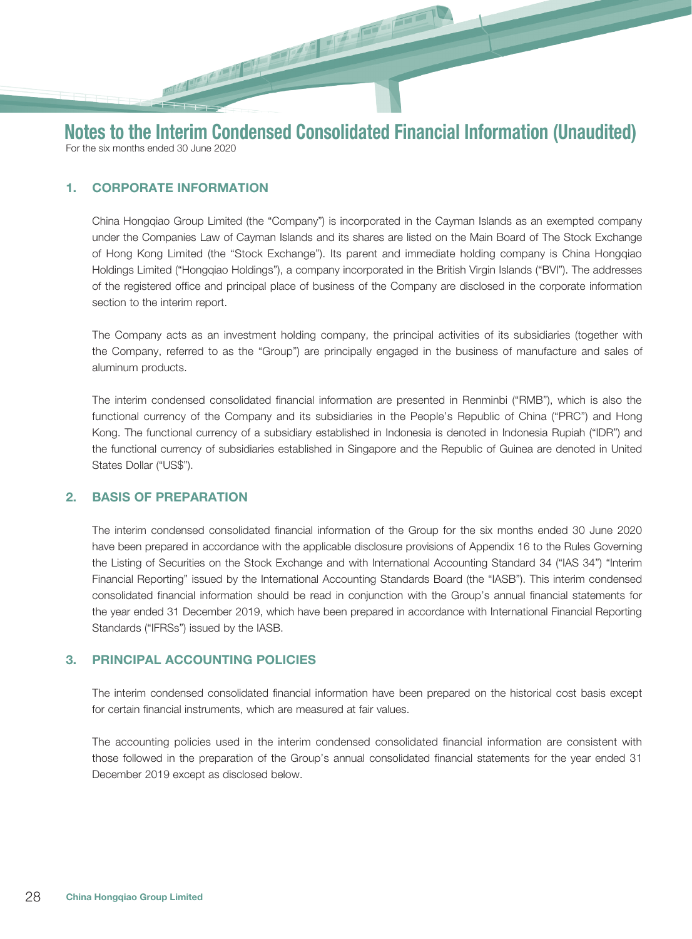## 1. CORPORATE INFORMATION

China Hongqiao Group Limited (the "Company") is incorporated in the Cayman Islands as an exempted company under the Companies Law of Cayman Islands and its shares are listed on the Main Board of The Stock Exchange of Hong Kong Limited (the "Stock Exchange"). Its parent and immediate holding company is China Hongqiao Holdings Limited ("Hongqiao Holdings"), a company incorporated in the British Virgin Islands ("BVI"). The addresses of the registered office and principal place of business of the Company are disclosed in the corporate information section to the interim report.

The Company acts as an investment holding company, the principal activities of its subsidiaries (together with the Company, referred to as the "Group") are principally engaged in the business of manufacture and sales of aluminum products.

The interim condensed consolidated financial information are presented in Renminbi ("RMB"), which is also the functional currency of the Company and its subsidiaries in the People's Republic of China ("PRC") and Hong Kong. The functional currency of a subsidiary established in Indonesia is denoted in Indonesia Rupiah ("IDR") and the functional currency of subsidiaries established in Singapore and the Republic of Guinea are denoted in United States Dollar ("US\$").

#### 2. BASIS OF PREPARATION

The interim condensed consolidated financial information of the Group for the six months ended 30 June 2020 have been prepared in accordance with the applicable disclosure provisions of Appendix 16 to the Rules Governing the Listing of Securities on the Stock Exchange and with International Accounting Standard 34 ("IAS 34") "Interim Financial Reporting" issued by the International Accounting Standards Board (the "IASB"). This interim condensed consolidated financial information should be read in conjunction with the Group's annual financial statements for the year ended 31 December 2019, which have been prepared in accordance with International Financial Reporting Standards ("IFRSs") issued by the IASB.

#### 3. PRINCIPAL ACCOUNTING POLICIES

The interim condensed consolidated financial information have been prepared on the historical cost basis except for certain financial instruments, which are measured at fair values.

The accounting policies used in the interim condensed consolidated financial information are consistent with those followed in the preparation of the Group's annual consolidated financial statements for the year ended 31 December 2019 except as disclosed below.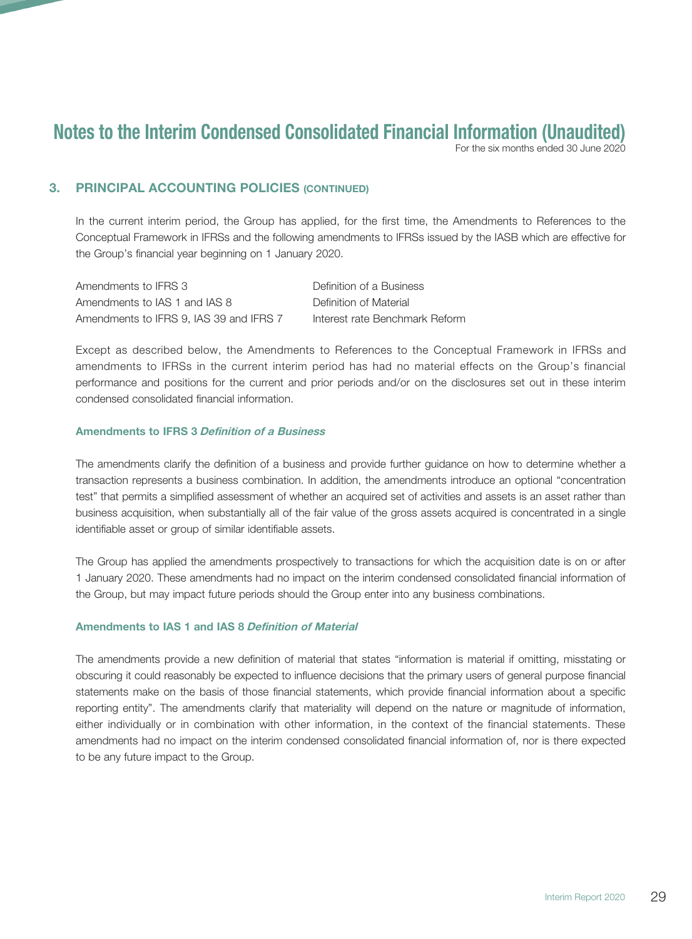For the six months ended 30 June 2020

## 3. PRINCIPAL ACCOUNTING POLICIES (CONTINUED)

In the current interim period, the Group has applied, for the first time, the Amendments to References to the Conceptual Framework in IFRSs and the following amendments to IFRSs issued by the IASB which are effective for the Group's financial year beginning on 1 January 2020.

Amendments to IFRS 3 Definition of a Business Amendments to IAS 1 and IAS 8 Definition of Material Amendments to IFRS 9, IAS 39 and IFRS 7 Interest rate Benchmark Reform

Except as described below, the Amendments to References to the Conceptual Framework in IFRSs and amendments to IFRSs in the current interim period has had no material effects on the Group's financial performance and positions for the current and prior periods and/or on the disclosures set out in these interim condensed consolidated financial information.

#### Amendments to IFRS 3 Definition of a Business

The amendments clarify the definition of a business and provide further guidance on how to determine whether a transaction represents a business combination. In addition, the amendments introduce an optional "concentration test" that permits a simplified assessment of whether an acquired set of activities and assets is an asset rather than business acquisition, when substantially all of the fair value of the gross assets acquired is concentrated in a single identifiable asset or group of similar identifiable assets.

The Group has applied the amendments prospectively to transactions for which the acquisition date is on or after 1 January 2020. These amendments had no impact on the interim condensed consolidated financial information of the Group, but may impact future periods should the Group enter into any business combinations.

#### Amendments to IAS 1 and IAS 8 Definition of Material

The amendments provide a new definition of material that states "information is material if omitting, misstating or obscuring it could reasonably be expected to influence decisions that the primary users of general purpose financial statements make on the basis of those financial statements, which provide financial information about a specific reporting entity". The amendments clarify that materiality will depend on the nature or magnitude of information, either individually or in combination with other information, in the context of the financial statements. These amendments had no impact on the interim condensed consolidated financial information of, nor is there expected to be any future impact to the Group.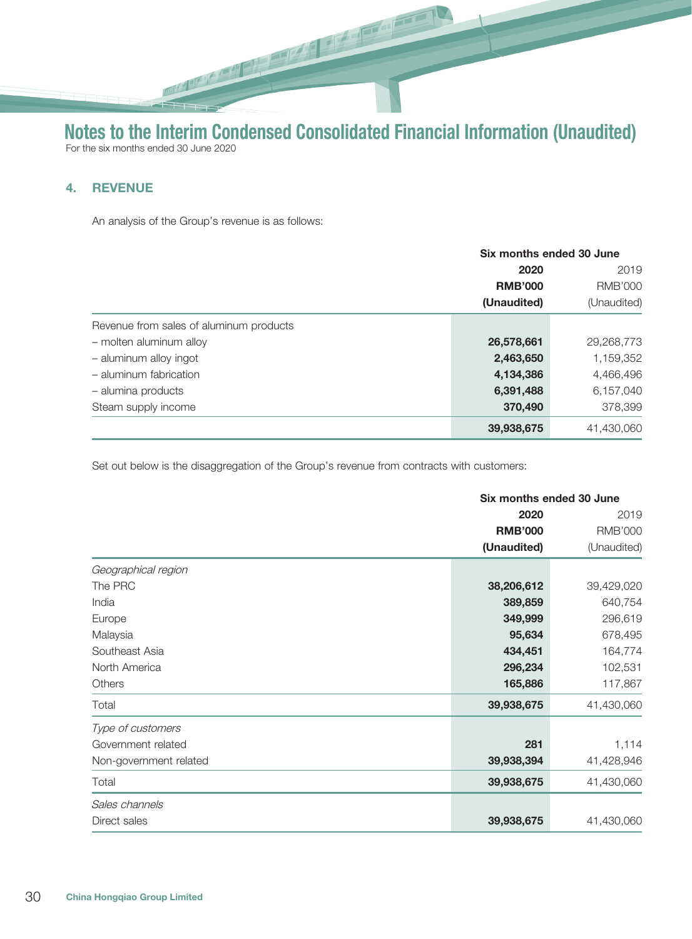**BULLET DE** 

# Notes to the Interim Condensed Consolidated Financial Information (Unaudited) For the six months ended 30 June 2020

## 4. REVENUE

An analysis of the Group's revenue is as follows:

|                                         |                               | Six months ended 30 June |  |
|-----------------------------------------|-------------------------------|--------------------------|--|
|                                         | 2020                          | 2019                     |  |
|                                         | <b>RMB'000</b><br>(Unaudited) | <b>RMB'000</b>           |  |
|                                         |                               | (Unaudited)              |  |
| Revenue from sales of aluminum products |                               |                          |  |
| - molten aluminum alloy                 | 26,578,661                    | 29,268,773               |  |
| - aluminum alloy ingot                  | 2,463,650                     | 1,159,352                |  |
| - aluminum fabrication                  | 4,134,386                     | 4,466,496                |  |
| - alumina products                      | 6,391,488                     | 6,157,040                |  |
| Steam supply income                     | 370,490                       | 378,399                  |  |
|                                         | 39,938,675                    | 41,430,060               |  |

Set out below is the disaggregation of the Group's revenue from contracts with customers:

|                        |                | Six months ended 30 June |  |
|------------------------|----------------|--------------------------|--|
|                        | 2020           | 2019                     |  |
|                        | <b>RMB'000</b> | <b>RMB'000</b>           |  |
|                        | (Unaudited)    | (Unaudited)              |  |
| Geographical region    |                |                          |  |
| The PRC                | 38,206,612     | 39,429,020               |  |
| India                  | 389,859        | 640,754                  |  |
| Europe                 | 349,999        | 296,619                  |  |
| Malaysia               | 95,634         | 678,495                  |  |
| Southeast Asia         | 434,451        | 164,774                  |  |
| North America          | 296,234        | 102,531                  |  |
| Others                 | 165,886        | 117,867                  |  |
| Total                  | 39,938,675     | 41,430,060               |  |
| Type of customers      |                |                          |  |
| Government related     | 281            | 1,114                    |  |
| Non-government related | 39,938,394     | 41,428,946               |  |
| Total                  | 39,938,675     | 41,430,060               |  |
| Sales channels         |                |                          |  |
| Direct sales           | 39,938,675     | 41,430,060               |  |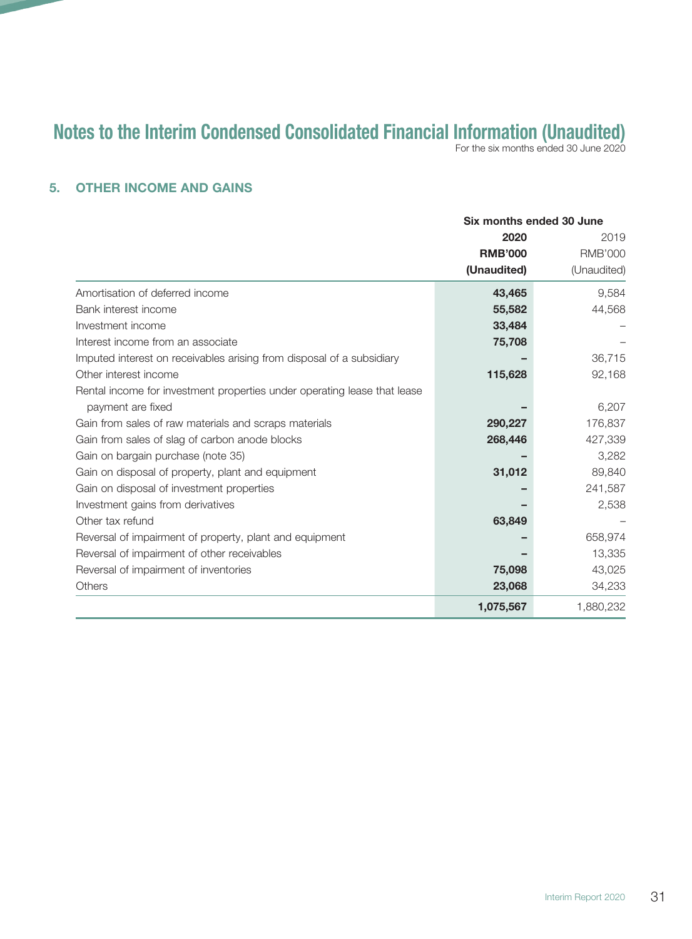For the six months ended 30 June 2020

## 5. OTHER INCOME AND GAINS

|                                                                          | Six months ended 30 June |                                       |
|--------------------------------------------------------------------------|--------------------------|---------------------------------------|
|                                                                          | 2020<br><b>RMB'000</b>   | 2019<br><b>RMB'000</b><br>(Unaudited) |
|                                                                          |                          |                                       |
|                                                                          | (Unaudited)              |                                       |
| Amortisation of deferred income                                          | 43,465                   | 9,584                                 |
| Bank interest income                                                     | 55,582                   | 44,568                                |
| Investment income                                                        | 33,484                   |                                       |
| Interest income from an associate                                        | 75,708                   |                                       |
| Imputed interest on receivables arising from disposal of a subsidiary    |                          | 36,715                                |
| Other interest income                                                    | 115,628                  | 92,168                                |
| Rental income for investment properties under operating lease that lease |                          |                                       |
| payment are fixed                                                        |                          | 6,207                                 |
| Gain from sales of raw materials and scraps materials                    | 290,227                  | 176,837                               |
| Gain from sales of slag of carbon anode blocks                           | 268,446                  | 427,339                               |
| Gain on bargain purchase (note 35)                                       |                          | 3,282                                 |
| Gain on disposal of property, plant and equipment                        | 31,012                   | 89,840                                |
| Gain on disposal of investment properties                                |                          | 241,587                               |
| Investment gains from derivatives                                        |                          | 2,538                                 |
| Other tax refund                                                         | 63,849                   |                                       |
| Reversal of impairment of property, plant and equipment                  |                          | 658,974                               |
| Reversal of impairment of other receivables                              |                          | 13,335                                |
| Reversal of impairment of inventories                                    | 75,098                   | 43,025                                |
| <b>Others</b>                                                            | 23,068                   | 34,233                                |
|                                                                          | 1,075,567                | 1,880,232                             |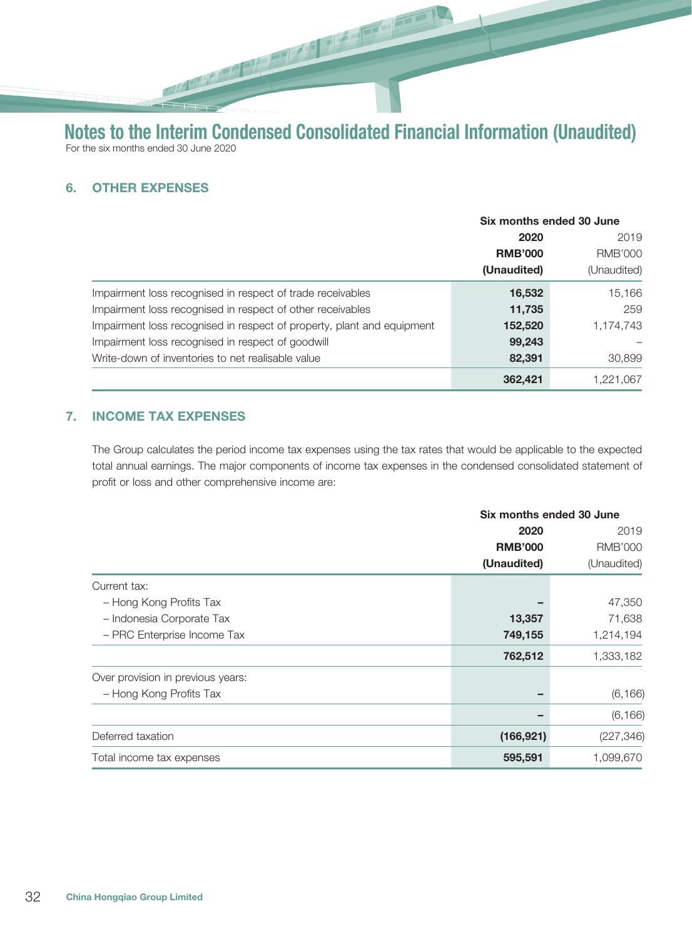## 6. OTHER EXPENSES

|                                                                        | Six months ended 30 June              |             |
|------------------------------------------------------------------------|---------------------------------------|-------------|
|                                                                        | 2020<br><b>RMB'000</b><br>(Unaudited) | 2019        |
|                                                                        |                                       | RMB'000     |
|                                                                        |                                       | (Unaudited) |
| Impairment loss recognised in respect of trade receivables             | 16,532                                | 15,166      |
| Impairment loss recognised in respect of other receivables             | 11,735                                | 259         |
| Impairment loss recognised in respect of property, plant and equipment | 152,520                               | 1,174,743   |
| Impairment loss recognised in respect of goodwill                      | 99,243                                |             |
| Write-down of inventories to net realisable value                      | 82,391                                | 30,899      |
|                                                                        | 362,421                               | 1,221,067   |

## 7. INCOME TAX EXPENSES

The Group calculates the period income tax expenses using the tax rates that would be applicable to the expected total annual earnings. The major components of income tax expenses in the condensed consolidated statement of profit or loss and other comprehensive income are:

|                                   | Six months ended 30 June                                                       |            |
|-----------------------------------|--------------------------------------------------------------------------------|------------|
|                                   | 2019<br>2020<br><b>RMB'000</b><br><b>RMB'000</b><br>(Unaudited)<br>(Unaudited) |            |
|                                   |                                                                                |            |
|                                   |                                                                                |            |
| Current tax:                      |                                                                                |            |
| - Hong Kong Profits Tax           |                                                                                | 47,350     |
| - Indonesia Corporate Tax         | 13,357                                                                         | 71,638     |
| - PRC Enterprise Income Tax       | 749,155                                                                        | 1,214,194  |
|                                   | 762,512                                                                        | 1,333,182  |
| Over provision in previous years: |                                                                                |            |
| - Hong Kong Profits Tax           | -                                                                              | (6, 166)   |
|                                   |                                                                                | (6, 166)   |
| Deferred taxation                 | (166, 921)                                                                     | (227, 346) |
| Total income tax expenses         | 595,591                                                                        | 1,099,670  |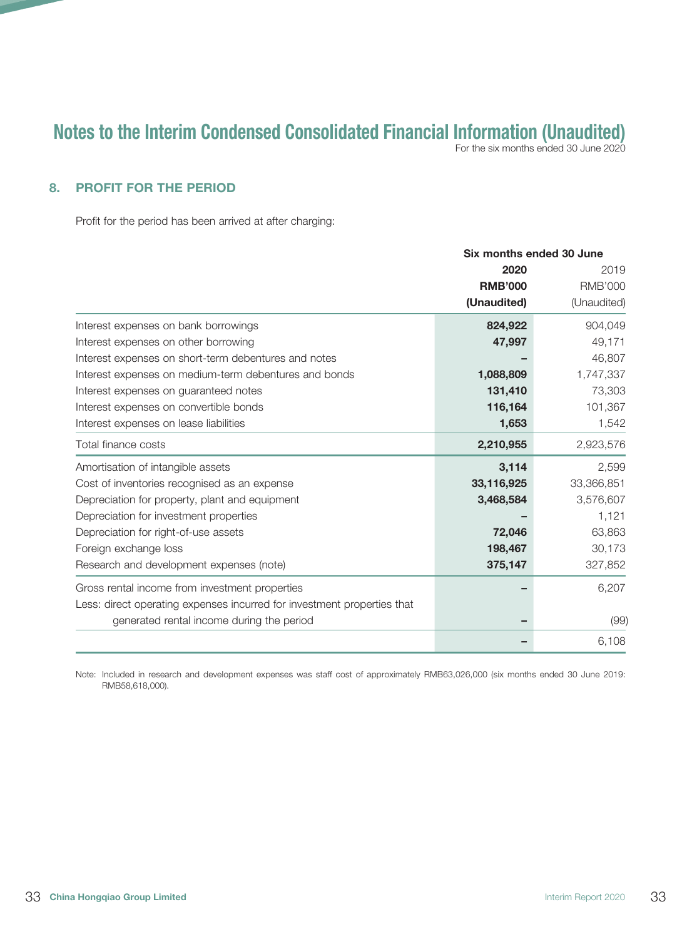For the six months ended 30 June 2020

## 8. PROFIT FOR THE PERIOD

Profit for the period has been arrived at after charging:

|                                                                         | Six months ended 30 June |                |
|-------------------------------------------------------------------------|--------------------------|----------------|
|                                                                         | 2020                     | 2019           |
|                                                                         | <b>RMB'000</b>           | <b>RMB'000</b> |
|                                                                         | (Unaudited)              | (Unaudited)    |
| Interest expenses on bank borrowings                                    | 824,922                  | 904,049        |
| Interest expenses on other borrowing                                    | 47,997                   | 49,171         |
| Interest expenses on short-term debentures and notes                    |                          | 46,807         |
| Interest expenses on medium-term debentures and bonds                   | 1,088,809                | 1,747,337      |
| Interest expenses on guaranteed notes                                   | 131,410                  | 73,303         |
| Interest expenses on convertible bonds                                  | 116,164                  | 101,367        |
| Interest expenses on lease liabilities                                  | 1,653                    | 1,542          |
| Total finance costs                                                     | 2,210,955                | 2,923,576      |
| Amortisation of intangible assets                                       | 3,114                    | 2,599          |
| Cost of inventories recognised as an expense                            | 33,116,925               | 33,366,851     |
| Depreciation for property, plant and equipment                          | 3,468,584                | 3,576,607      |
| Depreciation for investment properties                                  |                          | 1,121          |
| Depreciation for right-of-use assets                                    | 72,046                   | 63,863         |
| Foreign exchange loss                                                   | 198,467                  | 30,173         |
| Research and development expenses (note)                                | 375,147                  | 327,852        |
| Gross rental income from investment properties                          |                          | 6,207          |
| Less: direct operating expenses incurred for investment properties that |                          |                |
| generated rental income during the period                               |                          | (99)           |
|                                                                         |                          | 6,108          |

Note: Included in research and development expenses was staff cost of approximately RMB63,026,000 (six months ended 30 June 2019: RMB58,618,000).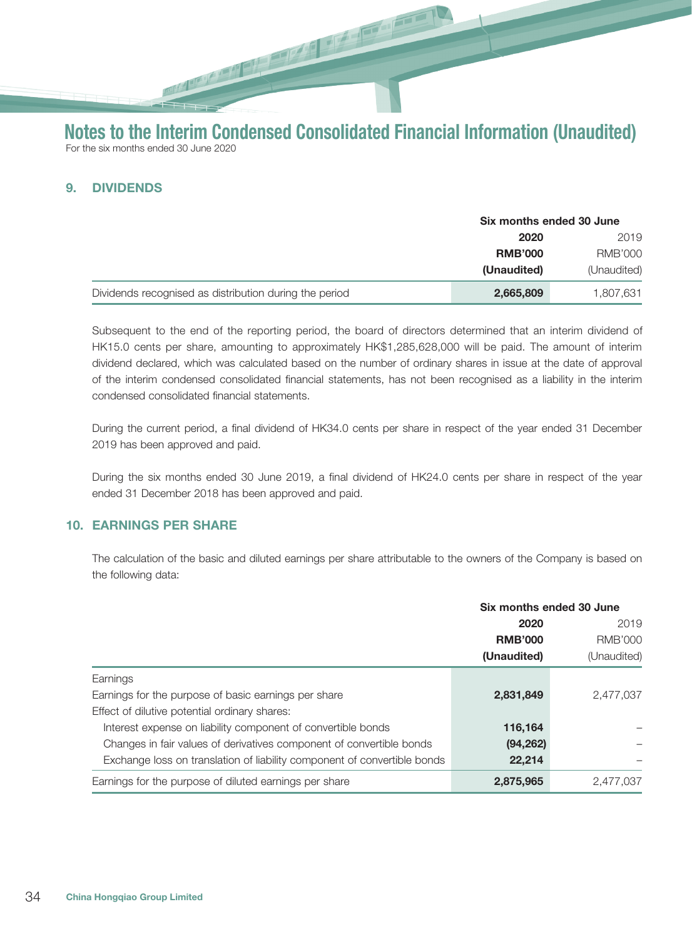## 9. DIVIDENDS

|                                                        | Six months ended 30 June |                |
|--------------------------------------------------------|--------------------------|----------------|
|                                                        | 2020<br>2019             |                |
|                                                        | <b>RMB'000</b>           | <b>RMB'000</b> |
|                                                        | (Unaudited)              | (Unaudited)    |
| Dividends recognised as distribution during the period | 2,665,809                | 1,807,631      |

Subsequent to the end of the reporting period, the board of directors determined that an interim dividend of HK15.0 cents per share, amounting to approximately HK\$1,285,628,000 will be paid. The amount of interim dividend declared, which was calculated based on the number of ordinary shares in issue at the date of approval of the interim condensed consolidated financial statements, has not been recognised as a liability in the interim condensed consolidated financial statements.

During the current period, a final dividend of HK34.0 cents per share in respect of the year ended 31 December 2019 has been approved and paid.

During the six months ended 30 June 2019, a final dividend of HK24.0 cents per share in respect of the year ended 31 December 2018 has been approved and paid.

#### 10. EARNINGS PER SHARE

The calculation of the basic and diluted earnings per share attributable to the owners of the Company is based on the following data:

|                                                                          | Six months ended 30 June |             |
|--------------------------------------------------------------------------|--------------------------|-------------|
|                                                                          | 2020                     | 2019        |
|                                                                          | <b>RMB'000</b>           | RMB'000     |
|                                                                          | (Unaudited)              | (Unaudited) |
| Earnings                                                                 |                          |             |
| Earnings for the purpose of basic earnings per share                     | 2,831,849                | 2,477,037   |
| Effect of dilutive potential ordinary shares:                            |                          |             |
| Interest expense on liability component of convertible bonds             | 116,164                  |             |
| Changes in fair values of derivatives component of convertible bonds     | (94, 262)                |             |
| Exchange loss on translation of liability component of convertible bonds | 22,214                   |             |
| Earnings for the purpose of diluted earnings per share                   | 2,875,965                | 2.477.037   |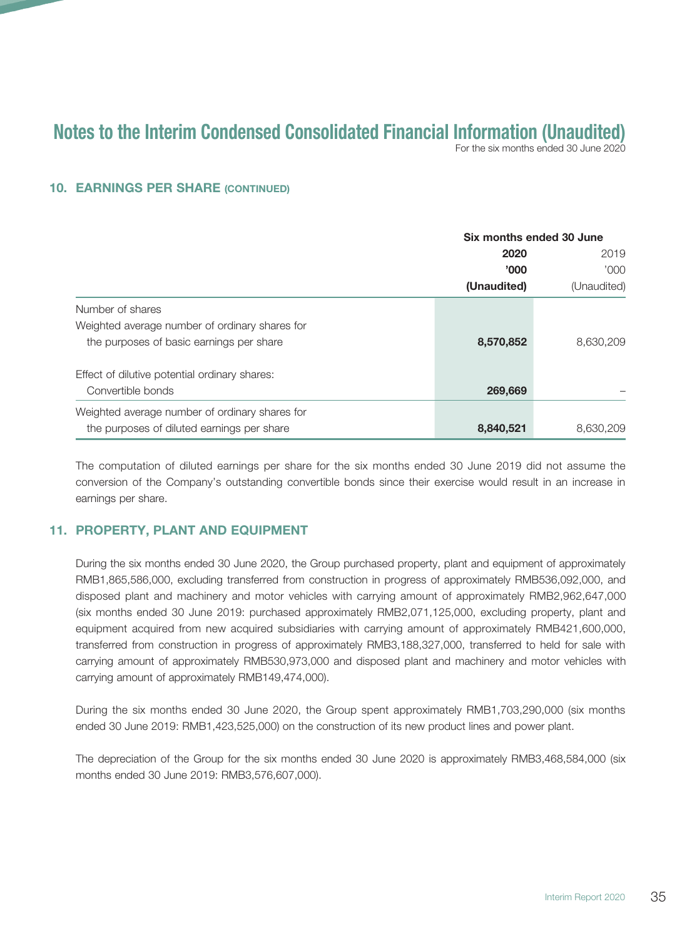For the six months ended 30 June 2020

#### 10. EARNINGS PER SHARE (CONTINUED)

|                                                | Six months ended 30 June     |                             |  |
|------------------------------------------------|------------------------------|-----------------------------|--|
|                                                | 2020<br>'000'<br>(Unaudited) | 2019<br>000'<br>(Unaudited) |  |
|                                                |                              |                             |  |
|                                                |                              |                             |  |
| Number of shares                               |                              |                             |  |
| Weighted average number of ordinary shares for |                              |                             |  |
| the purposes of basic earnings per share       | 8,570,852                    | 8,630,209                   |  |
| Effect of dilutive potential ordinary shares:  |                              |                             |  |
| Convertible bonds                              | 269,669                      |                             |  |
| Weighted average number of ordinary shares for |                              |                             |  |
| the purposes of diluted earnings per share     | 8,840,521                    | 8,630,209                   |  |

The computation of diluted earnings per share for the six months ended 30 June 2019 did not assume the conversion of the Company's outstanding convertible bonds since their exercise would result in an increase in earnings per share.

## 11. PROPERTY, PLANT AND EQUIPMENT

During the six months ended 30 June 2020, the Group purchased property, plant and equipment of approximately RMB1,865,586,000, excluding transferred from construction in progress of approximately RMB536,092,000, and disposed plant and machinery and motor vehicles with carrying amount of approximately RMB2,962,647,000 (six months ended 30 June 2019: purchased approximately RMB2,071,125,000, excluding property, plant and equipment acquired from new acquired subsidiaries with carrying amount of approximately RMB421,600,000, transferred from construction in progress of approximately RMB3,188,327,000, transferred to held for sale with carrying amount of approximately RMB530,973,000 and disposed plant and machinery and motor vehicles with carrying amount of approximately RMB149,474,000).

During the six months ended 30 June 2020, the Group spent approximately RMB1,703,290,000 (six months ended 30 June 2019: RMB1,423,525,000) on the construction of its new product lines and power plant.

The depreciation of the Group for the six months ended 30 June 2020 is approximately RMB3,468,584,000 (six months ended 30 June 2019: RMB3,576,607,000).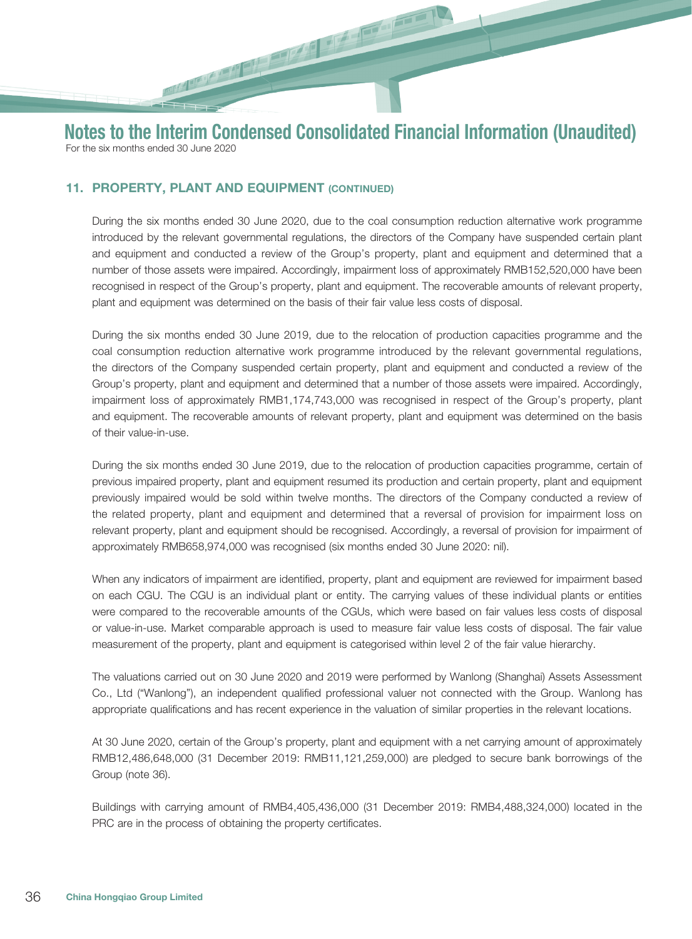11. PROPERTY, PLANT AND EQUIPMENT (CONTINUED)

During the six months ended 30 June 2020, due to the coal consumption reduction alternative work programme introduced by the relevant governmental regulations, the directors of the Company have suspended certain plant and equipment and conducted a review of the Group's property, plant and equipment and determined that a number of those assets were impaired. Accordingly, impairment loss of approximately RMB152,520,000 have been recognised in respect of the Group's property, plant and equipment. The recoverable amounts of relevant property, plant and equipment was determined on the basis of their fair value less costs of disposal.

During the six months ended 30 June 2019, due to the relocation of production capacities programme and the coal consumption reduction alternative work programme introduced by the relevant governmental regulations, the directors of the Company suspended certain property, plant and equipment and conducted a review of the Group's property, plant and equipment and determined that a number of those assets were impaired. Accordingly, impairment loss of approximately RMB1,174,743,000 was recognised in respect of the Group's property, plant and equipment. The recoverable amounts of relevant property, plant and equipment was determined on the basis of their value-in-use.

During the six months ended 30 June 2019, due to the relocation of production capacities programme, certain of previous impaired property, plant and equipment resumed its production and certain property, plant and equipment previously impaired would be sold within twelve months. The directors of the Company conducted a review of the related property, plant and equipment and determined that a reversal of provision for impairment loss on relevant property, plant and equipment should be recognised. Accordingly, a reversal of provision for impairment of approximately RMB658,974,000 was recognised (six months ended 30 June 2020: nil).

When any indicators of impairment are identified, property, plant and equipment are reviewed for impairment based on each CGU. The CGU is an individual plant or entity. The carrying values of these individual plants or entities were compared to the recoverable amounts of the CGUs, which were based on fair values less costs of disposal or value-in-use. Market comparable approach is used to measure fair value less costs of disposal. The fair value measurement of the property, plant and equipment is categorised within level 2 of the fair value hierarchy.

The valuations carried out on 30 June 2020 and 2019 were performed by Wanlong (Shanghai) Assets Assessment Co., Ltd ("Wanlong"), an independent qualified professional valuer not connected with the Group. Wanlong has appropriate qualifications and has recent experience in the valuation of similar properties in the relevant locations.

At 30 June 2020, certain of the Group's property, plant and equipment with a net carrying amount of approximately RMB12,486,648,000 (31 December 2019: RMB11,121,259,000) are pledged to secure bank borrowings of the Group (note 36).

Buildings with carrying amount of RMB4,405,436,000 (31 December 2019: RMB4,488,324,000) located in the PRC are in the process of obtaining the property certificates.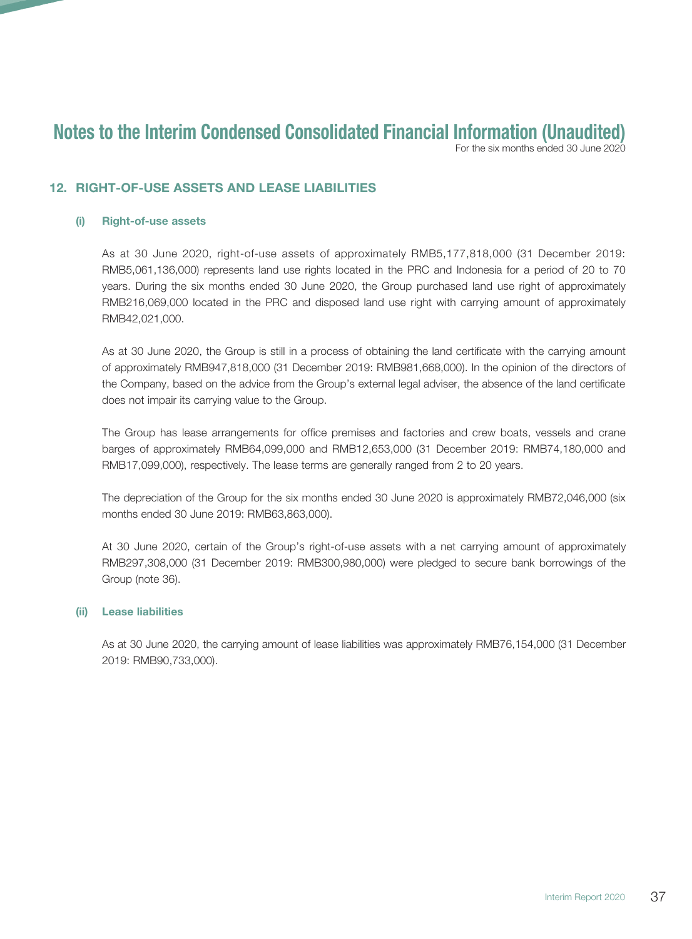For the six months ended 30 June 2020

## 12. RIGHT-OF-USE ASSETS AND LEASE LIABILITIES

#### (i) Right-of-use assets

As at 30 June 2020, right-of-use assets of approximately RMB5,177,818,000 (31 December 2019: RMB5,061,136,000) represents land use rights located in the PRC and Indonesia for a period of 20 to 70 years. During the six months ended 30 June 2020, the Group purchased land use right of approximately RMB216,069,000 located in the PRC and disposed land use right with carrying amount of approximately RMB42,021,000.

As at 30 June 2020, the Group is still in a process of obtaining the land certificate with the carrying amount of approximately RMB947,818,000 (31 December 2019: RMB981,668,000). In the opinion of the directors of the Company, based on the advice from the Group's external legal adviser, the absence of the land certificate does not impair its carrying value to the Group.

The Group has lease arrangements for office premises and factories and crew boats, vessels and crane barges of approximately RMB64,099,000 and RMB12,653,000 (31 December 2019: RMB74,180,000 and RMB17,099,000), respectively. The lease terms are generally ranged from 2 to 20 years.

The depreciation of the Group for the six months ended 30 June 2020 is approximately RMB72,046,000 (six months ended 30 June 2019: RMB63,863,000).

At 30 June 2020, certain of the Group's right-of-use assets with a net carrying amount of approximately RMB297,308,000 (31 December 2019: RMB300,980,000) were pledged to secure bank borrowings of the Group (note 36).

#### (ii) Lease liabilities

As at 30 June 2020, the carrying amount of lease liabilities was approximately RMB76,154,000 (31 December 2019: RMB90,733,000).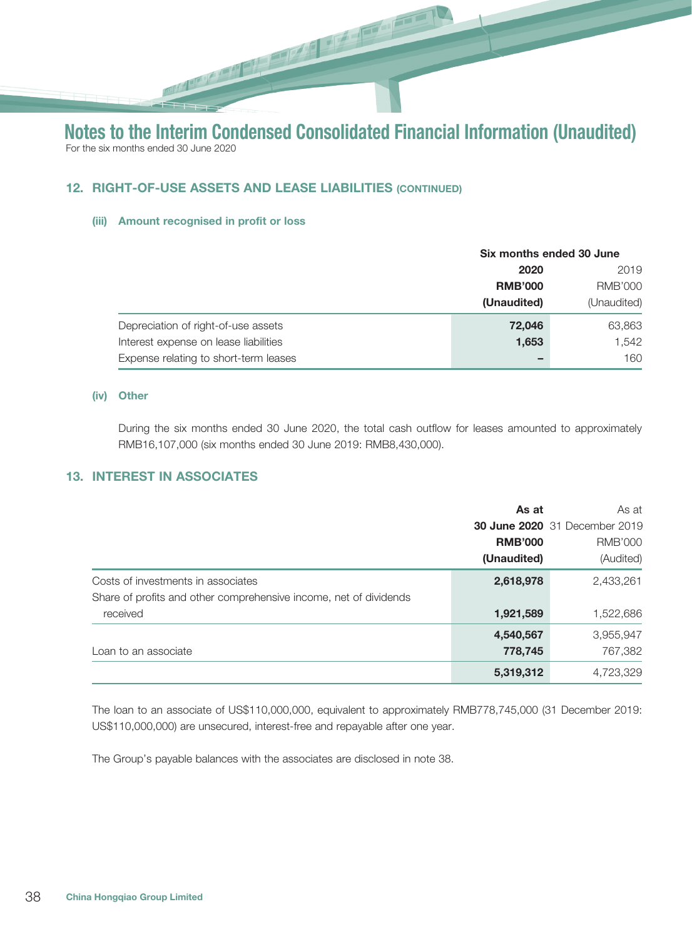## 12. RIGHT-OF-USE ASSETS AND LEASE LIABILITIES (CONTINUED)

#### (iii) Amount recognised in profit or loss

|                                       | Six months ended 30 June |                |
|---------------------------------------|--------------------------|----------------|
|                                       | 2020                     | 2019           |
|                                       | <b>RMB'000</b>           | <b>RMB'000</b> |
|                                       | (Unaudited)              | (Unaudited)    |
| Depreciation of right-of-use assets   | 72,046                   | 63,863         |
| Interest expense on lease liabilities | 1,653                    | 1.542          |
| Expense relating to short-term leases | -                        | 160            |

#### (iv) Other

During the six months ended 30 June 2020, the total cash outflow for leases amounted to approximately RMB16,107,000 (six months ended 30 June 2019: RMB8,430,000).

#### 13. INTEREST IN ASSOCIATES

|                                                                   | As at          | As at                                |
|-------------------------------------------------------------------|----------------|--------------------------------------|
|                                                                   |                | <b>30 June 2020</b> 31 December 2019 |
|                                                                   | <b>RMB'000</b> | <b>RMB'000</b>                       |
|                                                                   | (Unaudited)    | (Audited)                            |
| Costs of investments in associates                                | 2,618,978      | 2,433,261                            |
| Share of profits and other comprehensive income, net of dividends |                |                                      |
| received                                                          | 1,921,589      | 1,522,686                            |
|                                                                   | 4,540,567      | 3,955,947                            |
| Loan to an associate                                              | 778,745        | 767,382                              |
|                                                                   | 5,319,312      | 4,723,329                            |

The loan to an associate of US\$110,000,000, equivalent to approximately RMB778,745,000 (31 December 2019: US\$110,000,000) are unsecured, interest-free and repayable after one year.

The Group's payable balances with the associates are disclosed in note 38.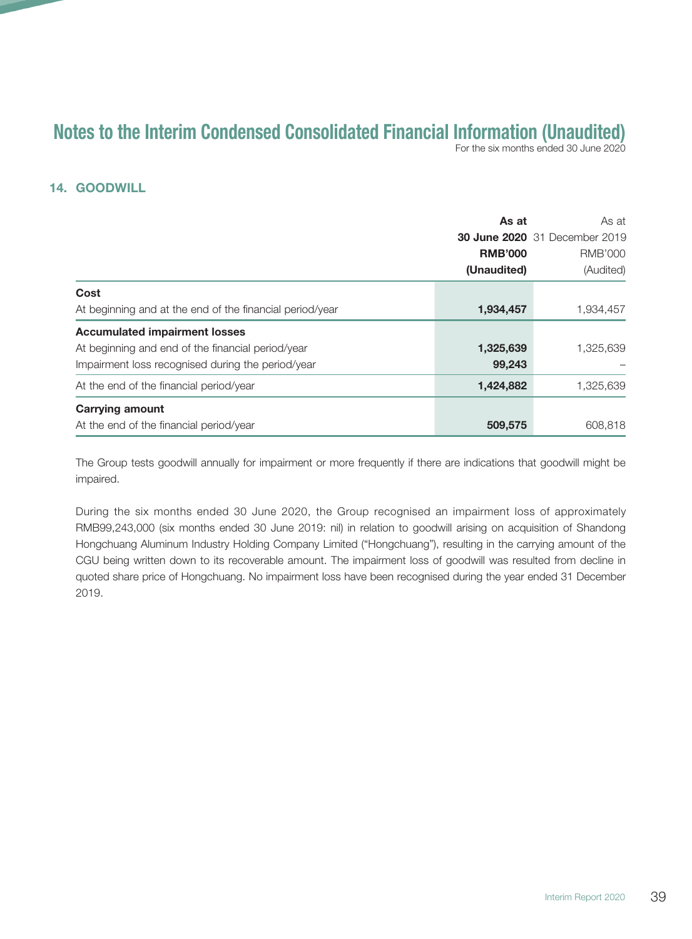For the six months ended 30 June 2020

## 14. GOODWILL

|                                                          | As at          | As at                                |
|----------------------------------------------------------|----------------|--------------------------------------|
|                                                          |                | <b>30 June 2020</b> 31 December 2019 |
|                                                          | <b>RMB'000</b> | <b>RMB'000</b>                       |
|                                                          | (Unaudited)    | (Audited)                            |
| Cost                                                     |                |                                      |
| At beginning and at the end of the financial period/year | 1,934,457      | 1,934,457                            |
| <b>Accumulated impairment losses</b>                     |                |                                      |
| At beginning and end of the financial period/year        | 1,325,639      | 1,325,639                            |
| Impairment loss recognised during the period/year        | 99,243         |                                      |
| At the end of the financial period/year                  | 1,424,882      | 1,325,639                            |
| <b>Carrying amount</b>                                   |                |                                      |
| At the end of the financial period/year                  | 509,575        | 608,818                              |

The Group tests goodwill annually for impairment or more frequently if there are indications that goodwill might be impaired.

During the six months ended 30 June 2020, the Group recognised an impairment loss of approximately RMB99,243,000 (six months ended 30 June 2019: nil) in relation to goodwill arising on acquisition of Shandong Hongchuang Aluminum Industry Holding Company Limited ("Hongchuang"), resulting in the carrying amount of the CGU being written down to its recoverable amount. The impairment loss of goodwill was resulted from decline in quoted share price of Hongchuang. No impairment loss have been recognised during the year ended 31 December 2019.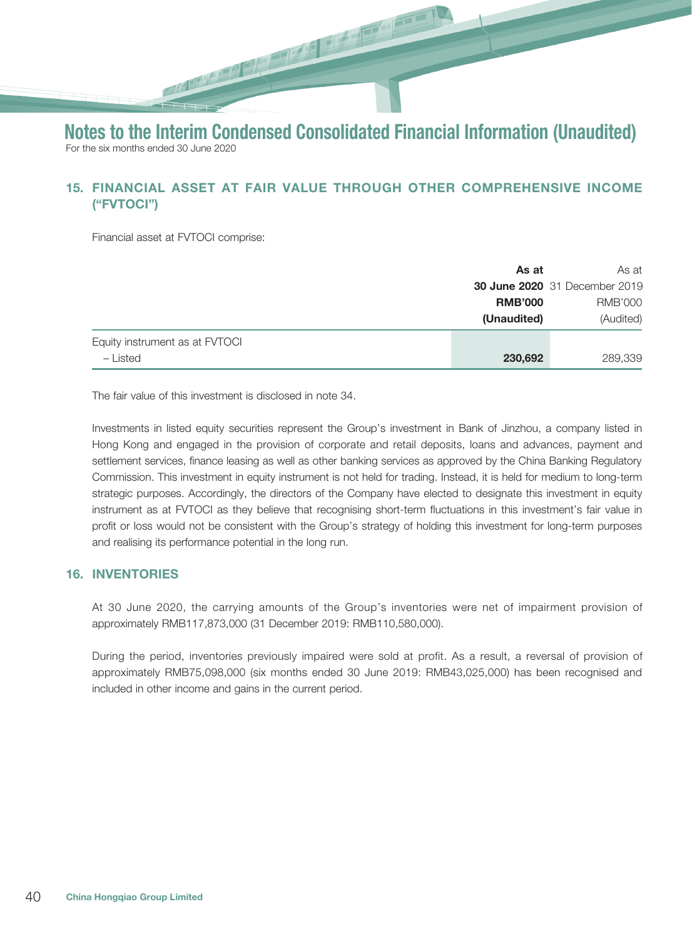# 15. FINANCIAL ASSET AT FAIR VALUE THROUGH OTHER COMPREHENSIVE INCOME ("FVTOCI")

Financial asset at FVTOCI comprise:

|                                | As at          | As at                                |
|--------------------------------|----------------|--------------------------------------|
|                                |                | <b>30 June 2020</b> 31 December 2019 |
|                                | <b>RMB'000</b> | RMB'000                              |
|                                | (Unaudited)    | (Audited)                            |
| Equity instrument as at FVTOCI |                |                                      |
| - Listed                       | 230,692        | 289,339                              |

The fair value of this investment is disclosed in note 34.

Investments in listed equity securities represent the Group's investment in Bank of Jinzhou, a company listed in Hong Kong and engaged in the provision of corporate and retail deposits, loans and advances, payment and settlement services, finance leasing as well as other banking services as approved by the China Banking Regulatory Commission. This investment in equity instrument is not held for trading. Instead, it is held for medium to long-term strategic purposes. Accordingly, the directors of the Company have elected to designate this investment in equity instrument as at FVTOCI as they believe that recognising short-term fluctuations in this investment's fair value in profit or loss would not be consistent with the Group's strategy of holding this investment for long-term purposes and realising its performance potential in the long run.

#### 16. INVENTORIES

At 30 June 2020, the carrying amounts of the Group's inventories were net of impairment provision of approximately RMB117,873,000 (31 December 2019: RMB110,580,000).

During the period, inventories previously impaired were sold at profit. As a result, a reversal of provision of approximately RMB75,098,000 (six months ended 30 June 2019: RMB43,025,000) has been recognised and included in other income and gains in the current period.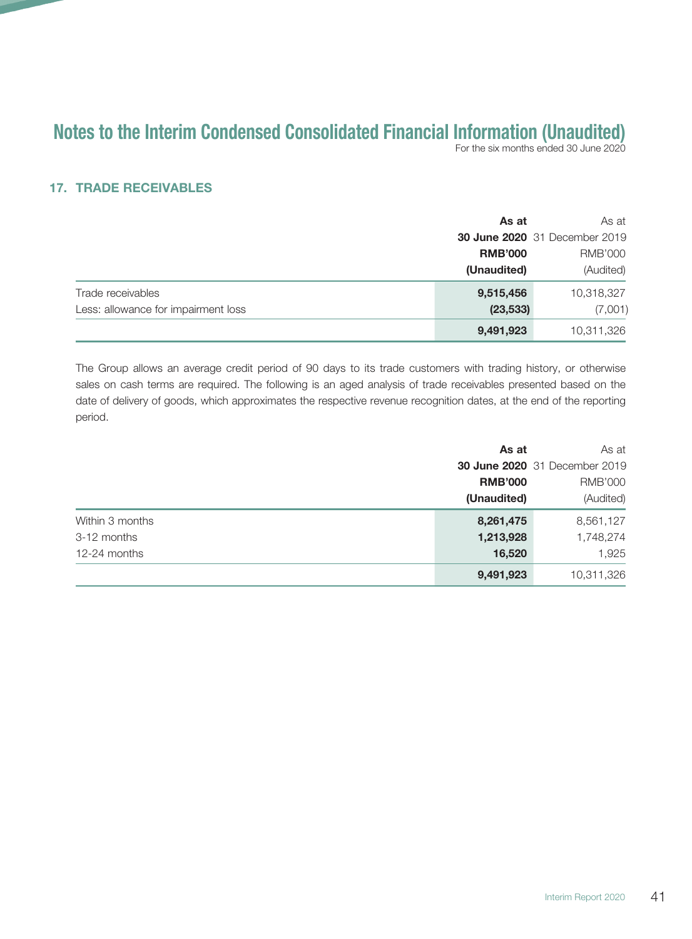For the six months ended 30 June 2020

## 17. TRADE RECEIVABLES

|                                     | As at          | As at                                |
|-------------------------------------|----------------|--------------------------------------|
|                                     |                | <b>30 June 2020</b> 31 December 2019 |
|                                     | <b>RMB'000</b> | <b>RMB'000</b>                       |
|                                     | (Unaudited)    | (Audited)                            |
| Trade receivables                   | 9,515,456      | 10,318,327                           |
| Less: allowance for impairment loss | (23, 533)      | (7,001)                              |
|                                     | 9,491,923      | 10,311,326                           |

The Group allows an average credit period of 90 days to its trade customers with trading history, or otherwise sales on cash terms are required. The following is an aged analysis of trade receivables presented based on the date of delivery of goods, which approximates the respective revenue recognition dates, at the end of the reporting period.

|                 | As at          | As at                                |
|-----------------|----------------|--------------------------------------|
|                 |                | <b>30 June 2020</b> 31 December 2019 |
|                 | <b>RMB'000</b> | <b>RMB'000</b>                       |
|                 | (Unaudited)    | (Audited)                            |
| Within 3 months | 8,261,475      | 8,561,127                            |
| 3-12 months     | 1,213,928      | 1,748,274                            |
| 12-24 months    | 16,520         | 1,925                                |
|                 | 9,491,923      | 10,311,326                           |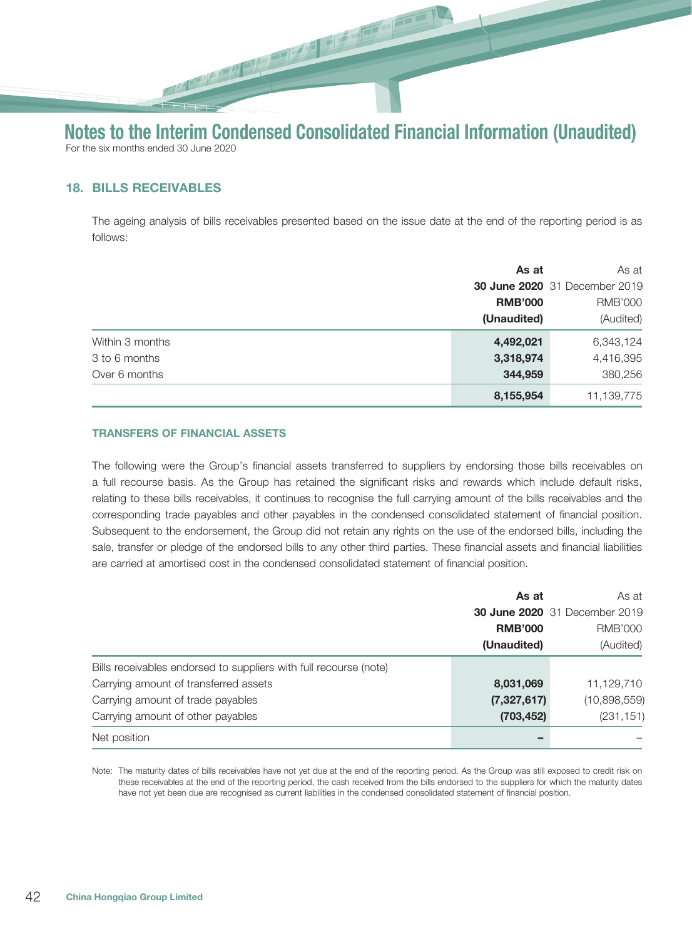# Notes to the Interim Condensed Consolidated Financial Information (Unaudited) For the six months ended 30 June 2020

# 18. BILLS RECEIVABLES

The ageing analysis of bills receivables presented based on the issue date at the end of the reporting period is as follows:

|                 | As at          | As at                                |
|-----------------|----------------|--------------------------------------|
|                 |                | <b>30 June 2020</b> 31 December 2019 |
|                 | <b>RMB'000</b> | <b>RMB'000</b>                       |
|                 | (Unaudited)    | (Audited)                            |
| Within 3 months | 4,492,021      | 6,343,124                            |
| 3 to 6 months   | 3,318,974      | 4,416,395                            |
| Over 6 months   | 344,959        | 380,256                              |
|                 | 8,155,954      | 11,139,775                           |

#### TRANSFERS OF FINANCIAL ASSETS

The following were the Group's financial assets transferred to suppliers by endorsing those bills receivables on a full recourse basis. As the Group has retained the significant risks and rewards which include default risks, relating to these bills receivables, it continues to recognise the full carrying amount of the bills receivables and the corresponding trade payables and other payables in the condensed consolidated statement of financial position. Subsequent to the endorsement, the Group did not retain any rights on the use of the endorsed bills, including the sale, transfer or pledge of the endorsed bills to any other third parties. These financial assets and financial liabilities are carried at amortised cost in the condensed consolidated statement of financial position.

|                                                                   | As at          | As at                                |
|-------------------------------------------------------------------|----------------|--------------------------------------|
|                                                                   |                | <b>30 June 2020</b> 31 December 2019 |
|                                                                   | <b>RMB'000</b> | <b>RMB'000</b>                       |
|                                                                   | (Unaudited)    | (Audited)                            |
| Bills receivables endorsed to suppliers with full recourse (note) |                |                                      |
| Carrying amount of transferred assets                             | 8,031,069      | 11,129,710                           |
| Carrying amount of trade payables                                 | (7,327,617)    | (10,898,559)                         |
| Carrying amount of other payables                                 | (703, 452)     | (231, 151)                           |
| Net position                                                      |                |                                      |

Note: The maturity dates of bills receivables have not yet due at the end of the reporting period. As the Group was still exposed to credit risk on these receivables at the end of the reporting period, the cash received from the bills endorsed to the suppliers for which the maturity dates have not yet been due are recognised as current liabilities in the condensed consolidated statement of financial position.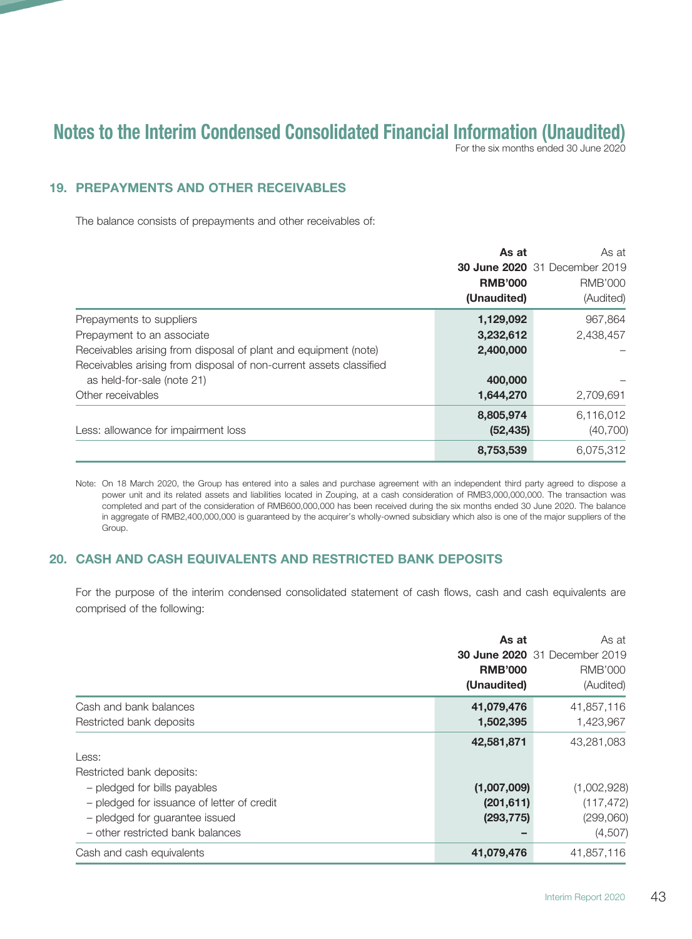For the six months ended 30 June 2020

## 19. PREPAYMENTS AND OTHER RECEIVABLES

The balance consists of prepayments and other receivables of:

|                                                                    | As at          | As at                                |
|--------------------------------------------------------------------|----------------|--------------------------------------|
|                                                                    |                | <b>30 June 2020</b> 31 December 2019 |
|                                                                    | <b>RMB'000</b> | <b>RMB'000</b>                       |
|                                                                    | (Unaudited)    | (Audited)                            |
| Prepayments to suppliers                                           | 1,129,092      | 967,864                              |
| Prepayment to an associate                                         | 3,232,612      | 2,438,457                            |
| Receivables arising from disposal of plant and equipment (note)    | 2,400,000      |                                      |
| Receivables arising from disposal of non-current assets classified |                |                                      |
| as held-for-sale (note 21)                                         | 400,000        |                                      |
| Other receivables                                                  | 1,644,270      | 2,709,691                            |
|                                                                    | 8,805,974      | 6,116,012                            |
| Less: allowance for impairment loss                                | (52, 435)      | (40, 700)                            |
|                                                                    | 8,753,539      | 6,075,312                            |

Note: On 18 March 2020, the Group has entered into a sales and purchase agreement with an independent third party agreed to dispose a power unit and its related assets and liabilities located in Zouping, at a cash consideration of RMB3,000,000,000. The transaction was completed and part of the consideration of RMB600,000,000 has been received during the six months ended 30 June 2020. The balance in aggregate of RMB2,400,000,000 is guaranteed by the acquirer's wholly-owned subsidiary which also is one of the major suppliers of the Group.

## 20. CASH AND CASH EQUIVALENTS AND RESTRICTED BANK DEPOSITS

For the purpose of the interim condensed consolidated statement of cash flows, cash and cash equivalents are comprised of the following:

|                                            | As at<br><b>RMB'000</b><br>(Unaudited) | As at<br><b>30 June 2020</b> 31 December 2019<br><b>RMB'000</b><br>(Audited) |
|--------------------------------------------|----------------------------------------|------------------------------------------------------------------------------|
| Cash and bank balances                     | 41,079,476                             | 41,857,116                                                                   |
| Restricted bank deposits                   | 1,502,395                              | 1,423,967                                                                    |
|                                            | 42,581,871                             | 43,281,083                                                                   |
| Less:                                      |                                        |                                                                              |
| Restricted bank deposits:                  |                                        |                                                                              |
| - pledged for bills payables               | (1,007,009)                            | (1,002,928)                                                                  |
| - pledged for issuance of letter of credit | (201, 611)                             | (117, 472)                                                                   |
| - pledged for quarantee issued             | (293, 775)                             | (299,060)                                                                    |
| - other restricted bank balances           |                                        | (4,507)                                                                      |
| Cash and cash equivalents                  | 41,079,476                             | 41,857,116                                                                   |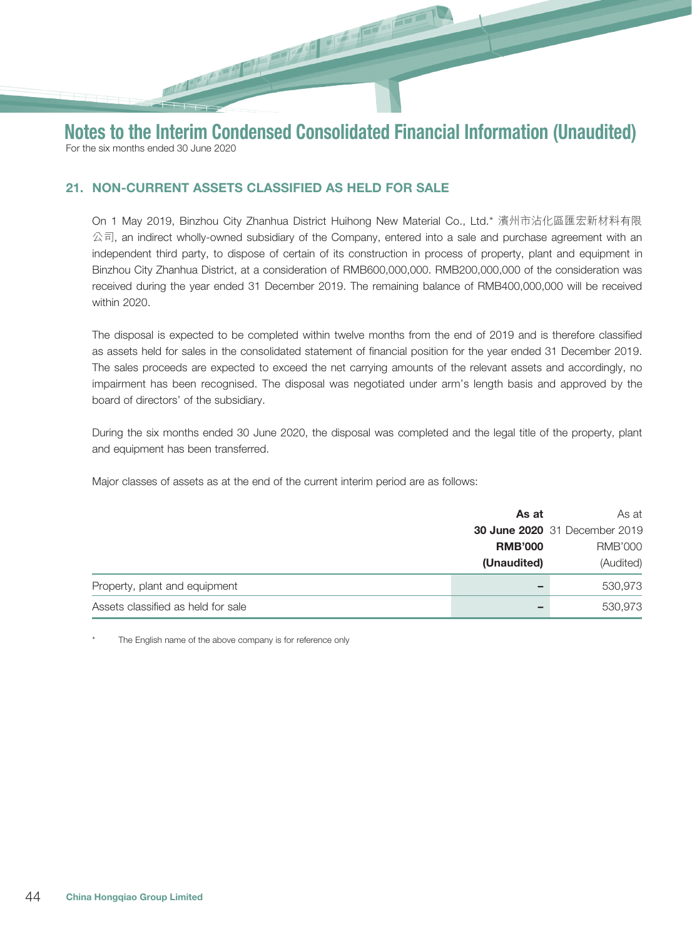21. NON-CURRENT ASSETS CLASSIFIED AS HELD FOR SALE

On 1 May 2019, Binzhou City Zhanhua District Huihong New Material Co., Ltd.\* 濱州市沾化區匯宏新材料有限  $\triangle$ 司, an indirect wholly-owned subsidiary of the Company, entered into a sale and purchase agreement with an independent third party, to dispose of certain of its construction in process of property, plant and equipment in Binzhou City Zhanhua District, at a consideration of RMB600,000,000. RMB200,000,000 of the consideration was received during the year ended 31 December 2019. The remaining balance of RMB400,000,000 will be received within 2020.

The disposal is expected to be completed within twelve months from the end of 2019 and is therefore classified as assets held for sales in the consolidated statement of financial position for the year ended 31 December 2019. The sales proceeds are expected to exceed the net carrying amounts of the relevant assets and accordingly, no impairment has been recognised. The disposal was negotiated under arm's length basis and approved by the board of directors' of the subsidiary.

During the six months ended 30 June 2020, the disposal was completed and the legal title of the property, plant and equipment has been transferred.

Major classes of assets as at the end of the current interim period are as follows:

|                                    | As at          | As at                                |  |
|------------------------------------|----------------|--------------------------------------|--|
|                                    |                | <b>30 June 2020</b> 31 December 2019 |  |
|                                    | <b>RMB'000</b> | RMB'000                              |  |
|                                    | (Unaudited)    | (Audited)                            |  |
| Property, plant and equipment      |                | 530,973                              |  |
| Assets classified as held for sale |                | 530,973                              |  |

The English name of the above company is for reference only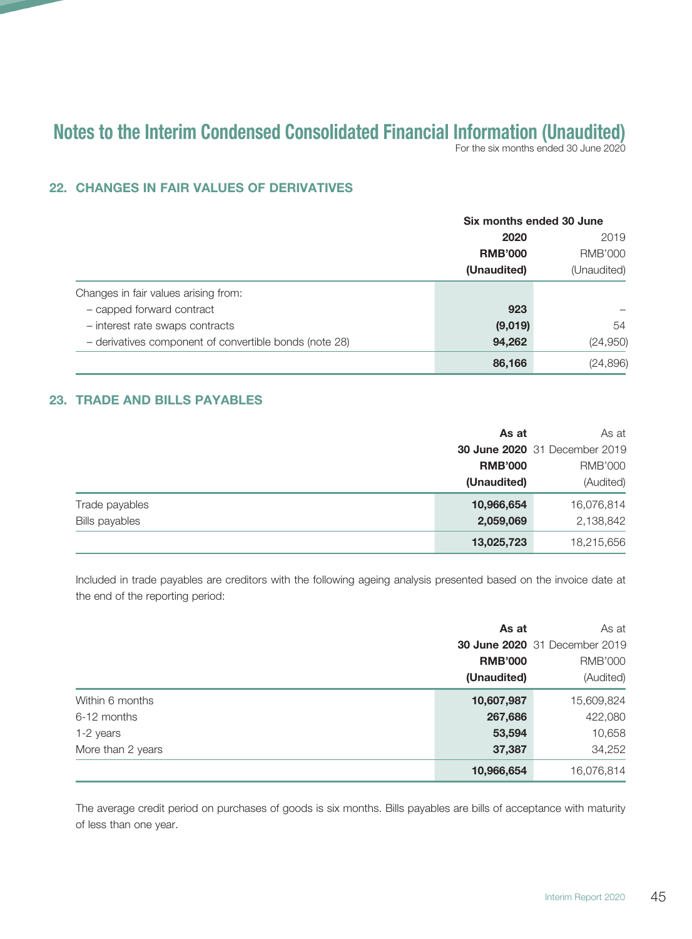For the six months ended 30 June 2020

# 22. CHANGES IN FAIR VALUES OF DERIVATIVES

|                                                        |                | Six months ended 30 June |  |
|--------------------------------------------------------|----------------|--------------------------|--|
|                                                        | 2020           | 2019<br><b>RMB'000</b>   |  |
|                                                        | <b>RMB'000</b> |                          |  |
|                                                        | (Unaudited)    | (Unaudited)              |  |
| Changes in fair values arising from:                   |                |                          |  |
| - capped forward contract                              | 923            |                          |  |
| - interest rate swaps contracts                        | (9,019)        | 54                       |  |
| - derivatives component of convertible bonds (note 28) | 94,262         | (24, 950)                |  |
|                                                        | 86,166         | (24, 896)                |  |

## 23. TRADE AND BILLS PAYABLES

|                       | As at          | As at                                |
|-----------------------|----------------|--------------------------------------|
|                       |                | <b>30 June 2020</b> 31 December 2019 |
|                       | <b>RMB'000</b> | <b>RMB'000</b>                       |
|                       | (Unaudited)    | (Audited)                            |
| Trade payables        | 10,966,654     | 16,076,814                           |
| <b>Bills payables</b> | 2,059,069      | 2,138,842                            |
|                       | 13,025,723     | 18,215,656                           |

Included in trade payables are creditors with the following ageing analysis presented based on the invoice date at the end of the reporting period:

|                   | As at          | As at                                |
|-------------------|----------------|--------------------------------------|
|                   |                | <b>30 June 2020</b> 31 December 2019 |
|                   | <b>RMB'000</b> | <b>RMB'000</b>                       |
|                   | (Unaudited)    | (Audited)                            |
| Within 6 months   | 10,607,987     | 15,609,824                           |
| 6-12 months       | 267,686        | 422,080                              |
| 1-2 years         | 53,594         | 10,658                               |
| More than 2 years | 37,387         | 34,252                               |
|                   | 10,966,654     | 16,076,814                           |

The average credit period on purchases of goods is six months. Bills payables are bills of acceptance with maturity of less than one year.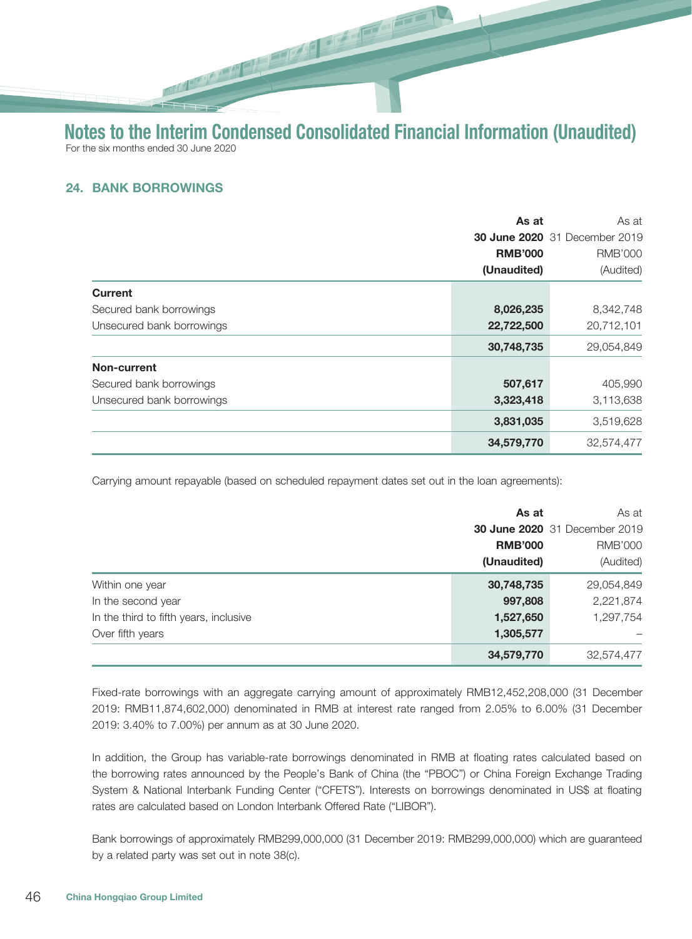## 24. BANK BORROWINGS

|                           | As at          | As at                                |
|---------------------------|----------------|--------------------------------------|
|                           |                | <b>30 June 2020</b> 31 December 2019 |
|                           | <b>RMB'000</b> | <b>RMB'000</b>                       |
|                           | (Unaudited)    | (Audited)                            |
| <b>Current</b>            |                |                                      |
| Secured bank borrowings   | 8,026,235      | 8,342,748                            |
| Unsecured bank borrowings | 22,722,500     | 20,712,101                           |
|                           | 30,748,735     | 29,054,849                           |
| Non-current               |                |                                      |
| Secured bank borrowings   | 507,617        | 405,990                              |
| Unsecured bank borrowings | 3,323,418      | 3,113,638                            |
|                           | 3,831,035      | 3,519,628                            |
|                           | 34,579,770     | 32,574,477                           |

Carrying amount repayable (based on scheduled repayment dates set out in the loan agreements):

|                                        | As at          | As at                         |
|----------------------------------------|----------------|-------------------------------|
|                                        |                | 30 June 2020 31 December 2019 |
|                                        | <b>RMB'000</b> | <b>RMB'000</b>                |
|                                        | (Unaudited)    | (Audited)                     |
| Within one year                        | 30,748,735     | 29,054,849                    |
| In the second year                     | 997,808        | 2,221,874                     |
| In the third to fifth years, inclusive | 1,527,650      | 1,297,754                     |
| Over fifth years                       | 1,305,577      |                               |
|                                        | 34,579,770     | 32,574,477                    |

Fixed-rate borrowings with an aggregate carrying amount of approximately RMB12,452,208,000 (31 December 2019: RMB11,874,602,000) denominated in RMB at interest rate ranged from 2.05% to 6.00% (31 December 2019: 3.40% to 7.00%) per annum as at 30 June 2020.

In addition, the Group has variable-rate borrowings denominated in RMB at floating rates calculated based on the borrowing rates announced by the People's Bank of China (the "PBOC") or China Foreign Exchange Trading System & National Interbank Funding Center ("CFETS"). Interests on borrowings denominated in US\$ at floating rates are calculated based on London Interbank Offered Rate ("LIBOR").

Bank borrowings of approximately RMB299,000,000 (31 December 2019: RMB299,000,000) which are guaranteed by a related party was set out in note 38(c).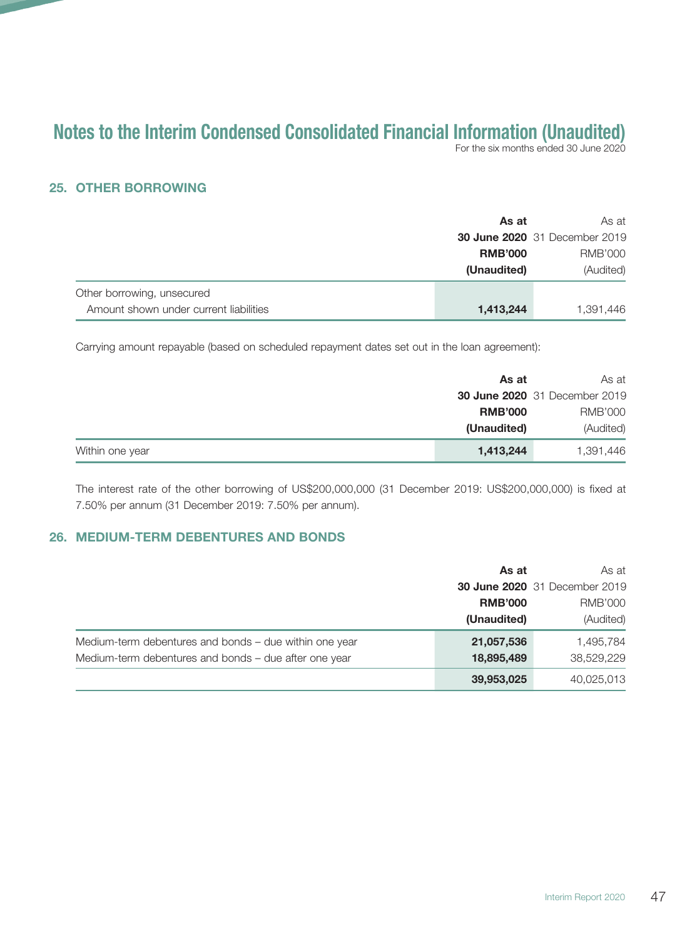For the six months ended 30 June 2020

#### 25. OTHER BORROWING

|                                        | As at          | As at                                |
|----------------------------------------|----------------|--------------------------------------|
|                                        |                | <b>30 June 2020</b> 31 December 2019 |
|                                        | <b>RMB'000</b> | RMB'000                              |
|                                        | (Unaudited)    | (Audited)                            |
| Other borrowing, unsecured             |                |                                      |
| Amount shown under current liabilities | 1,413,244      | 1,391,446                            |

Carrying amount repayable (based on scheduled repayment dates set out in the loan agreement):

|                 | As at          | As at                                |
|-----------------|----------------|--------------------------------------|
|                 |                | <b>30 June 2020</b> 31 December 2019 |
|                 | <b>RMB'000</b> | RMB'000                              |
|                 | (Unaudited)    | (Audited)                            |
| Within one year | 1,413,244      | 1,391,446                            |

The interest rate of the other borrowing of US\$200,000,000 (31 December 2019: US\$200,000,000) is fixed at 7.50% per annum (31 December 2019: 7.50% per annum).

#### 26. MEDIUM-TERM DEBENTURES AND BONDS

|                                                        | As at          | As at                                |
|--------------------------------------------------------|----------------|--------------------------------------|
|                                                        |                | <b>30 June 2020</b> 31 December 2019 |
|                                                        | <b>RMB'000</b> | <b>RMB'000</b>                       |
|                                                        | (Unaudited)    | (Audited)                            |
| Medium-term debentures and bonds - due within one year | 21,057,536     | 1,495,784                            |
| Medium-term debentures and bonds – due after one year  | 18,895,489     | 38,529,229                           |
|                                                        | 39,953,025     | 40,025,013                           |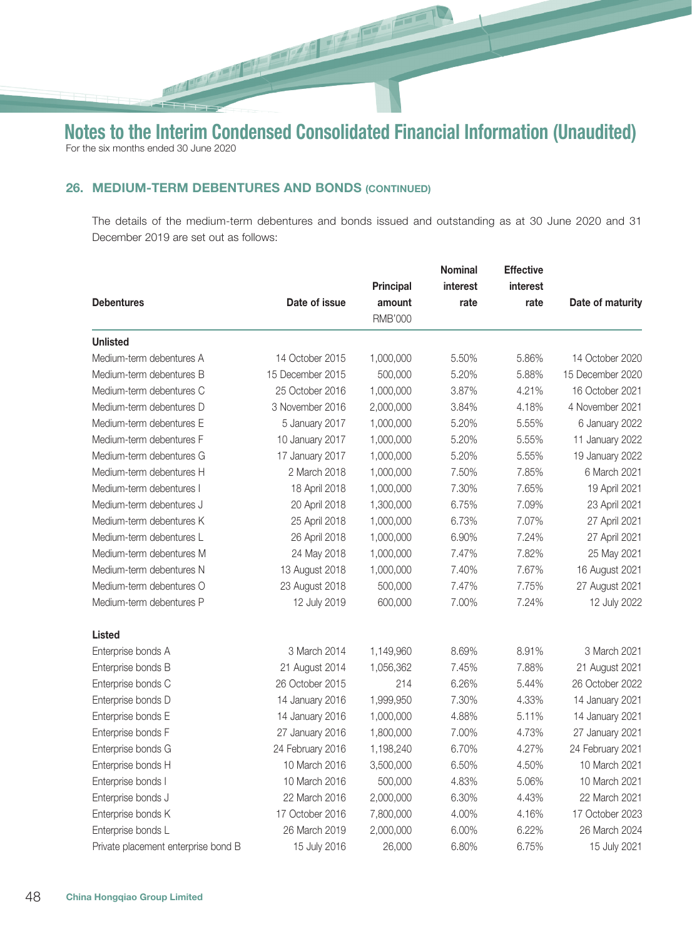小红

## 26. MEDIUM-TERM DEBENTURES AND BONDS (CONTINUED)

**Report Follow** 

The details of the medium-term debentures and bonds issued and outstanding as at 30 June 2020 and 31 December 2019 are set out as follows:

|                                     |                  |                          | <b>Nominal</b>  | <b>Effective</b> |                  |
|-------------------------------------|------------------|--------------------------|-----------------|------------------|------------------|
|                                     | Date of issue    | Principal                | <i>interest</i> | interest         |                  |
| <b>Debentures</b>                   |                  | amount<br><b>RMB'000</b> | rate            | rate             | Date of maturity |
|                                     |                  |                          |                 |                  |                  |
| <b>Unlisted</b>                     |                  |                          |                 |                  |                  |
| Medium-term debentures A            | 14 October 2015  | 1,000,000                | 5.50%           | 5.86%            | 14 October 2020  |
| Medium-term debentures B            | 15 December 2015 | 500,000                  | 5.20%           | 5.88%            | 15 December 2020 |
| Medium-term debentures C            | 25 October 2016  | 1,000,000                | 3.87%           | 4.21%            | 16 October 2021  |
| Medium-term debentures D            | 3 November 2016  | 2,000,000                | 3.84%           | 4.18%            | 4 November 2021  |
| Medium-term debentures E            | 5 January 2017   | 1,000,000                | 5.20%           | 5.55%            | 6 January 2022   |
| Medium-term debentures F            | 10 January 2017  | 1,000,000                | 5.20%           | 5.55%            | 11 January 2022  |
| Medium-term debentures G            | 17 January 2017  | 1,000,000                | 5.20%           | 5.55%            | 19 January 2022  |
| Medium-term debentures H            | 2 March 2018     | 1,000,000                | 7.50%           | 7.85%            | 6 March 2021     |
| Medium-term debentures I            | 18 April 2018    | 1,000,000                | 7.30%           | 7.65%            | 19 April 2021    |
| Medium-term debentures J            | 20 April 2018    | 1,300,000                | 6.75%           | 7.09%            | 23 April 2021    |
| Medium-term debentures K            | 25 April 2018    | 1,000,000                | 6.73%           | 7.07%            | 27 April 2021    |
| Medium-term debentures L            | 26 April 2018    | 1,000,000                | 6.90%           | 7.24%            | 27 April 2021    |
| Medium-term debentures M            | 24 May 2018      | 1,000,000                | 7.47%           | 7.82%            | 25 May 2021      |
| Medium-term debentures N            | 13 August 2018   | 1,000,000                | 7.40%           | 7.67%            | 16 August 2021   |
| Medium-term debentures O            | 23 August 2018   | 500,000                  | 7.47%           | 7.75%            | 27 August 2021   |
| Medium-term debentures P            | 12 July 2019     | 600,000                  | 7.00%           | 7.24%            | 12 July 2022     |
| <b>Listed</b>                       |                  |                          |                 |                  |                  |
| Enterprise bonds A                  | 3 March 2014     | 1,149,960                | 8.69%           | 8.91%            | 3 March 2021     |
| Enterprise bonds B                  | 21 August 2014   | 1,056,362                | 7.45%           | 7.88%            | 21 August 2021   |
| Enterprise bonds C                  | 26 October 2015  | 214                      | 6.26%           | 5.44%            | 26 October 2022  |
| Enterprise bonds D                  | 14 January 2016  | 1,999,950                | 7.30%           | 4.33%            | 14 January 2021  |
| Enterprise bonds E                  | 14 January 2016  | 1,000,000                | 4.88%           | 5.11%            | 14 January 2021  |
| Enterprise bonds F                  | 27 January 2016  | 1,800,000                | 7.00%           | 4.73%            | 27 January 2021  |
| Enterprise bonds G                  | 24 February 2016 | 1,198,240                | 6.70%           | 4.27%            | 24 February 2021 |
| Enterprise bonds H                  | 10 March 2016    | 3,500,000                | 6.50%           | 4.50%            | 10 March 2021    |
| Enterprise bonds I                  | 10 March 2016    | 500,000                  | 4.83%           | 5.06%            | 10 March 2021    |
| Enterprise bonds J                  | 22 March 2016    | 2,000,000                | 6.30%           | 4.43%            | 22 March 2021    |
| Enterprise bonds K                  | 17 October 2016  | 7,800,000                | 4.00%           | 4.16%            | 17 October 2023  |
| Enterprise bonds L                  | 26 March 2019    | 2,000,000                | 6.00%           | 6.22%            | 26 March 2024    |
| Private placement enterprise bond B | 15 July 2016     | 26,000                   | 6.80%           | 6.75%            | 15 July 2021     |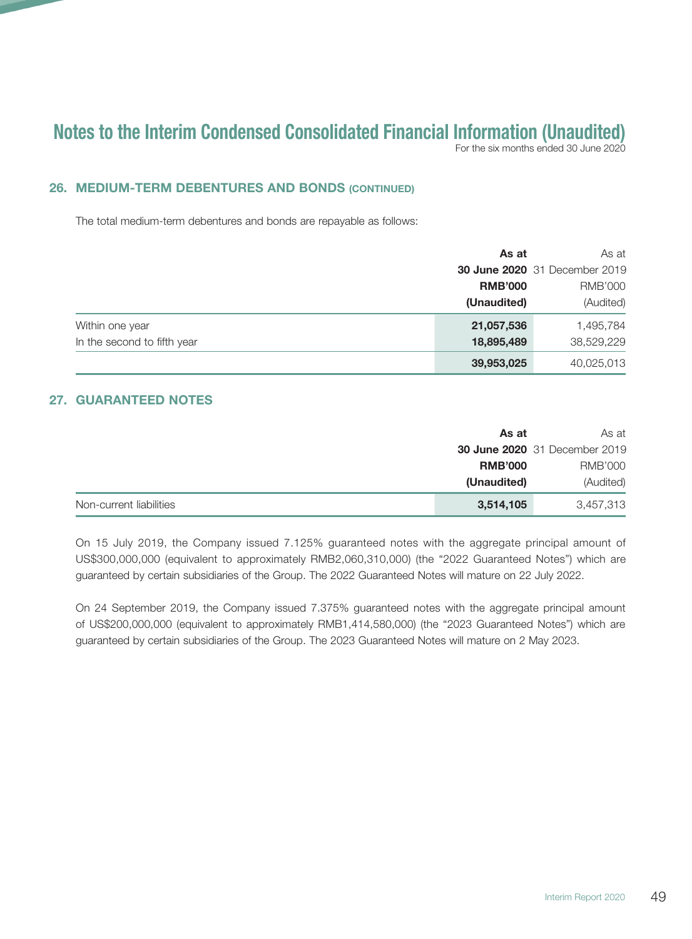For the six months ended 30 June 2020

## 26. MEDIUM-TERM DEBENTURES AND BONDS (CONTINUED)

The total medium-term debentures and bonds are repayable as follows:

|                             | As at          | As at                                |
|-----------------------------|----------------|--------------------------------------|
|                             |                | <b>30 June 2020</b> 31 December 2019 |
|                             | <b>RMB'000</b> | <b>RMB'000</b>                       |
|                             | (Unaudited)    | (Audited)                            |
| Within one year             | 21,057,536     | 1,495,784                            |
| In the second to fifth year | 18,895,489     | 38,529,229                           |
|                             | 39,953,025     | 40,025,013                           |

## 27. GUARANTEED NOTES

|                         | As at          | As at                                |
|-------------------------|----------------|--------------------------------------|
|                         |                | <b>30 June 2020</b> 31 December 2019 |
|                         | <b>RMB'000</b> | RMB'000                              |
|                         | (Unaudited)    | (Audited)                            |
| Non-current liabilities | 3,514,105      | 3,457,313                            |

On 15 July 2019, the Company issued 7.125% guaranteed notes with the aggregate principal amount of US\$300,000,000 (equivalent to approximately RMB2,060,310,000) (the "2022 Guaranteed Notes") which are guaranteed by certain subsidiaries of the Group. The 2022 Guaranteed Notes will mature on 22 July 2022.

On 24 September 2019, the Company issued 7.375% guaranteed notes with the aggregate principal amount of US\$200,000,000 (equivalent to approximately RMB1,414,580,000) (the "2023 Guaranteed Notes") which are guaranteed by certain subsidiaries of the Group. The 2023 Guaranteed Notes will mature on 2 May 2023.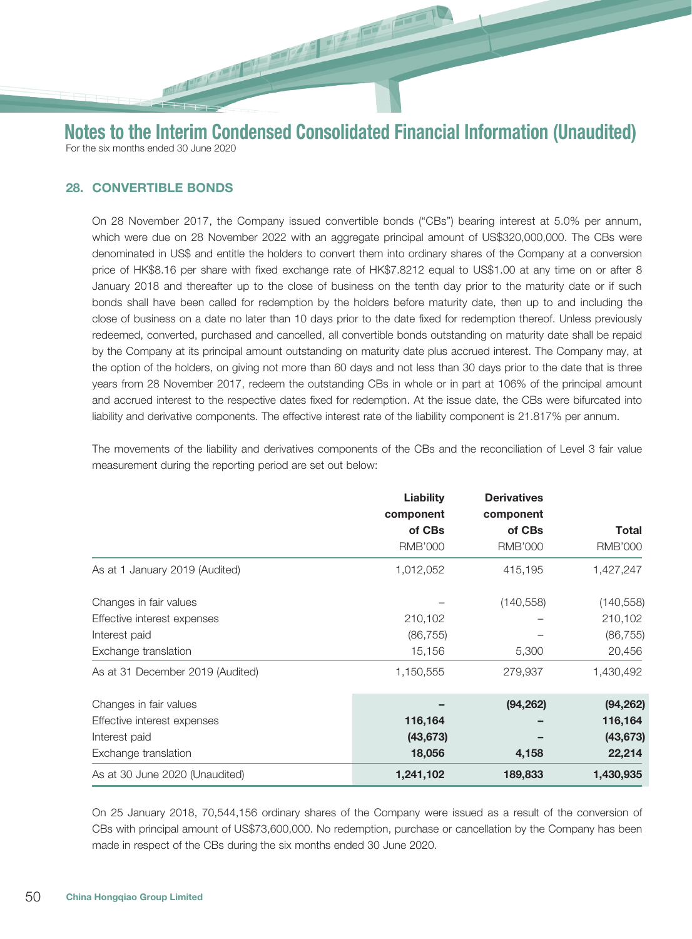## 28. CONVERTIBLE BONDS

On 28 November 2017, the Company issued convertible bonds ("CBs") bearing interest at 5.0% per annum, which were due on 28 November 2022 with an aggregate principal amount of US\$320,000,000. The CBs were denominated in US\$ and entitle the holders to convert them into ordinary shares of the Company at a conversion price of HK\$8.16 per share with fixed exchange rate of HK\$7.8212 equal to US\$1.00 at any time on or after 8 January 2018 and thereafter up to the close of business on the tenth day prior to the maturity date or if such bonds shall have been called for redemption by the holders before maturity date, then up to and including the close of business on a date no later than 10 days prior to the date fixed for redemption thereof. Unless previously redeemed, converted, purchased and cancelled, all convertible bonds outstanding on maturity date shall be repaid by the Company at its principal amount outstanding on maturity date plus accrued interest. The Company may, at the option of the holders, on giving not more than 60 days and not less than 30 days prior to the date that is three years from 28 November 2017, redeem the outstanding CBs in whole or in part at 106% of the principal amount and accrued interest to the respective dates fixed for redemption. At the issue date, the CBs were bifurcated into liability and derivative components. The effective interest rate of the liability component is 21.817% per annum.

The movements of the liability and derivatives components of the CBs and the reconciliation of Level 3 fair value measurement during the reporting period are set out below:

|                                  | <b>Liability</b><br>component | <b>Derivatives</b><br>component |                |
|----------------------------------|-------------------------------|---------------------------------|----------------|
|                                  | of CBs                        | of CBs                          | <b>Total</b>   |
|                                  | <b>RMB'000</b>                | <b>RMB'000</b>                  | <b>RMB'000</b> |
| As at 1 January 2019 (Audited)   | 1,012,052                     | 415,195                         | 1,427,247      |
| Changes in fair values           |                               | (140, 558)                      | (140, 558)     |
| Effective interest expenses      | 210,102                       |                                 | 210,102        |
| Interest paid                    | (86, 755)                     |                                 | (86, 755)      |
| Exchange translation             | 15,156                        | 5,300                           | 20,456         |
| As at 31 December 2019 (Audited) | 1,150,555                     | 279,937                         | 1,430,492      |
| Changes in fair values           |                               | (94, 262)                       | (94, 262)      |
| Effective interest expenses      | 116,164                       |                                 | 116,164        |
| Interest paid                    | (43, 673)                     |                                 | (43, 673)      |
| Exchange translation             | 18,056                        | 4,158                           | 22,214         |
| As at 30 June 2020 (Unaudited)   | 1,241,102                     | 189,833                         | 1,430,935      |

On 25 January 2018, 70,544,156 ordinary shares of the Company were issued as a result of the conversion of CBs with principal amount of US\$73,600,000. No redemption, purchase or cancellation by the Company has been made in respect of the CBs during the six months ended 30 June 2020.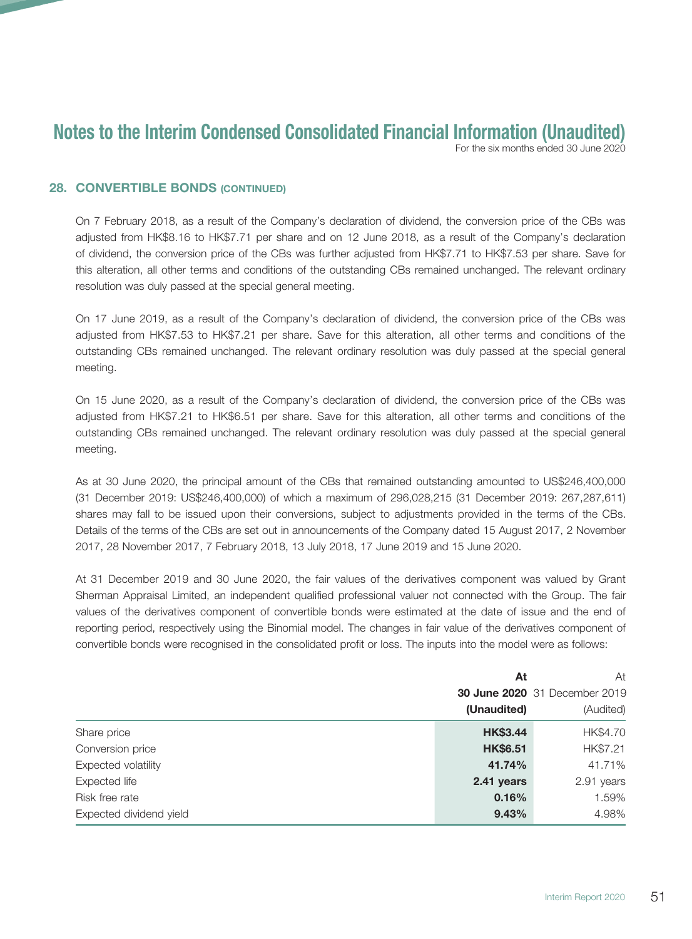For the six months ended 30 June 2020

#### 28. CONVERTIBLE BONDS (CONTINUED)

On 7 February 2018, as a result of the Company's declaration of dividend, the conversion price of the CBs was adjusted from HK\$8.16 to HK\$7.71 per share and on 12 June 2018, as a result of the Company's declaration of dividend, the conversion price of the CBs was further adjusted from HK\$7.71 to HK\$7.53 per share. Save for this alteration, all other terms and conditions of the outstanding CBs remained unchanged. The relevant ordinary resolution was duly passed at the special general meeting.

On 17 June 2019, as a result of the Company's declaration of dividend, the conversion price of the CBs was adjusted from HK\$7.53 to HK\$7.21 per share. Save for this alteration, all other terms and conditions of the outstanding CBs remained unchanged. The relevant ordinary resolution was duly passed at the special general meeting.

On 15 June 2020, as a result of the Company's declaration of dividend, the conversion price of the CBs was adjusted from HK\$7.21 to HK\$6.51 per share. Save for this alteration, all other terms and conditions of the outstanding CBs remained unchanged. The relevant ordinary resolution was duly passed at the special general meeting.

As at 30 June 2020, the principal amount of the CBs that remained outstanding amounted to US\$246,400,000 (31 December 2019: US\$246,400,000) of which a maximum of 296,028,215 (31 December 2019: 267,287,611) shares may fall to be issued upon their conversions, subject to adjustments provided in the terms of the CBs. Details of the terms of the CBs are set out in announcements of the Company dated 15 August 2017, 2 November 2017, 28 November 2017, 7 February 2018, 13 July 2018, 17 June 2019 and 15 June 2020.

At 31 December 2019 and 30 June 2020, the fair values of the derivatives component was valued by Grant Sherman Appraisal Limited, an independent qualified professional valuer not connected with the Group. The fair values of the derivatives component of convertible bonds were estimated at the date of issue and the end of reporting period, respectively using the Binomial model. The changes in fair value of the derivatives component of convertible bonds were recognised in the consolidated profit or loss. The inputs into the model were as follows:

|                         | At              |                                      |
|-------------------------|-----------------|--------------------------------------|
|                         |                 | <b>30 June 2020</b> 31 December 2019 |
|                         | (Unaudited)     | (Audited)                            |
| Share price             | <b>HK\$3.44</b> | HK\$4.70                             |
| Conversion price        | <b>HK\$6.51</b> | HK\$7.21                             |
| Expected volatility     | 41.74%          | 41.71%                               |
| Expected life           | 2.41 years      | 2.91 years                           |
| Risk free rate          | 0.16%           | 1.59%                                |
| Expected dividend yield | 9.43%           | 4.98%                                |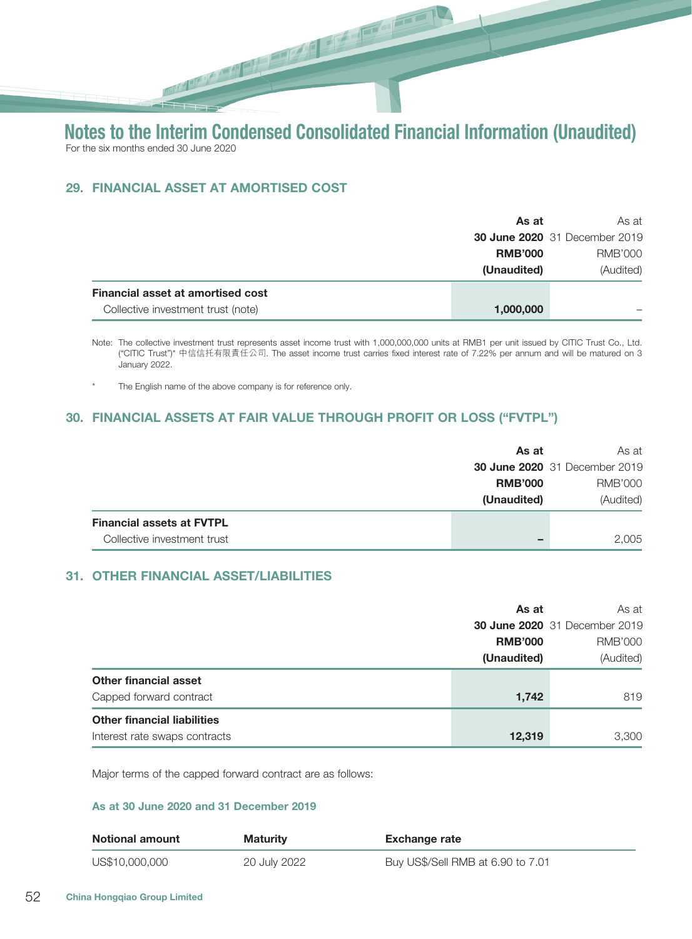## 29. FINANCIAL ASSET AT AMORTISED COST

|                                          | As at          | As at                                |
|------------------------------------------|----------------|--------------------------------------|
|                                          |                | <b>30 June 2020</b> 31 December 2019 |
|                                          | <b>RMB'000</b> | RMB'000                              |
|                                          | (Unaudited)    | (Audited)                            |
| <b>Financial asset at amortised cost</b> |                |                                      |
| Collective investment trust (note)       | 1,000,000      |                                      |

Note: The collective investment trust represents asset income trust with 1,000,000,000 units at RMB1 per unit issued by CITIC Trust Co., Ltd. ("CITIC Trust")\* 中信信托有限責任公司. The asset income trust carries fixed interest rate of 7.22% per annum and will be matured on 3 January 2022.

The English name of the above company is for reference only.

#### 30. FINANCIAL ASSETS AT FAIR VALUE THROUGH PROFIT OR LOSS ("FVTPL")

|                                  | As at          | As at                                |
|----------------------------------|----------------|--------------------------------------|
|                                  |                | <b>30 June 2020</b> 31 December 2019 |
|                                  | <b>RMB'000</b> | RMB'000                              |
|                                  | (Unaudited)    | (Audited)                            |
| <b>Financial assets at FVTPL</b> |                |                                      |
| Collective investment trust      |                | 2,005                                |

#### 31. OTHER FINANCIAL ASSET/LIABILITIES

|                                    | As at          | As at                                |
|------------------------------------|----------------|--------------------------------------|
|                                    |                | <b>30 June 2020</b> 31 December 2019 |
|                                    | <b>RMB'000</b> | <b>RMB'000</b>                       |
|                                    | (Unaudited)    | (Audited)                            |
| Other financial asset              |                |                                      |
| Capped forward contract            | 1,742          | 819                                  |
| <b>Other financial liabilities</b> |                |                                      |
| Interest rate swaps contracts      | 12,319         | 3,300                                |

Major terms of the capped forward contract are as follows:

#### As at 30 June 2020 and 31 December 2019

| <b>Notional amount</b> | <b>Maturity</b> | <b>Exchange rate</b>              |
|------------------------|-----------------|-----------------------------------|
| US\$10,000,000         | 20 July 2022    | Buy US\$/Sell RMB at 6.90 to 7.01 |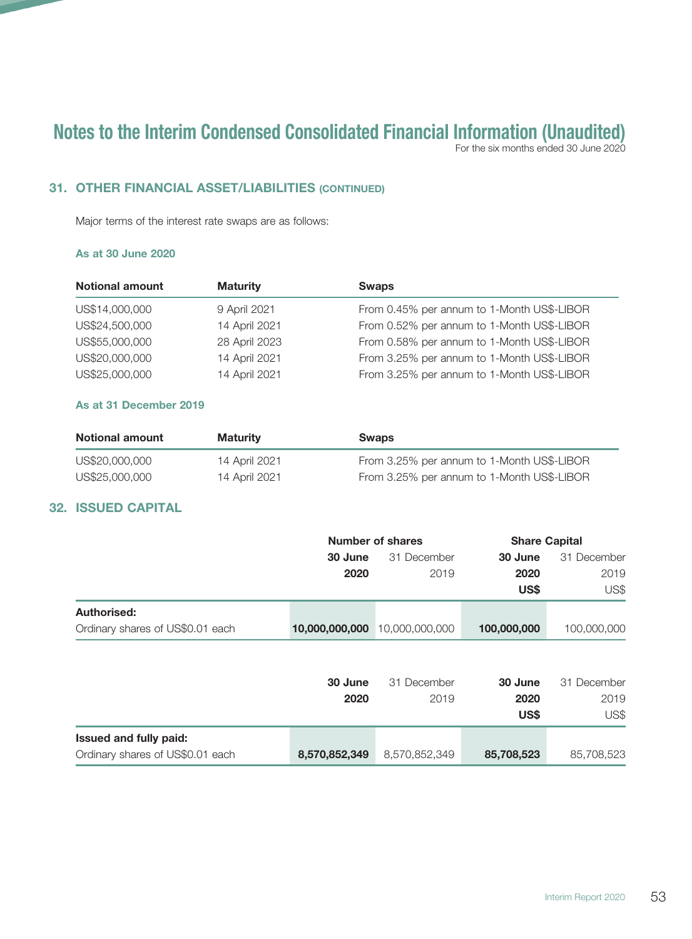For the six months ended 30 June 2020

## 31. OTHER FINANCIAL ASSET/LIABILITIES (CONTINUED)

Major terms of the interest rate swaps are as follows:

#### As at 30 June 2020

| <b>Notional amount</b> | <b>Maturity</b> | <b>Swaps</b>                               |
|------------------------|-----------------|--------------------------------------------|
| US\$14,000,000         | 9 April 2021    | From 0.45% per annum to 1-Month US\$-LIBOR |
| US\$24,500,000         | 14 April 2021   | From 0.52% per annum to 1-Month US\$-LIBOR |
| US\$55,000,000         | 28 April 2023   | From 0.58% per annum to 1-Month US\$-LIBOR |
| US\$20,000,000         | 14 April 2021   | From 3.25% per annum to 1-Month US\$-LIBOR |
| US\$25,000,000         | 14 April 2021   | From 3.25% per annum to 1-Month US\$-LIBOR |

#### As at 31 December 2019

| <b>Notional amount</b> | <b>Maturity</b> | <b>Swaps</b>                               |
|------------------------|-----------------|--------------------------------------------|
| US\$20,000,000         | 14 April 2021   | From 3.25% per annum to 1-Month US\$-LIBOR |
| US\$25,000,000         | 14 April 2021   | From 3.25% per annum to 1-Month US\$-LIBOR |

## 32. ISSUED CAPITAL

|                                  |                        | Number of shares    | <b>Share Capital</b> |                     |  |
|----------------------------------|------------------------|---------------------|----------------------|---------------------|--|
|                                  | 31 December<br>30 June |                     | 30 June              | 31 December         |  |
|                                  | 2020                   | 2019                | 2020                 | 2019                |  |
|                                  |                        |                     | US\$                 | US\$                |  |
| Authorised:                      |                        |                     |                      |                     |  |
| Ordinary shares of US\$0.01 each | 10,000,000,000         | 10,000,000,000      | 100,000,000          | 100,000,000         |  |
|                                  | 30 June<br>2020        | 31 December<br>2019 | 30 June<br>2020      | 31 December<br>2019 |  |
|                                  |                        |                     | US\$                 | US\$                |  |
| Issued and fully paid:           |                        |                     |                      |                     |  |
| Ordinary shares of US\$0.01 each | 8,570,852,349          | 8,570,852,349       | 85,708,523           | 85,708,523          |  |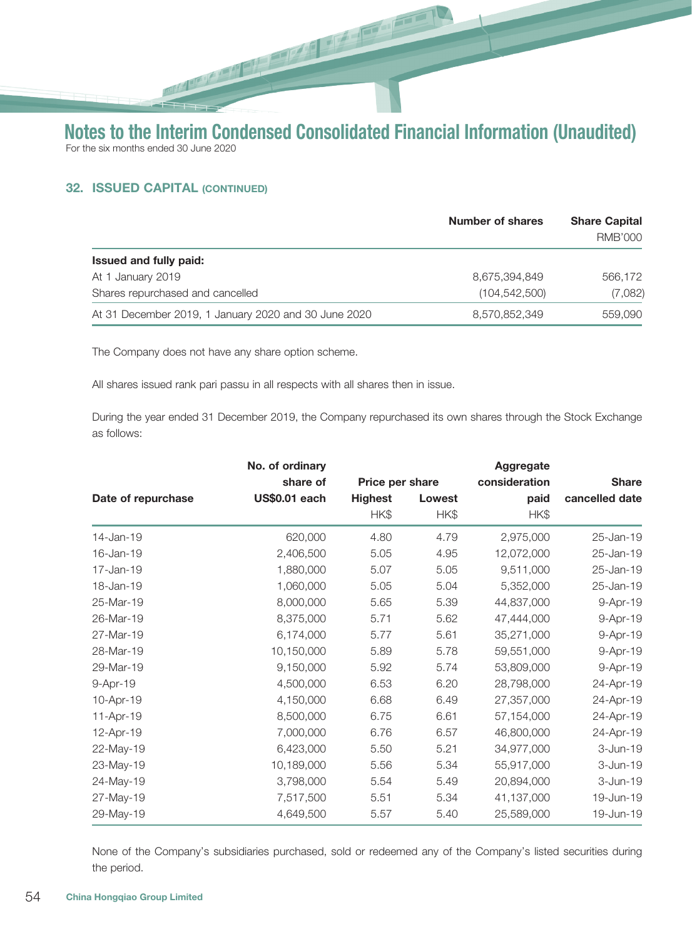$\frac{1}{\sqrt{2}}$ 

#### 32. ISSUED CAPITAL (CONTINUED)

|                                                      | <b>Number of shares</b> | <b>Share Capital</b><br><b>RMB'000</b> |
|------------------------------------------------------|-------------------------|----------------------------------------|
| <b>Issued and fully paid:</b>                        |                         |                                        |
| At 1 January 2019                                    | 8,675,394,849           | 566,172                                |
| Shares repurchased and cancelled                     | (104, 542, 500)         | (7,082)                                |
| At 31 December 2019, 1 January 2020 and 30 June 2020 | 8,570,852,349           | 559,090                                |

The Company does not have any share option scheme.

**PARTIES AND REAL PROPERTY.** 

All shares issued rank pari passu in all respects with all shares then in issue.

During the year ended 31 December 2019, the Company repurchased its own shares through the Stock Exchange as follows:

|                    | No. of ordinary      |                 |        | Aggregate     |                |
|--------------------|----------------------|-----------------|--------|---------------|----------------|
|                    | share of             | Price per share |        | consideration | <b>Share</b>   |
| Date of repurchase | <b>US\$0.01 each</b> | <b>Highest</b>  | Lowest | paid          | cancelled date |
|                    |                      | HK\$            | HK\$   | HK\$          |                |
| 14-Jan-19          | 620,000              | 4.80            | 4.79   | 2,975,000     | 25-Jan-19      |
| 16-Jan-19          | 2,406,500            | 5.05            | 4.95   | 12,072,000    | 25-Jan-19      |
| 17-Jan-19          | 1,880,000            | 5.07            | 5.05   | 9,511,000     | 25-Jan-19      |
| 18-Jan-19          | 1,060,000            | 5.05            | 5.04   | 5,352,000     | 25-Jan-19      |
| 25-Mar-19          | 8,000,000            | 5.65            | 5.39   | 44,837,000    | 9-Apr-19       |
| 26-Mar-19          | 8,375,000            | 5.71            | 5.62   | 47,444,000    | 9-Apr-19       |
| 27-Mar-19          | 6,174,000            | 5.77            | 5.61   | 35,271,000    | 9-Apr-19       |
| 28-Mar-19          | 10,150,000           | 5.89            | 5.78   | 59,551,000    | 9-Apr-19       |
| 29-Mar-19          | 9,150,000            | 5.92            | 5.74   | 53,809,000    | 9-Apr-19       |
| 9-Apr-19           | 4,500,000            | 6.53            | 6.20   | 28,798,000    | 24-Apr-19      |
| 10-Apr-19          | 4,150,000            | 6.68            | 6.49   | 27,357,000    | 24-Apr-19      |
| 11-Apr-19          | 8,500,000            | 6.75            | 6.61   | 57,154,000    | 24-Apr-19      |
| 12-Apr-19          | 7,000,000            | 6.76            | 6.57   | 46,800,000    | 24-Apr-19      |
| 22-May-19          | 6,423,000            | 5.50            | 5.21   | 34,977,000    | 3-Jun-19       |
| 23-May-19          | 10,189,000           | 5.56            | 5.34   | 55,917,000    | 3-Jun-19       |
| 24-May-19          | 3,798,000            | 5.54            | 5.49   | 20,894,000    | 3-Jun-19       |
| 27-May-19          | 7,517,500            | 5.51            | 5.34   | 41,137,000    | 19-Jun-19      |
| 29-May-19          | 4,649,500            | 5.57            | 5.40   | 25,589,000    | 19-Jun-19      |

None of the Company's subsidiaries purchased, sold or redeemed any of the Company's listed securities during the period.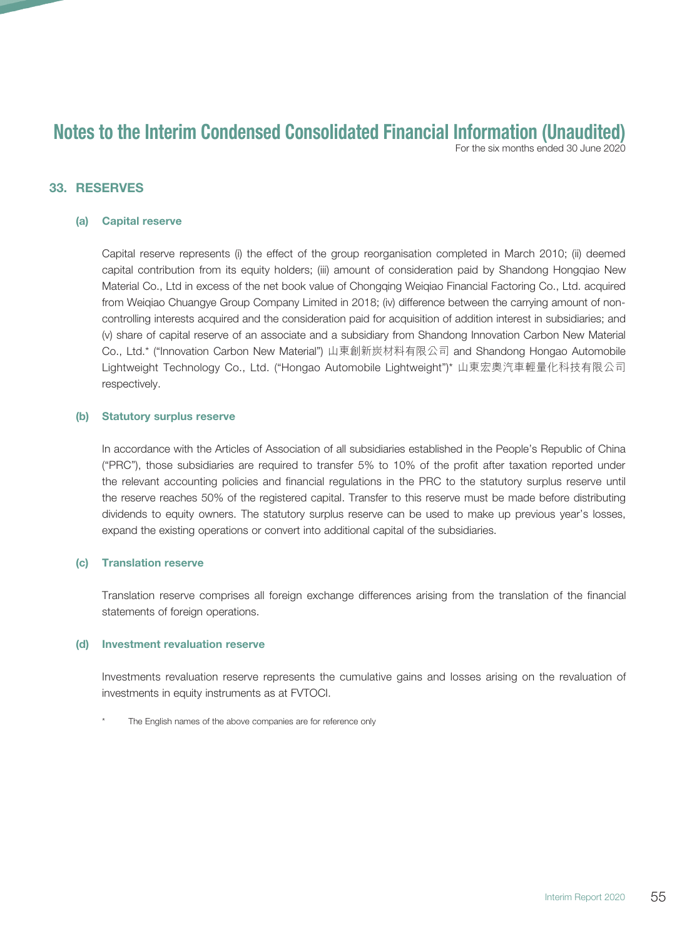For the six months ended 30 June 2020

#### 33. RESERVES

#### (a) Capital reserve

Capital reserve represents (i) the effect of the group reorganisation completed in March 2010; (ii) deemed capital contribution from its equity holders; (iii) amount of consideration paid by Shandong Hongqiao New Material Co., Ltd in excess of the net book value of Chongqing Weiqiao Financial Factoring Co., Ltd. acquired from Weiqiao Chuangye Group Company Limited in 2018; (iv) difference between the carrying amount of noncontrolling interests acquired and the consideration paid for acquisition of addition interest in subsidiaries; and (v) share of capital reserve of an associate and a subsidiary from Shandong Innovation Carbon New Material Co., Ltd.\* ("Innovation Carbon New Material") 山東創新炭材料有限公司 and Shandong Hongao Automobile Lightweight Technology Co., Ltd. ("Hongao Automobile Lightweight")\* 山東宏奧汽車輕量化科技有限公司 respectively.

#### (b) Statutory surplus reserve

In accordance with the Articles of Association of all subsidiaries established in the People's Republic of China ("PRC"), those subsidiaries are required to transfer 5% to 10% of the profit after taxation reported under the relevant accounting policies and financial regulations in the PRC to the statutory surplus reserve until the reserve reaches 50% of the registered capital. Transfer to this reserve must be made before distributing dividends to equity owners. The statutory surplus reserve can be used to make up previous year's losses, expand the existing operations or convert into additional capital of the subsidiaries.

#### (c) Translation reserve

Translation reserve comprises all foreign exchange differences arising from the translation of the financial statements of foreign operations.

#### (d) Investment revaluation reserve

Investments revaluation reserve represents the cumulative gains and losses arising on the revaluation of investments in equity instruments as at FVTOCI.

The English names of the above companies are for reference only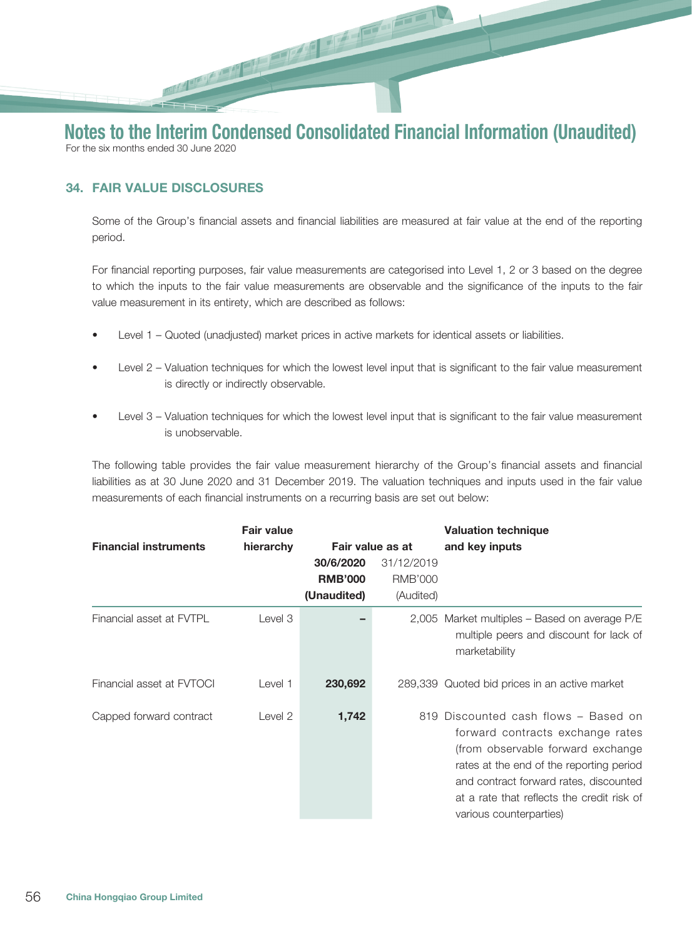# 

# Notes to the Interim Condensed Consolidated Financial Information (Unaudited) For the six months ended 30 June 2020

# 34. FAIR VALUE DISCLOSURES

Some of the Group's financial assets and financial liabilities are measured at fair value at the end of the reporting period.

For financial reporting purposes, fair value measurements are categorised into Level 1, 2 or 3 based on the degree to which the inputs to the fair value measurements are observable and the significance of the inputs to the fair value measurement in its entirety, which are described as follows:

- Level 1 Quoted (unadjusted) market prices in active markets for identical assets or liabilities.
- Level 2 Valuation techniques for which the lowest level input that is significant to the fair value measurement is directly or indirectly observable.
- Level 3 Valuation techniques for which the lowest level input that is significant to the fair value measurement is unobservable.

The following table provides the fair value measurement hierarchy of the Group's financial assets and financial liabilities as at 30 June 2020 and 31 December 2019. The valuation techniques and inputs used in the fair value measurements of each financial instruments on a recurring basis are set out below:

|                              | <b>Fair value</b> |                  |                | <b>Valuation technique</b>                                                                                                                                                                                                                                                    |
|------------------------------|-------------------|------------------|----------------|-------------------------------------------------------------------------------------------------------------------------------------------------------------------------------------------------------------------------------------------------------------------------------|
| <b>Financial instruments</b> | hierarchy         | Fair value as at |                | and key inputs                                                                                                                                                                                                                                                                |
|                              |                   | 30/6/2020        | 31/12/2019     |                                                                                                                                                                                                                                                                               |
|                              |                   | <b>RMB'000</b>   | <b>RMB'000</b> |                                                                                                                                                                                                                                                                               |
|                              |                   | (Unaudited)      | (Audited)      |                                                                                                                                                                                                                                                                               |
| Financial asset at FVTPL     | Level 3           |                  |                | 2,005 Market multiples - Based on average P/E<br>multiple peers and discount for lack of<br>marketability                                                                                                                                                                     |
| Financial asset at FVTOCI    | Level 1           | 230,692          |                | 289,339 Quoted bid prices in an active market                                                                                                                                                                                                                                 |
| Capped forward contract      | Level 2           | 1,742            |                | 819 Discounted cash flows - Based on<br>forward contracts exchange rates<br>(from observable forward exchange)<br>rates at the end of the reporting period<br>and contract forward rates, discounted<br>at a rate that reflects the credit risk of<br>various counterparties) |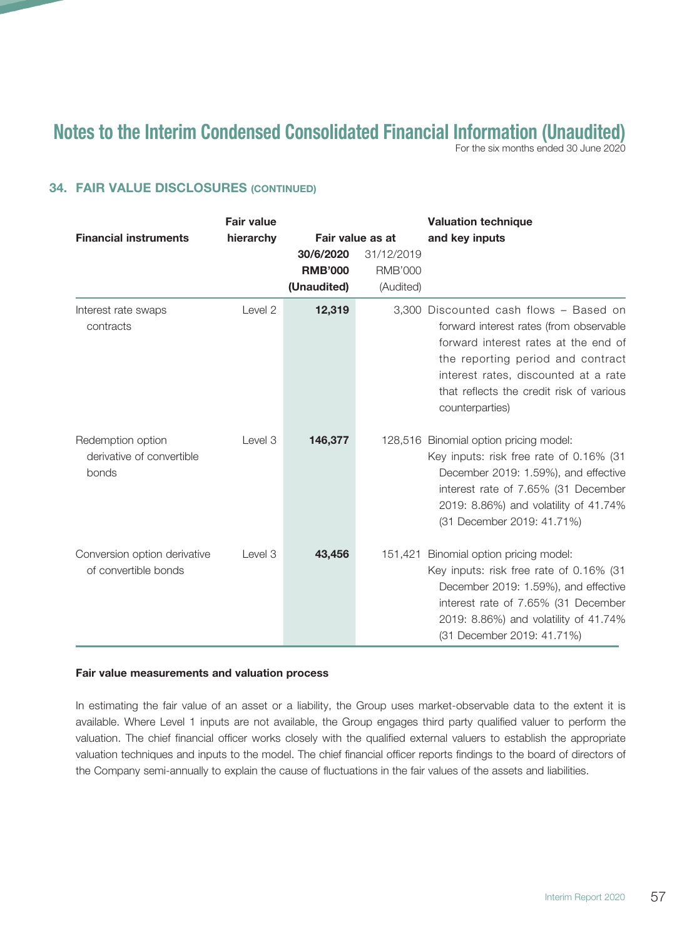For the six months ended 30 June 2020

## 34. FAIR VALUE DISCLOSURES (CONTINUED)

|                                                         | <b>Fair value</b> |                  |                | <b>Valuation technique</b>                                                                                                                                                                                                                                            |
|---------------------------------------------------------|-------------------|------------------|----------------|-----------------------------------------------------------------------------------------------------------------------------------------------------------------------------------------------------------------------------------------------------------------------|
| <b>Financial instruments</b>                            | hierarchy         | Fair value as at |                | and key inputs                                                                                                                                                                                                                                                        |
|                                                         |                   | 30/6/2020        | 31/12/2019     |                                                                                                                                                                                                                                                                       |
|                                                         |                   | <b>RMB'000</b>   | <b>RMB'000</b> |                                                                                                                                                                                                                                                                       |
|                                                         |                   | (Unaudited)      | (Audited)      |                                                                                                                                                                                                                                                                       |
| Interest rate swaps<br>contracts                        | Level 2           | 12,319           |                | 3.300 Discounted cash flows - Based on<br>forward interest rates (from observable<br>forward interest rates at the end of<br>the reporting period and contract<br>interest rates, discounted at a rate<br>that reflects the credit risk of various<br>counterparties) |
| Redemption option<br>derivative of convertible<br>bonds | Level 3           | 146,377          |                | 128,516 Binomial option pricing model:<br>Key inputs: risk free rate of 0.16% (31<br>December 2019: 1.59%), and effective<br>interest rate of 7.65% (31 December<br>2019: 8.86%) and volatility of 41.74%<br>(31 December 2019: 41.71%)                               |
| Conversion option derivative<br>of convertible bonds    | Level 3           | 43,456           | 151,421        | Binomial option pricing model:<br>Key inputs: risk free rate of 0.16% (31<br>December 2019: 1.59%), and effective<br>interest rate of 7.65% (31 December<br>2019: 8.86%) and volatility of 41.74%<br>(31 December 2019: 41.71%)                                       |

#### Fair value measurements and valuation process

In estimating the fair value of an asset or a liability, the Group uses market-observable data to the extent it is available. Where Level 1 inputs are not available, the Group engages third party qualified valuer to perform the valuation. The chief financial officer works closely with the qualified external valuers to establish the appropriate valuation techniques and inputs to the model. The chief financial officer reports findings to the board of directors of the Company semi-annually to explain the cause of fluctuations in the fair values of the assets and liabilities.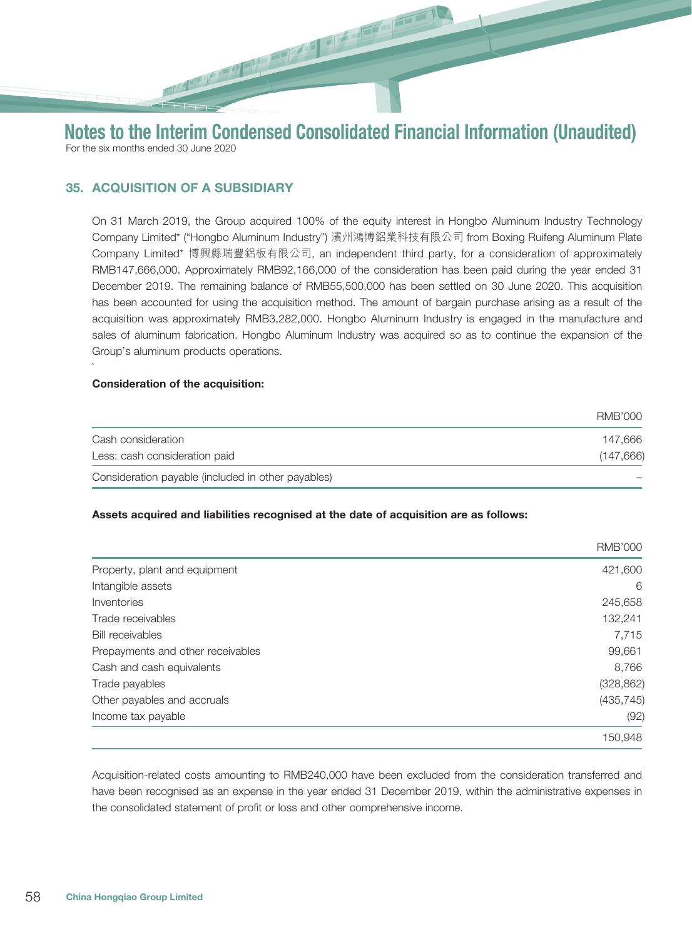## 35. ACQUISITION OF A SUBSIDIARY

On 31 March 2019, the Group acquired 100% of the equity interest in Hongbo Aluminum Industry Technology Company Limited\* ("Hongbo Aluminum Industry") 濱州鴻博鋁業科技有限公司 from Boxing Ruifeng Aluminum Plate Company Limited\* 博興縣瑞豐鋁板有限公司, an independent third party, for a consideration of approximately RMB147,666,000. Approximately RMB92,166,000 of the consideration has been paid during the year ended 31 December 2019. The remaining balance of RMB55,500,000 has been settled on 30 June 2020. This acquisition has been accounted for using the acquisition method. The amount of bargain purchase arising as a result of the acquisition was approximately RMB3,282,000. Hongbo Aluminum Industry is engaged in the manufacture and sales of aluminum fabrication. Hongbo Aluminum Industry was acquired so as to continue the expansion of the Group's aluminum products operations.

#### Consideration of the acquisition:

`

|                                                    | RMB'000   |
|----------------------------------------------------|-----------|
| Cash consideration                                 | 147.666   |
| Less: cash consideration paid                      | (147,666) |
| Consideration payable (included in other payables) |           |

#### Assets acquired and liabilities recognised at the date of acquisition are as follows:

|                                   | <b>RMB'000</b> |
|-----------------------------------|----------------|
| Property, plant and equipment     | 421,600        |
| Intangible assets                 | 6              |
| Inventories                       | 245,658        |
| Trade receivables                 | 132,241        |
| <b>Bill receivables</b>           | 7,715          |
| Prepayments and other receivables | 99,661         |
| Cash and cash equivalents         | 8,766          |
| Trade payables                    | (328, 862)     |
| Other payables and accruals       | (435, 745)     |
| Income tax payable                | (92)           |
|                                   | 150,948        |

Acquisition-related costs amounting to RMB240,000 have been excluded from the consideration transferred and have been recognised as an expense in the year ended 31 December 2019, within the administrative expenses in the consolidated statement of profit or loss and other comprehensive income.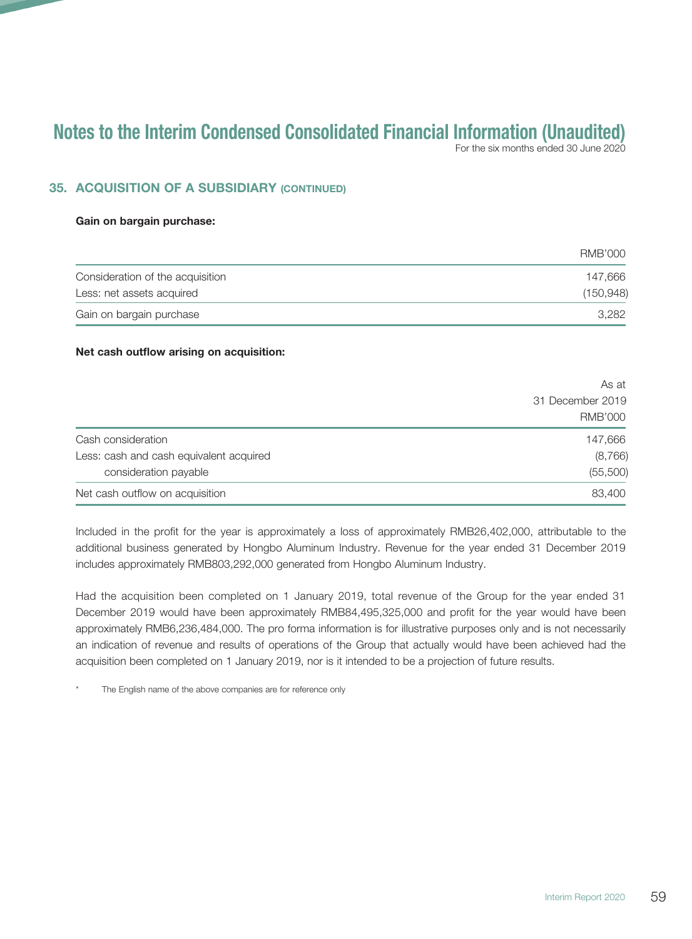For the six months ended 30 June 2020

## 35. ACQUISITION OF A SUBSIDIARY (CONTINUED)

#### Gain on bargain purchase:

|                                  | RMB'000    |
|----------------------------------|------------|
| Consideration of the acquisition | 147.666    |
| Less: net assets acquired        | (150, 948) |
| Gain on bargain purchase         | 3.282      |

#### Net cash outflow arising on acquisition:

|                                         | As at            |  |
|-----------------------------------------|------------------|--|
|                                         | 31 December 2019 |  |
|                                         | <b>RMB'000</b>   |  |
| Cash consideration                      | 147,666          |  |
| Less: cash and cash equivalent acquired | (8,766)          |  |
| consideration payable                   | (55,500)         |  |
| Net cash outflow on acquisition         | 83,400           |  |

Included in the profit for the year is approximately a loss of approximately RMB26,402,000, attributable to the additional business generated by Hongbo Aluminum Industry. Revenue for the year ended 31 December 2019 includes approximately RMB803,292,000 generated from Hongbo Aluminum Industry.

Had the acquisition been completed on 1 January 2019, total revenue of the Group for the year ended 31 December 2019 would have been approximately RMB84,495,325,000 and profit for the year would have been approximately RMB6,236,484,000. The pro forma information is for illustrative purposes only and is not necessarily an indication of revenue and results of operations of the Group that actually would have been achieved had the acquisition been completed on 1 January 2019, nor is it intended to be a projection of future results.

The English name of the above companies are for reference only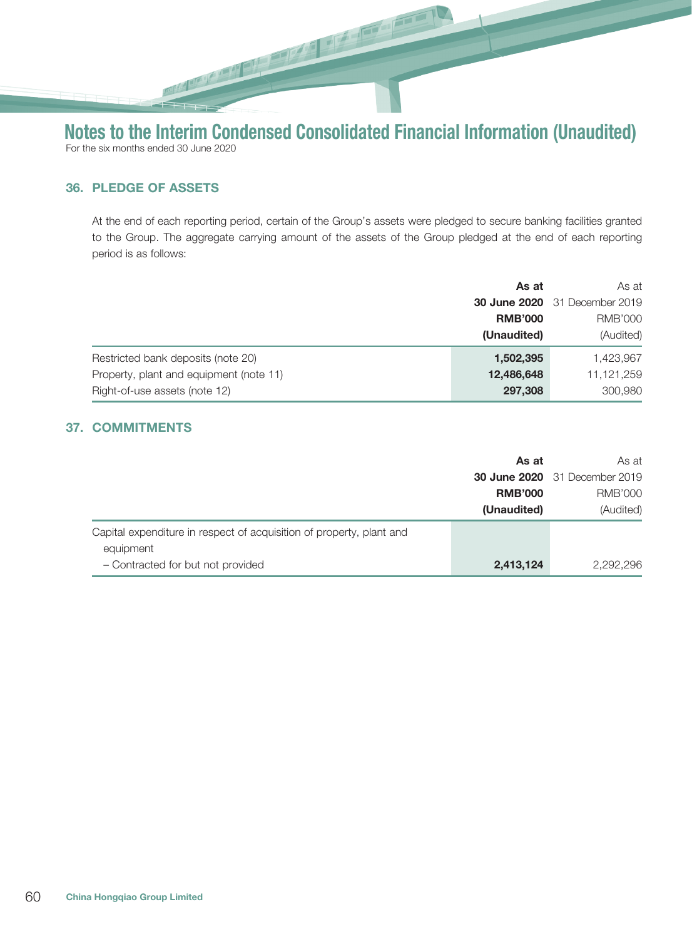## 36. PLEDGE OF ASSETS

At the end of each reporting period, certain of the Group's assets were pledged to secure banking facilities granted to the Group. The aggregate carrying amount of the assets of the Group pledged at the end of each reporting period is as follows:

|                                         | As at          | As at                                |
|-----------------------------------------|----------------|--------------------------------------|
|                                         |                | <b>30 June 2020</b> 31 December 2019 |
|                                         | <b>RMB'000</b> | <b>RMB'000</b>                       |
|                                         | (Unaudited)    | (Audited)                            |
| Restricted bank deposits (note 20)      | 1,502,395      | 1,423,967                            |
| Property, plant and equipment (note 11) | 12,486,648     | 11,121,259                           |
| Right-of-use assets (note 12)           | 297,308        | 300,980                              |

## 37. COMMITMENTS

|                                                                                   | As at          | As at                                |
|-----------------------------------------------------------------------------------|----------------|--------------------------------------|
|                                                                                   |                | <b>30 June 2020</b> 31 December 2019 |
|                                                                                   | <b>RMB'000</b> | RMB'000                              |
|                                                                                   | (Unaudited)    | (Audited)                            |
| Capital expenditure in respect of acquisition of property, plant and<br>equipment |                |                                      |
| - Contracted for but not provided                                                 | 2,413,124      | 2.292.296                            |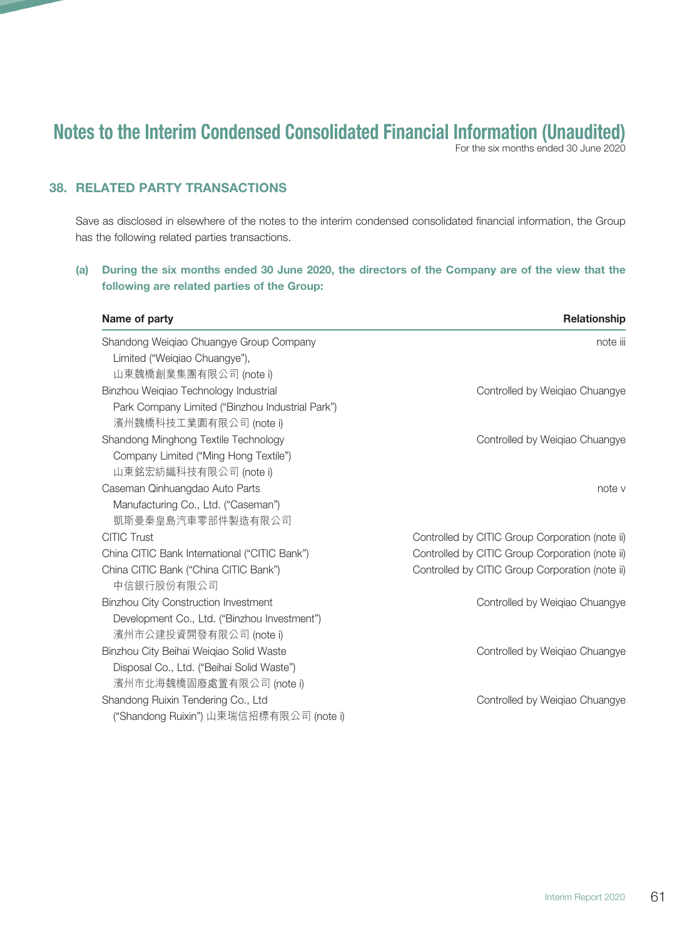For the six months ended 30 June 2020

## 38. RELATED PARTY TRANSACTIONS

Save as disclosed in elsewhere of the notes to the interim condensed consolidated financial information, the Group has the following related parties transactions.

## (a) During the six months ended 30 June 2020, the directors of the Company are of the view that the following are related parties of the Group:

| Name of party                                    | Relationship                                    |
|--------------------------------------------------|-------------------------------------------------|
| Shandong Weiqiao Chuangye Group Company          | note iii                                        |
| Limited ("Weiqiao Chuangye"),                    |                                                 |
| 山東魏橋創業集團有限公司 (note i)                            |                                                 |
| Binzhou Weiqiao Technology Industrial            | Controlled by Weigiao Chuangye                  |
| Park Company Limited ("Binzhou Industrial Park") |                                                 |
| 濱州魏橋科技工業園有限公司 (note i)                           |                                                 |
| Shandong Minghong Textile Technology             | Controlled by Weiqiao Chuangye                  |
| Company Limited ("Ming Hong Textile")            |                                                 |
| 山東銘宏紡織科技有限公司 (note i)                            |                                                 |
| Caseman Qinhuangdao Auto Parts                   | note v                                          |
| Manufacturing Co., Ltd. ("Caseman")              |                                                 |
| 凱斯曼秦皇島汽車零部件製造有限公司                                |                                                 |
| <b>CITIC Trust</b>                               | Controlled by CITIC Group Corporation (note ii) |
| China CITIC Bank International ("CITIC Bank")    | Controlled by CITIC Group Corporation (note ii) |
| China CITIC Bank ("China CITIC Bank")            | Controlled by CITIC Group Corporation (note ii) |
| 中信銀行股份有限公司                                       |                                                 |
| <b>Binzhou City Construction Investment</b>      | Controlled by Weiqiao Chuangye                  |
| Development Co., Ltd. ("Binzhou Investment")     |                                                 |
| 濱州市公建投資開發有限公司 (note i)                           |                                                 |
| Binzhou City Beihai Weigiao Solid Waste          | Controlled by Weigiao Chuangye                  |
| Disposal Co., Ltd. ("Beihai Solid Waste")        |                                                 |
| 濱州市北海魏橋固廢處置有限公司 (note i)                         |                                                 |
| Shandong Ruixin Tendering Co., Ltd               | Controlled by Weiqiao Chuangye                  |
| ("Shandong Ruixin") 山東瑞信招標有限公司 (note i)          |                                                 |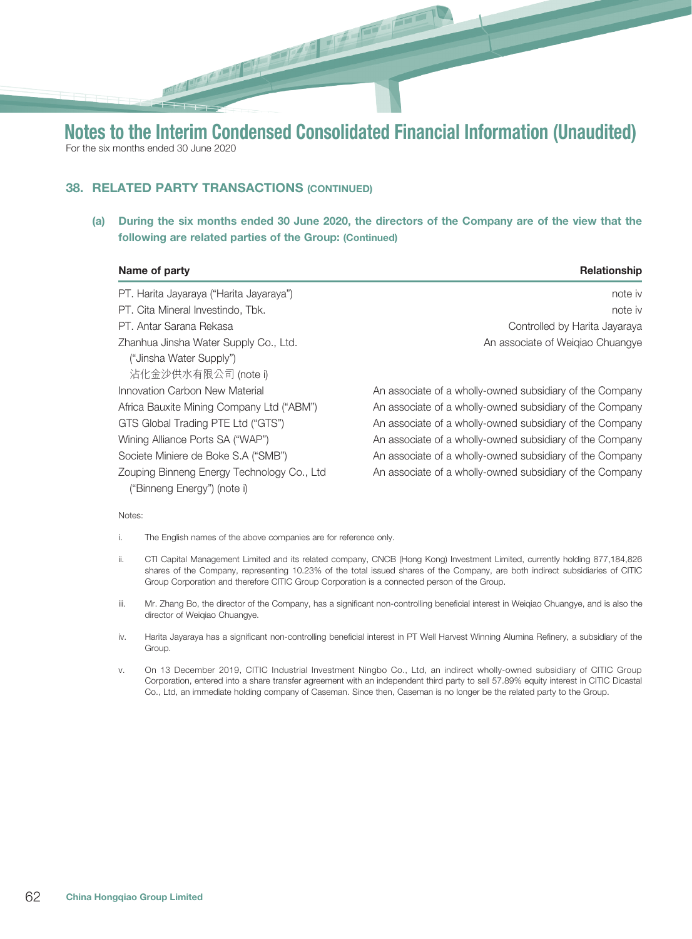# 38. RELATED PARTY TRANSACTIONS (CONTINUED)

(a) During the six months ended 30 June 2020, the directors of the Company are of the view that the following are related parties of the Group: (Continued)

| Name of party                              | <b>Relationship</b>                                      |
|--------------------------------------------|----------------------------------------------------------|
| PT. Harita Jayaraya ("Harita Jayaraya")    | note iv                                                  |
| PT. Cita Mineral Investindo. Tbk.          | note iv                                                  |
| PT. Antar Sarana Rekasa                    | Controlled by Harita Jayaraya                            |
| Zhanhua Jinsha Water Supply Co., Ltd.      | An associate of Weigiao Chuangye                         |
| ("Jinsha Water Supply")                    |                                                          |
| 沾化金沙供水有限公司 (note i)                        |                                                          |
| Innovation Carbon New Material             | An associate of a wholly-owned subsidiary of the Company |
| Africa Bauxite Mining Company Ltd ("ABM")  | An associate of a wholly-owned subsidiary of the Company |
| GTS Global Trading PTE Ltd ("GTS")         | An associate of a wholly-owned subsidiary of the Company |
| Wining Alliance Ports SA ("WAP")           | An associate of a wholly-owned subsidiary of the Company |
| Societe Miniere de Boke S.A ("SMB")        | An associate of a wholly-owned subsidiary of the Company |
| Zouping Binneng Energy Technology Co., Ltd | An associate of a wholly-owned subsidiary of the Company |
| ("Binneng Energy") (note i)                |                                                          |

#### Notes:

- i. The English names of the above companies are for reference only.
- ii. CTI Capital Management Limited and its related company, CNCB (Hong Kong) Investment Limited, currently holding 877,184,826 shares of the Company, representing 10.23% of the total issued shares of the Company, are both indirect subsidiaries of CITIC Group Corporation and therefore CITIC Group Corporation is a connected person of the Group.
- iii. Mr. Zhang Bo, the director of the Company, has a significant non-controlling beneficial interest in Weiqiao Chuangye, and is also the director of Weiqiao Chuangye.
- iv. Harita Jayaraya has a significant non-controlling beneficial interest in PT Well Harvest Winning Alumina Refinery, a subsidiary of the Group.
- v. On 13 December 2019, CITIC Industrial Investment Ningbo Co., Ltd, an indirect wholly-owned subsidiary of CITIC Group Corporation, entered into a share transfer agreement with an independent third party to sell 57.89% equity interest in CITIC Dicastal Co., Ltd, an immediate holding company of Caseman. Since then, Caseman is no longer be the related party to the Group.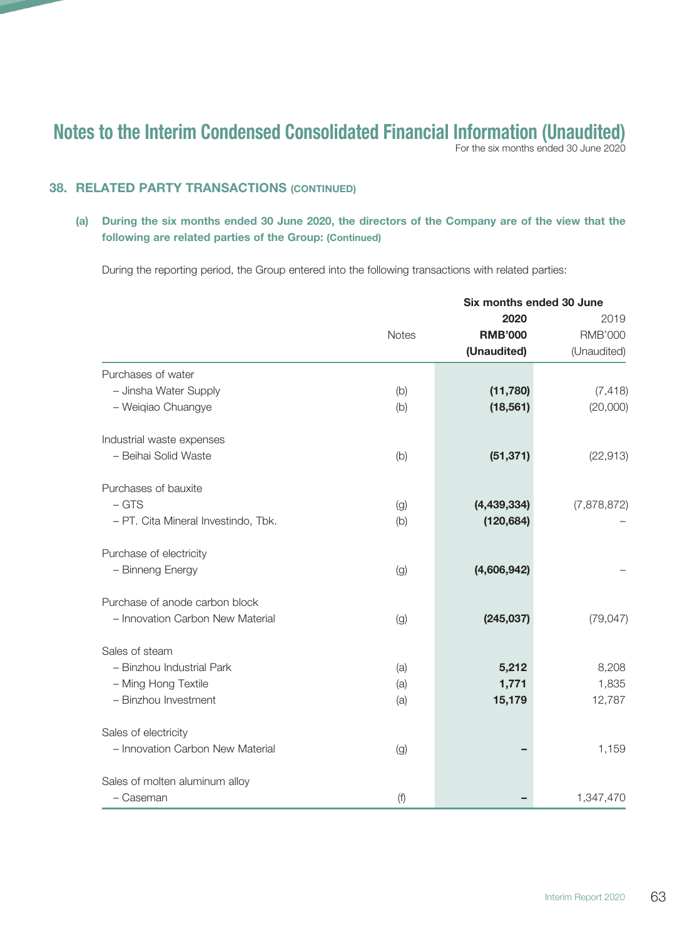For the six months ended 30 June 2020

## **38. RELATED PARTY TRANSACTIONS (CONTINUED)**

#### (a) During the six months ended 30 June 2020, the directors of the Company are of the view that the following are related parties of the Group: (Continued)

During the reporting period, the Group entered into the following transactions with related parties:

|                                     |              | Six months ended 30 June |                |
|-------------------------------------|--------------|--------------------------|----------------|
|                                     |              | 2020                     | 2019           |
|                                     | <b>Notes</b> | <b>RMB'000</b>           | <b>RMB'000</b> |
|                                     |              | (Unaudited)              | (Unaudited)    |
| Purchases of water                  |              |                          |                |
| - Jinsha Water Supply               | (b)          | (11,780)                 | (7, 418)       |
| - Weiqiao Chuangye                  | (b)          | (18, 561)                | (20,000)       |
| Industrial waste expenses           |              |                          |                |
| - Beihai Solid Waste                | (b)          | (51, 371)                | (22, 913)      |
| Purchases of bauxite                |              |                          |                |
| $-$ GTS                             | (g)          | (4, 439, 334)            | (7,878,872)    |
| - PT. Cita Mineral Investindo, Tbk. | (b)          | (120, 684)               |                |
| Purchase of electricity             |              |                          |                |
| - Binneng Energy                    | (g)          | (4,606,942)              |                |
| Purchase of anode carbon block      |              |                          |                |
| - Innovation Carbon New Material    | (g)          | (245, 037)               | (79, 047)      |
| Sales of steam                      |              |                          |                |
| - Binzhou Industrial Park           | (a)          | 5,212                    | 8,208          |
| - Ming Hong Textile                 | (a)          | 1,771                    | 1,835          |
| - Binzhou Investment                | (a)          | 15,179                   | 12,787         |
| Sales of electricity                |              |                          |                |
| - Innovation Carbon New Material    | (g)          |                          | 1,159          |
| Sales of molten aluminum alloy      |              |                          |                |
| - Caseman                           | (f)          |                          | 1,347,470      |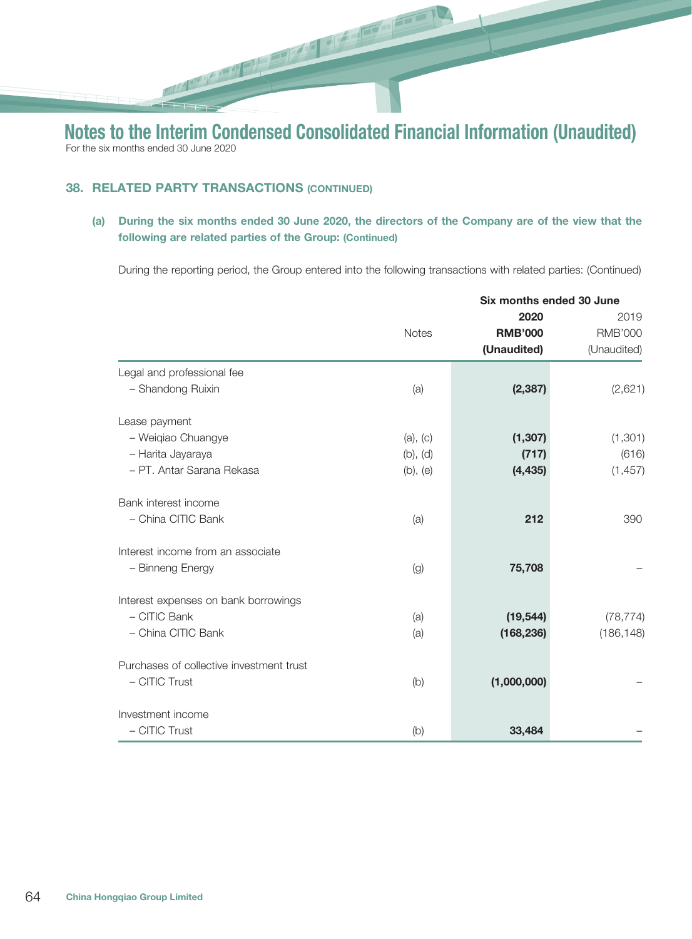## **38. RELATED PARTY TRANSACTIONS (CONTINUED)**

**Report Follow** 

(a) During the six months ended 30 June 2020, the directors of the Company are of the view that the following are related parties of the Group: (Continued)

During the reporting period, the Group entered into the following transactions with related parties: (Continued)

|                                          |              | Six months ended 30 June |                |
|------------------------------------------|--------------|--------------------------|----------------|
|                                          |              | 2020                     | 2019           |
|                                          | <b>Notes</b> | <b>RMB'000</b>           | <b>RMB'000</b> |
|                                          |              | (Unaudited)              | (Unaudited)    |
| Legal and professional fee               |              |                          |                |
| - Shandong Ruixin                        | (a)          | (2, 387)                 | (2,621)        |
| Lease payment                            |              |                          |                |
| - Weiqiao Chuangye                       | (a), (c)     | (1, 307)                 | (1, 301)       |
| - Harita Jayaraya                        | (b), (d)     | (717)                    | (616)          |
| - PT. Antar Sarana Rekasa                | (b), (e)     | (4, 435)                 | (1, 457)       |
| Bank interest income                     |              |                          |                |
| - China CITIC Bank                       | (a)          | 212                      | 390            |
| Interest income from an associate        |              |                          |                |
| - Binneng Energy                         | (g)          | 75,708                   |                |
| Interest expenses on bank borrowings     |              |                          |                |
| - CITIC Bank                             | (a)          | (19, 544)                | (78, 774)      |
| - China CITIC Bank                       | (a)          | (168, 236)               | (186, 148)     |
| Purchases of collective investment trust |              |                          |                |
| - CITIC Trust                            | (b)          | (1,000,000)              |                |
| Investment income                        |              |                          |                |
| - CITIC Trust                            | (b)          | 33,484                   |                |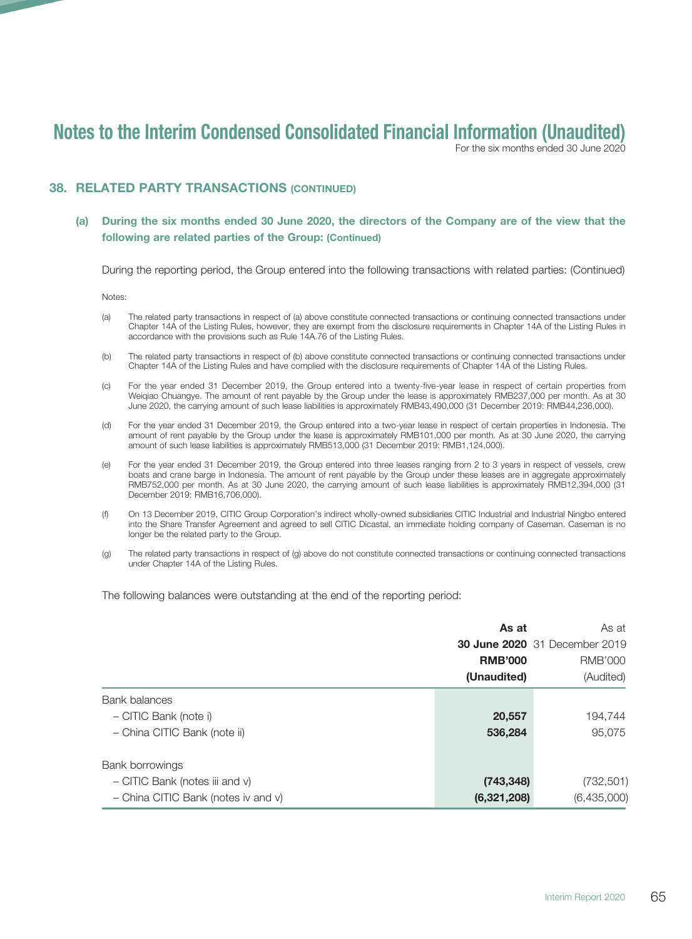For the six months ended 30 June 2020

#### **38. RELATED PARTY TRANSACTIONS (CONTINUED)**

#### (a) During the six months ended 30 June 2020, the directors of the Company are of the view that the following are related parties of the Group: (Continued)

During the reporting period, the Group entered into the following transactions with related parties: (Continued)

Notes:

- (a) The related party transactions in respect of (a) above constitute connected transactions or continuing connected transactions under Chapter 14A of the Listing Rules, however, they are exempt from the disclosure requirements in Chapter 14A of the Listing Rules in accordance with the provisions such as Rule 14A.76 of the Listing Rules.
- (b) The related party transactions in respect of (b) above constitute connected transactions or continuing connected transactions under Chapter 14A of the Listing Rules and have complied with the disclosure requirements of Chapter 14A of the Listing Rules.
- (c) For the year ended 31 December 2019, the Group entered into a twenty-five-year lease in respect of certain properties from Weiqiao Chuangye. The amount of rent payable by the Group under the lease is approximately RMB237,000 per month. As at 30 June 2020, the carrying amount of such lease liabilities is approximately RMB43,490,000 (31 December 2019: RMB44,236,000).
- (d) For the year ended 31 December 2019, the Group entered into a two-year lease in respect of certain properties in Indonesia. The amount of rent payable by the Group under the lease is approximately RMB101,000 per month. As at 30 June 2020, the carrying amount of such lease liabilities is approximately RMB513,000 (31 December 2019: RMB1,124,000).
- (e) For the year ended 31 December 2019, the Group entered into three leases ranging from 2 to 3 years in respect of vessels, crew boats and crane barge in Indonesia. The amount of rent payable by the Group under these leases are in aggregate approximately RMB752,000 per month. As at 30 June 2020, the carrying amount of such lease liabilities is approximately RMB12,394,000 (31 December 2019: RMB16,706,000).
- (f) On 13 December 2019, CITIC Group Corporation's indirect wholly-owned subsidiaries CITIC Industrial and Industrial Ningbo entered into the Share Transfer Agreement and agreed to sell CITIC Dicastal, an immediate holding company of Caseman. Caseman is no longer be the related party to the Group.
- (g) The related party transactions in respect of (g) above do not constitute connected transactions or continuing connected transactions under Chapter 14A of the Listing Rules.

The following balances were outstanding at the end of the reporting period:

|                                     | As at          |                                      |
|-------------------------------------|----------------|--------------------------------------|
|                                     |                | <b>30 June 2020</b> 31 December 2019 |
|                                     | <b>RMB'000</b> | <b>RMB'000</b>                       |
|                                     | (Unaudited)    | (Audited)                            |
| Bank balances                       |                |                                      |
| - CITIC Bank (note i)               | 20,557         | 194,744                              |
| - China CITIC Bank (note ii)        | 536,284        | 95,075                               |
| Bank borrowings                     |                |                                      |
| - CITIC Bank (notes iii and v)      | (743, 348)     | (732, 501)                           |
| - China CITIC Bank (notes iv and v) | (6,321,208)    | (6,435,000)                          |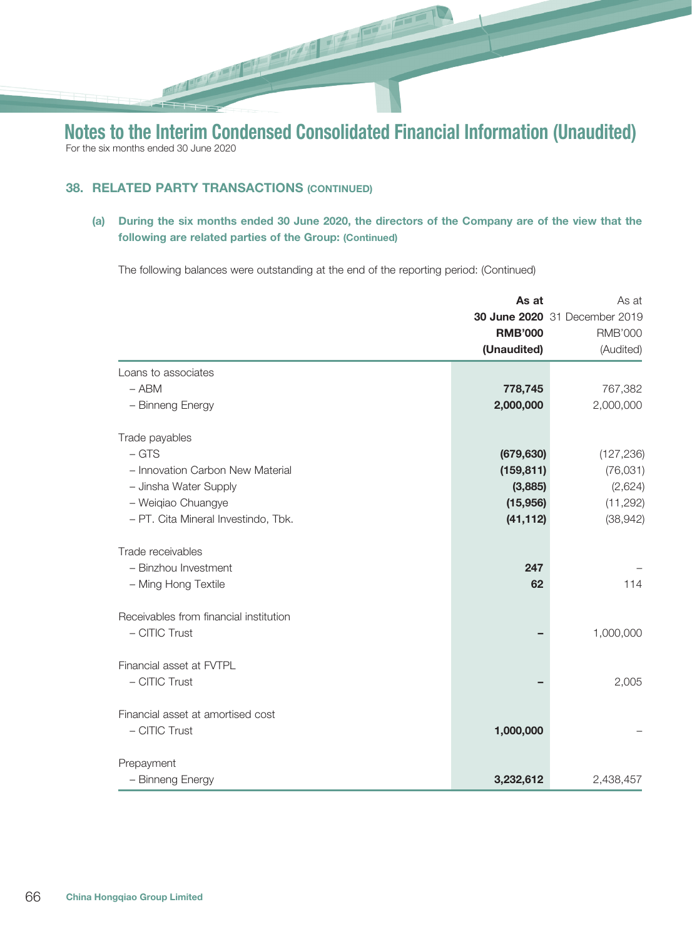## **38. RELATED PARTY TRANSACTIONS (CONTINUED)**

**Report Follow** 

(a) During the six months ended 30 June 2020, the directors of the Company are of the view that the following are related parties of the Group: (Continued)

The following balances were outstanding at the end of the reporting period: (Continued)

|                                        | As at          | As at                         |
|----------------------------------------|----------------|-------------------------------|
|                                        |                | 30 June 2020 31 December 2019 |
|                                        | <b>RMB'000</b> | <b>RMB'000</b>                |
|                                        | (Unaudited)    | (Audited)                     |
| Loans to associates                    |                |                               |
| $-$ ABM                                | 778,745        | 767,382                       |
| - Binneng Energy                       | 2,000,000      | 2,000,000                     |
| Trade payables                         |                |                               |
| $-$ GTS                                | (679, 630)     | (127, 236)                    |
| - Innovation Carbon New Material       | (159, 811)     | (76, 031)                     |
| - Jinsha Water Supply                  | (3,885)        | (2,624)                       |
| - Weigiao Chuangye                     | (15,956)       | (11, 292)                     |
| - PT. Cita Mineral Investindo, Tbk.    | (41, 112)      | (38, 942)                     |
| Trade receivables                      |                |                               |
| - Binzhou Investment                   | 247            |                               |
| - Ming Hong Textile                    | 62             | 114                           |
| Receivables from financial institution |                |                               |
| - CITIC Trust                          |                | 1,000,000                     |
| Financial asset at FVTPL               |                |                               |
| - CITIC Trust                          |                | 2,005                         |
| Financial asset at amortised cost      |                |                               |
| - CITIC Trust                          | 1,000,000      |                               |
| Prepayment                             |                |                               |
| - Binneng Energy                       | 3,232,612      | 2,438,457                     |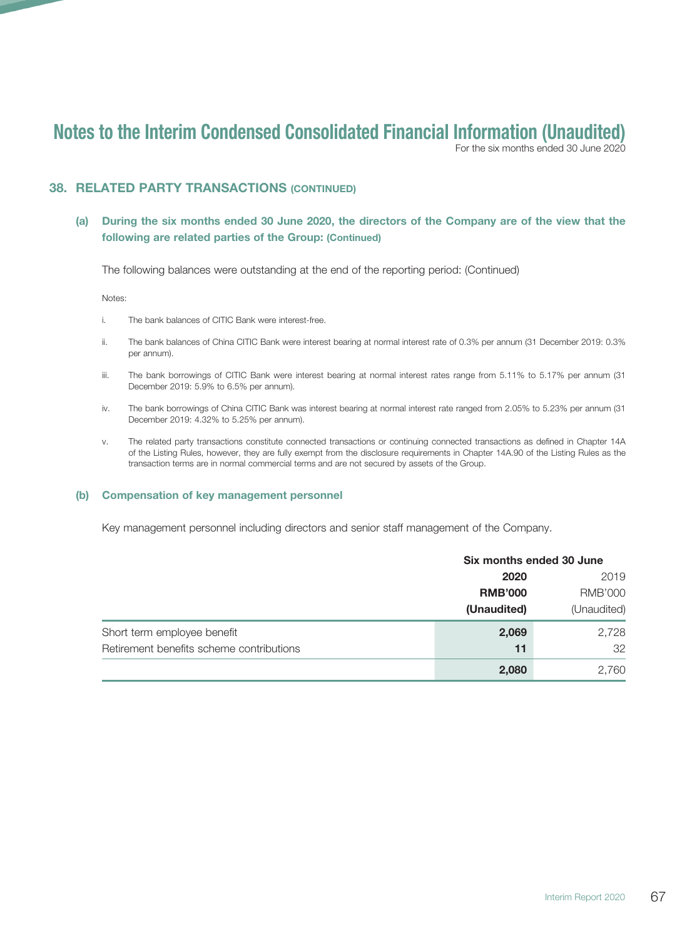For the six months ended 30 June 2020

#### 38. RELATED PARTY TRANSACTIONS (CONTINUED)

#### (a) During the six months ended 30 June 2020, the directors of the Company are of the view that the following are related parties of the Group: (Continued)

The following balances were outstanding at the end of the reporting period: (Continued)

Notes:

- i. The bank balances of CITIC Bank were interest-free.
- ii. The bank balances of China CITIC Bank were interest bearing at normal interest rate of 0.3% per annum (31 December 2019: 0.3% per annum).
- iii. The bank borrowings of CITIC Bank were interest bearing at normal interest rates range from 5.11% to 5.17% per annum (31 December 2019: 5.9% to 6.5% per annum).
- iv. The bank borrowings of China CITIC Bank was interest bearing at normal interest rate ranged from 2.05% to 5.23% per annum (31 December 2019: 4.32% to 5.25% per annum).
- v. The related party transactions constitute connected transactions or continuing connected transactions as defined in Chapter 14A of the Listing Rules, however, they are fully exempt from the disclosure requirements in Chapter 14A.90 of the Listing Rules as the transaction terms are in normal commercial terms and are not secured by assets of the Group.

#### (b) Compensation of key management personnel

Key management personnel including directors and senior staff management of the Company.

|                                          |                                       | Six months ended 30 June |  |
|------------------------------------------|---------------------------------------|--------------------------|--|
|                                          | 2020<br><b>RMB'000</b><br>(Unaudited) | 2019                     |  |
|                                          |                                       | <b>RMB'000</b>           |  |
|                                          |                                       | (Unaudited)              |  |
| Short term employee benefit              | 2,069                                 | 2,728                    |  |
| Retirement benefits scheme contributions | 11                                    | 32                       |  |
|                                          | 2,080                                 | 2,760                    |  |